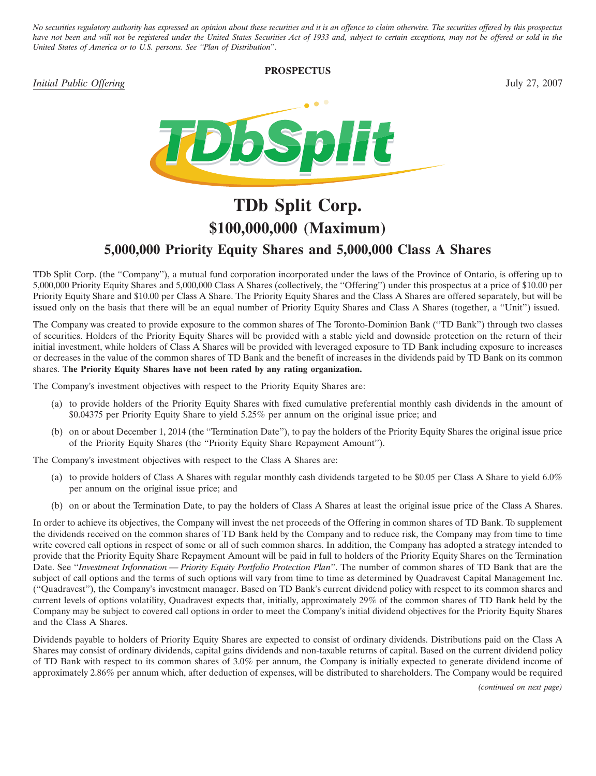*No securities regulatory authority has expressed an opinion about these securities and it is an offence to claim otherwise. The securities offered by this prospectus have not been and will not be registered under the United States Securities Act of 1933 and, subject to certain exceptions, may not be offered or sold in the United States of America or to U.S. persons. See ''Plan of Distribution*''.

# **PROSPECTUS**





# **TDb Split Corp. \$100,000,000 (Maximum) 5,000,000 Priority Equity Shares and 5,000,000 Class A Shares**

TDb Split Corp. (the ''Company''), a mutual fund corporation incorporated under the laws of the Province of Ontario, is offering up to 5,000,000 Priority Equity Shares and 5,000,000 Class A Shares (collectively, the ''Offering'') under this prospectus at a price of \$10.00 per Priority Equity Share and \$10.00 per Class A Share. The Priority Equity Shares and the Class A Shares are offered separately, but will be issued only on the basis that there will be an equal number of Priority Equity Shares and Class A Shares (together, a ''Unit'') issued.

The Company was created to provide exposure to the common shares of The Toronto-Dominion Bank (''TD Bank'') through two classes of securities. Holders of the Priority Equity Shares will be provided with a stable yield and downside protection on the return of their initial investment, while holders of Class A Shares will be provided with leveraged exposure to TD Bank including exposure to increases or decreases in the value of the common shares of TD Bank and the benefit of increases in the dividends paid by TD Bank on its common shares. **The Priority Equity Shares have not been rated by any rating organization.**

The Company's investment objectives with respect to the Priority Equity Shares are:

- (a) to provide holders of the Priority Equity Shares with fixed cumulative preferential monthly cash dividends in the amount of \$0.04375 per Priority Equity Share to yield 5.25% per annum on the original issue price; and
- (b) on or about December 1, 2014 (the ''Termination Date''), to pay the holders of the Priority Equity Shares the original issue price of the Priority Equity Shares (the ''Priority Equity Share Repayment Amount'').

The Company's investment objectives with respect to the Class A Shares are:

- (a) to provide holders of Class A Shares with regular monthly cash dividends targeted to be \$0.05 per Class A Share to yield 6.0% per annum on the original issue price; and
- (b) on or about the Termination Date, to pay the holders of Class A Shares at least the original issue price of the Class A Shares.

In order to achieve its objectives, the Company will invest the net proceeds of the Offering in common shares of TD Bank. To supplement the dividends received on the common shares of TD Bank held by the Company and to reduce risk, the Company may from time to time write covered call options in respect of some or all of such common shares. In addition, the Company has adopted a strategy intended to provide that the Priority Equity Share Repayment Amount will be paid in full to holders of the Priority Equity Shares on the Termination Date. See ''*Investment Information — Priority Equity Portfolio Protection Plan*''. The number of common shares of TD Bank that are the subject of call options and the terms of such options will vary from time to time as determined by Quadravest Capital Management Inc. (''Quadravest''), the Company's investment manager. Based on TD Bank's current dividend policy with respect to its common shares and current levels of options volatility, Quadravest expects that, initially, approximately 29% of the common shares of TD Bank held by the Company may be subject to covered call options in order to meet the Company's initial dividend objectives for the Priority Equity Shares and the Class A Shares.

Dividends payable to holders of Priority Equity Shares are expected to consist of ordinary dividends. Distributions paid on the Class A Shares may consist of ordinary dividends, capital gains dividends and non-taxable returns of capital. Based on the current dividend policy of TD Bank with respect to its common shares of 3.0% per annum, the Company is initially expected to generate dividend income of approximately 2.86% per annum which, after deduction of expenses, will be distributed to shareholders. The Company would be required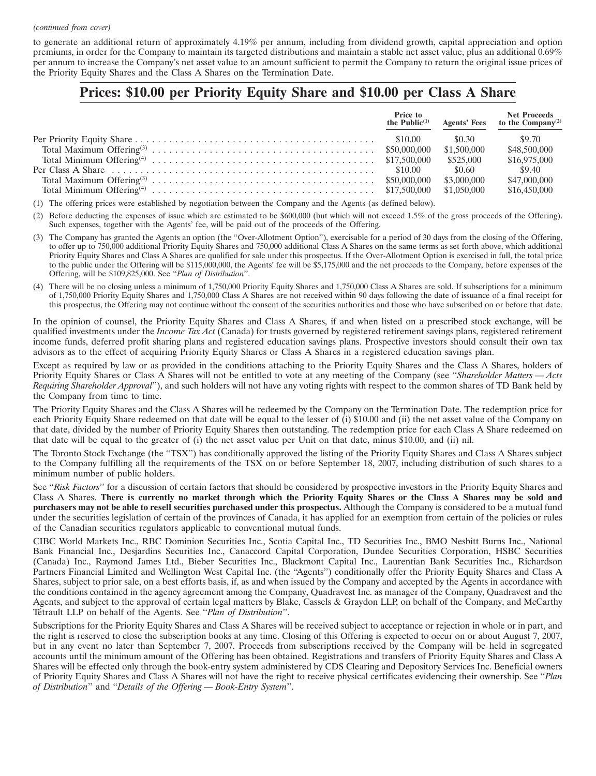#### *(continued from cover)*

to generate an additional return of approximately 4.19% per annum, including from dividend growth, capital appreciation and option premiums, in order for the Company to maintain its targeted distributions and maintain a stable net asset value, plus an additional 0.69% per annum to increase the Company's net asset value to an amount sufficient to permit the Company to return the original issue prices of the Priority Equity Shares and the Class A Shares on the Termination Date.

# **Prices: \$10.00 per Priority Equity Share and \$10.00 per Class A Share**

| the Public $(1)$ |             | Price to Met Proceeds<br>he Public <sup>(1)</sup> Agents' Fees to the Company <sup>(2)</sup> |
|------------------|-------------|----------------------------------------------------------------------------------------------|
|                  | \$0.30      | \$9.70                                                                                       |
|                  | \$1,500,000 | \$48,500,000                                                                                 |
|                  | \$525,000   | \$16,975,000                                                                                 |
|                  | \$0.60      | \$9.40                                                                                       |
|                  | \$3,000,000 | \$47,000,000                                                                                 |
|                  |             | \$16,450,000                                                                                 |

(1) The offering prices were established by negotiation between the Company and the Agents (as defined below).

(2) Before deducting the expenses of issue which are estimated to be \$600,000 (but which will not exceed 1.5% of the gross proceeds of the Offering). Such expenses, together with the Agents' fee, will be paid out of the proceeds of the Offering.

- (3) The Company has granted the Agents an option (the ''Over-Allotment Option''), exercisable for a period of 30 days from the closing of the Offering, to offer up to 750,000 additional Priority Equity Shares and 750,000 additional Class A Shares on the same terms as set forth above, which additional Priority Equity Shares and Class A Shares are qualified for sale under this prospectus. If the Over-Allotment Option is exercised in full, the total price to the public under the Offering will be \$115,000,000, the Agents' fee will be \$5,175,000 and the net proceeds to the Company, before expenses of the Offering, will be \$109,825,000. See ''*Plan of Distribution*''.
- (4) There will be no closing unless a minimum of 1,750,000 Priority Equity Shares and 1,750,000 Class A Shares are sold. If subscriptions for a minimum of 1,750,000 Priority Equity Shares and 1,750,000 Class A Shares are not received within 90 days following the date of issuance of a final receipt for this prospectus, the Offering may not continue without the consent of the securities authorities and those who have subscribed on or before that date.

In the opinion of counsel, the Priority Equity Shares and Class A Shares, if and when listed on a prescribed stock exchange, will be qualified investments under the *Income Tax Act* (Canada) for trusts governed by registered retirement savings plans, registered retirement income funds, deferred profit sharing plans and registered education savings plans. Prospective investors should consult their own tax advisors as to the effect of acquiring Priority Equity Shares or Class A Shares in a registered education savings plan.

Except as required by law or as provided in the conditions attaching to the Priority Equity Shares and the Class A Shares, holders of Priority Equity Shares or Class A Shares will not be entitled to vote at any meeting of the Company (see ''*Shareholder Matters — Acts Requiring Shareholder Approval*''), and such holders will not have any voting rights with respect to the common shares of TD Bank held by the Company from time to time.

The Priority Equity Shares and the Class A Shares will be redeemed by the Company on the Termination Date. The redemption price for each Priority Equity Share redeemed on that date will be equal to the lesser of (i) \$10.00 and (ii) the net asset value of the Company on that date, divided by the number of Priority Equity Shares then outstanding. The redemption price for each Class A Share redeemed on that date will be equal to the greater of (i) the net asset value per Unit on that date, minus \$10.00, and (ii) nil.

The Toronto Stock Exchange (the ''TSX'') has conditionally approved the listing of the Priority Equity Shares and Class A Shares subject to the Company fulfilling all the requirements of the TSX on or before September 18, 2007, including distribution of such shares to a minimum number of public holders.

See ''*Risk Factors*'' for a discussion of certain factors that should be considered by prospective investors in the Priority Equity Shares and Class A Shares. **There is currently no market through which the Priority Equity Shares or the Class A Shares may be sold and purchasers may not be able to resell securities purchased under this prospectus.** Although the Company is considered to be a mutual fund under the securities legislation of certain of the provinces of Canada, it has applied for an exemption from certain of the policies or rules of the Canadian securities regulators applicable to conventional mutual funds.

CIBC World Markets Inc., RBC Dominion Securities Inc., Scotia Capital Inc., TD Securities Inc., BMO Nesbitt Burns Inc., National Bank Financial Inc., Desjardins Securities Inc., Canaccord Capital Corporation, Dundee Securities Corporation, HSBC Securities (Canada) Inc., Raymond James Ltd., Bieber Securities Inc., Blackmont Capital Inc., Laurentian Bank Securities Inc., Richardson Partners Financial Limited and Wellington West Capital Inc. (the ''Agents'') conditionally offer the Priority Equity Shares and Class A Shares, subject to prior sale, on a best efforts basis, if, as and when issued by the Company and accepted by the Agents in accordance with the conditions contained in the agency agreement among the Company, Quadravest Inc. as manager of the Company, Quadravest and the Agents, and subject to the approval of certain legal matters by Blake, Cassels & Graydon LLP, on behalf of the Company, and McCarthy Tétrault LLP on behalf of the Agents. See "*Plan of Distribution*".

Subscriptions for the Priority Equity Shares and Class A Shares will be received subject to acceptance or rejection in whole or in part, and the right is reserved to close the subscription books at any time. Closing of this Offering is expected to occur on or about August 7, 2007, but in any event no later than September 7, 2007. Proceeds from subscriptions received by the Company will be held in segregated accounts until the minimum amount of the Offering has been obtained. Registrations and transfers of Priority Equity Shares and Class A Shares will be effected only through the book-entry system administered by CDS Clearing and Depository Services Inc. Beneficial owners of Priority Equity Shares and Class A Shares will not have the right to receive physical certificates evidencing their ownership. See ''*Plan of Distribution*'' and ''*Details of the Offering — Book-Entry System*''.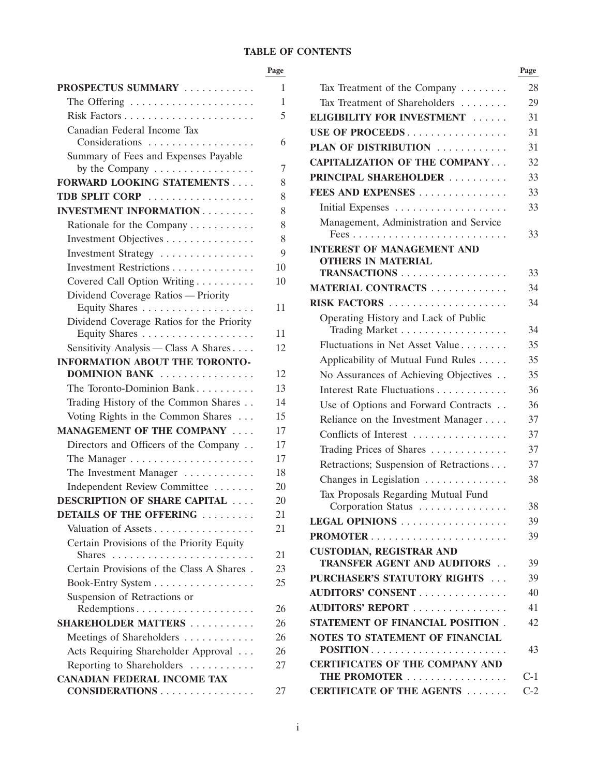# **TABLE OF CONTENTS**

#### **Page Page**

| PROSPECTUS SUMMARY                        | 1  | Tax Treatment of the Company                                           |
|-------------------------------------------|----|------------------------------------------------------------------------|
| The Offering                              | 1  | Tax Treatment of Shareholders                                          |
|                                           | 5  | ELIGIBILITY FOR INVESTMENT                                             |
| Canadian Federal Income Tax               |    | USE OF PROCEEDS                                                        |
| Considerations                            | 6  | PLAN OF DISTRIBUTION                                                   |
| Summary of Fees and Expenses Payable      |    | <b>CAPITALIZATION OF THE COMPANY</b>                                   |
| by the Company                            | 7  | PRINCIPAL SHAREHOLDER                                                  |
| <b>FORWARD LOOKING STATEMENTS</b>         | 8  | FEES AND EXPENSES                                                      |
| TDB SPLIT CORP                            | 8  |                                                                        |
| <b>INVESTMENT INFORMATION</b>             | 8  |                                                                        |
| Rationale for the Company                 | 8  | Management, Administration and Service                                 |
| Investment Objectives                     | 8  |                                                                        |
| Investment Strategy                       | 9  | <b>INTEREST OF MANAGEMENT AND</b><br><b>OTHERS IN MATERIAL</b>         |
| Investment Restrictions                   | 10 | TRANSACTIONS                                                           |
| Covered Call Option Writing               | 10 | MATERIAL CONTRACTS                                                     |
| Dividend Coverage Ratios - Priority       |    | RISK FACTORS                                                           |
| Equity Shares                             | 11 | Operating History and Lack of Public                                   |
| Dividend Coverage Ratios for the Priority | 11 | Trading Market                                                         |
| Sensitivity Analysis - Class A Shares     | 12 | Fluctuations in Net Asset Value                                        |
| INFORMATION ABOUT THE TORONTO-            |    | Applicability of Mutual Fund Rules                                     |
| DOMINION BANK                             | 12 | No Assurances of Achieving Objectives .                                |
| The Toronto-Dominion Bank                 | 13 | Interest Rate Fluctuations                                             |
| Trading History of the Common Shares      | 14 | Use of Options and Forward Contracts.                                  |
| Voting Rights in the Common Shares        | 15 | Reliance on the Investment Manager                                     |
| MANAGEMENT OF THE COMPANY                 | 17 | Conflicts of Interest                                                  |
| Directors and Officers of the Company     | 17 | Trading Prices of Shares                                               |
|                                           | 17 |                                                                        |
| The Investment Manager                    | 18 | Retractions; Suspension of Retractions                                 |
| Independent Review Committee              | 20 | Changes in Legislation                                                 |
| <b>DESCRIPTION OF SHARE CAPITAL </b>      | 20 | Tax Proposals Regarding Mutual Fund                                    |
| <b>DETAILS OF THE OFFERING </b>           | 21 | Corporation Status<br>LEGAL OPINIONS                                   |
| Valuation of Assets                       | 21 |                                                                        |
| Certain Provisions of the Priority Equity |    |                                                                        |
|                                           | 21 | <b>CUSTODIAN, REGISTRAR AND</b><br><b>TRANSFER AGENT AND AUDITORS.</b> |
| Certain Provisions of the Class A Shares. | 23 |                                                                        |
| Book-Entry System                         | 25 | PURCHASER'S STATUTORY RIGHTS                                           |
| Suspension of Retractions or              |    | AUDITORS' CONSENT                                                      |
| Redemptions                               | 26 | AUDITORS' REPORT                                                       |
| <b>SHAREHOLDER MATTERS </b>               | 26 | STATEMENT OF FINANCIAL POSITION                                        |
| Meetings of Shareholders                  | 26 | NOTES TO STATEMENT OF FINANCIAL                                        |
| Acts Requiring Shareholder Approval       | 26 | POSITION                                                               |
| Reporting to Shareholders                 | 27 | <b>CERTIFICATES OF THE COMPANY AND</b>                                 |
| <b>CANADIAN FEDERAL INCOME TAX</b>        |    | THE PROMOTER                                                           |
| CONSIDERATIONS                            | 27 | <b>CERTIFICATE OF THE AGENTS </b>                                      |

| PROSPECTUS SUMMARY                                                             | 1  | Tax Treatment of the Company                           | 28    |
|--------------------------------------------------------------------------------|----|--------------------------------------------------------|-------|
| The Offering                                                                   | 1  | Tax Treatment of Shareholders                          | 29    |
|                                                                                | 5  | ELIGIBILITY FOR INVESTMENT                             | 31    |
| Canadian Federal Income Tax                                                    |    | USE OF PROCEEDS                                        | 31    |
| Considerations                                                                 | 6  | PLAN OF DISTRIBUTION                                   | 31    |
| Summary of Fees and Expenses Payable                                           |    | <b>CAPITALIZATION OF THE COMPANY</b>                   | 32    |
| by the Company                                                                 | 7  | PRINCIPAL SHAREHOLDER                                  | 33    |
| <b>FORWARD LOOKING STATEMENTS</b>                                              | 8  | FEES AND EXPENSES                                      | 33    |
| TDB SPLIT CORP                                                                 | 8  |                                                        | 33    |
| <b>INVESTMENT INFORMATION</b>                                                  | 8  | Management, Administration and Service                 |       |
| Rationale for the Company                                                      | 8  |                                                        | 33    |
| Investment Objectives                                                          | 8  | <b>INTEREST OF MANAGEMENT AND</b>                      |       |
| Investment Strategy                                                            | 9  | <b>OTHERS IN MATERIAL</b>                              |       |
| Investment Restrictions                                                        | 10 | TRANSACTIONS                                           | 33    |
| Covered Call Option Writing                                                    | 10 | MATERIAL CONTRACTS                                     | 34    |
| Dividend Coverage Ratios - Priority<br>Equity Shares                           | 11 | RISK FACTORS                                           | 34    |
| Dividend Coverage Ratios for the Priority                                      |    | Operating History and Lack of Public<br>Trading Market | 34    |
|                                                                                | 11 | Fluctuations in Net Asset Value                        | 35    |
| Sensitivity Analysis — Class A Shares<br><b>INFORMATION ABOUT THE TORONTO-</b> | 12 | Applicability of Mutual Fund Rules                     | 35    |
| DOMINION BANK                                                                  | 12 | No Assurances of Achieving Objectives                  | 35    |
| The Toronto-Dominion Bank                                                      | 13 | Interest Rate Fluctuations                             | 36    |
| Trading History of the Common Shares                                           | 14 |                                                        |       |
| Voting Rights in the Common Shares                                             | 15 | Use of Options and Forward Contracts                   | 36    |
| MANAGEMENT OF THE COMPANY                                                      | 17 | Reliance on the Investment Manager                     | 37    |
| Directors and Officers of the Company                                          | 17 | Conflicts of Interest                                  | 37    |
|                                                                                | 17 | Trading Prices of Shares                               | 37    |
| The Investment Manager                                                         | 18 | Retractions; Suspension of Retractions                 | 37    |
| Independent Review Committee                                                   | 20 | Changes in Legislation                                 | 38    |
| <b>DESCRIPTION OF SHARE CAPITAL </b>                                           | 20 | Tax Proposals Regarding Mutual Fund                    |       |
| DETAILS OF THE OFFERING                                                        | 21 | Corporation Status                                     | 38    |
| Valuation of Assets                                                            | 21 | LEGAL OPINIONS                                         | 39    |
| Certain Provisions of the Priority Equity                                      |    |                                                        | 39    |
|                                                                                | 21 | <b>CUSTODIAN, REGISTRAR AND</b>                        |       |
| Certain Provisions of the Class A Shares.                                      | 23 | <b>TRANSFER AGENT AND AUDITORS </b>                    | 39    |
| Book-Entry System                                                              | 25 | PURCHASER'S STATUTORY RIGHTS                           | 39    |
| Suspension of Retractions or                                                   |    | AUDITORS' CONSENT                                      | 40    |
| Redemptions                                                                    | 26 | AUDITORS' REPORT                                       | 41    |
| <b>SHAREHOLDER MATTERS </b>                                                    | 26 | STATEMENT OF FINANCIAL POSITION.                       | 42    |
| Meetings of Shareholders                                                       | 26 | NOTES TO STATEMENT OF FINANCIAL                        |       |
| Acts Requiring Shareholder Approval                                            | 26 | POSITION                                               | 43    |
| Reporting to Shareholders                                                      | 27 | <b>CERTIFICATES OF THE COMPANY AND</b>                 |       |
| CANADIAN FEDERAL INCOME TAX                                                    |    | THE PROMOTER                                           | $C-1$ |
| CONSIDERATIONS                                                                 | 27 | <b>CERTIFICATE OF THE AGENTS </b>                      | $C-2$ |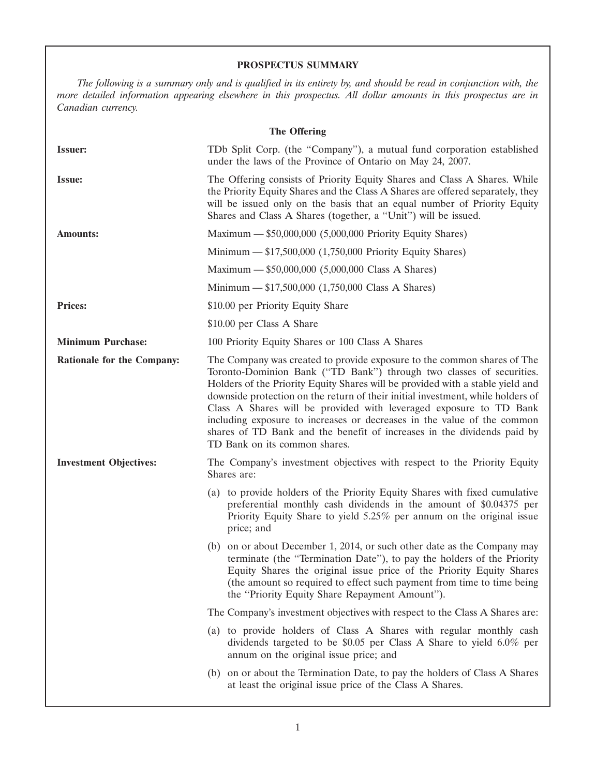# **PROSPECTUS SUMMARY**

*The following is a summary only and is qualified in its entirety by, and should be read in conjunction with, the more detailed information appearing elsewhere in this prospectus. All dollar amounts in this prospectus are in Canadian currency.*

| <b>The Offering</b>           |                                                                                                                                                                                                                                                                                                                                                                                                                                                                                                                                                                                   |  |  |  |  |  |  |
|-------------------------------|-----------------------------------------------------------------------------------------------------------------------------------------------------------------------------------------------------------------------------------------------------------------------------------------------------------------------------------------------------------------------------------------------------------------------------------------------------------------------------------------------------------------------------------------------------------------------------------|--|--|--|--|--|--|
| <b>Issuer:</b>                | TDb Split Corp. (the "Company"), a mutual fund corporation established<br>under the laws of the Province of Ontario on May 24, 2007.                                                                                                                                                                                                                                                                                                                                                                                                                                              |  |  |  |  |  |  |
| <b>Issue:</b>                 | The Offering consists of Priority Equity Shares and Class A Shares. While<br>the Priority Equity Shares and the Class A Shares are offered separately, they<br>will be issued only on the basis that an equal number of Priority Equity<br>Shares and Class A Shares (together, a "Unit") will be issued.                                                                                                                                                                                                                                                                         |  |  |  |  |  |  |
| <b>Amounts:</b>               | Maximum - \$50,000,000 (5,000,000 Priority Equity Shares)                                                                                                                                                                                                                                                                                                                                                                                                                                                                                                                         |  |  |  |  |  |  |
|                               | Minimum - \$17,500,000 (1,750,000 Priority Equity Shares)                                                                                                                                                                                                                                                                                                                                                                                                                                                                                                                         |  |  |  |  |  |  |
|                               | Maximum - \$50,000,000 (5,000,000 Class A Shares)                                                                                                                                                                                                                                                                                                                                                                                                                                                                                                                                 |  |  |  |  |  |  |
|                               | Minimum - \$17,500,000 (1,750,000 Class A Shares)                                                                                                                                                                                                                                                                                                                                                                                                                                                                                                                                 |  |  |  |  |  |  |
| <b>Prices:</b>                | \$10.00 per Priority Equity Share                                                                                                                                                                                                                                                                                                                                                                                                                                                                                                                                                 |  |  |  |  |  |  |
|                               | \$10.00 per Class A Share                                                                                                                                                                                                                                                                                                                                                                                                                                                                                                                                                         |  |  |  |  |  |  |
| <b>Minimum Purchase:</b>      | 100 Priority Equity Shares or 100 Class A Shares                                                                                                                                                                                                                                                                                                                                                                                                                                                                                                                                  |  |  |  |  |  |  |
| Rationale for the Company:    | The Company was created to provide exposure to the common shares of The<br>Toronto-Dominion Bank ("TD Bank") through two classes of securities.<br>Holders of the Priority Equity Shares will be provided with a stable yield and<br>downside protection on the return of their initial investment, while holders of<br>Class A Shares will be provided with leveraged exposure to TD Bank<br>including exposure to increases or decreases in the value of the common<br>shares of TD Bank and the benefit of increases in the dividends paid by<br>TD Bank on its common shares. |  |  |  |  |  |  |
| <b>Investment Objectives:</b> | The Company's investment objectives with respect to the Priority Equity<br>Shares are:                                                                                                                                                                                                                                                                                                                                                                                                                                                                                            |  |  |  |  |  |  |
|                               | (a) to provide holders of the Priority Equity Shares with fixed cumulative<br>preferential monthly cash dividends in the amount of \$0.04375 per<br>Priority Equity Share to yield 5.25% per annum on the original issue<br>price; and                                                                                                                                                                                                                                                                                                                                            |  |  |  |  |  |  |
|                               | (b) on or about December 1, 2014, or such other date as the Company may<br>terminate (the "Termination Date"), to pay the holders of the Priority<br>Equity Shares the original issue price of the Priority Equity Shares<br>(the amount so required to effect such payment from time to time being<br>the "Priority Equity Share Repayment Amount").                                                                                                                                                                                                                             |  |  |  |  |  |  |
|                               | The Company's investment objectives with respect to the Class A Shares are:                                                                                                                                                                                                                                                                                                                                                                                                                                                                                                       |  |  |  |  |  |  |
|                               | (a) to provide holders of Class A Shares with regular monthly cash<br>dividends targeted to be \$0.05 per Class A Share to yield 6.0% per<br>annum on the original issue price; and                                                                                                                                                                                                                                                                                                                                                                                               |  |  |  |  |  |  |
|                               | (b) on or about the Termination Date, to pay the holders of Class A Shares<br>at least the original issue price of the Class A Shares.                                                                                                                                                                                                                                                                                                                                                                                                                                            |  |  |  |  |  |  |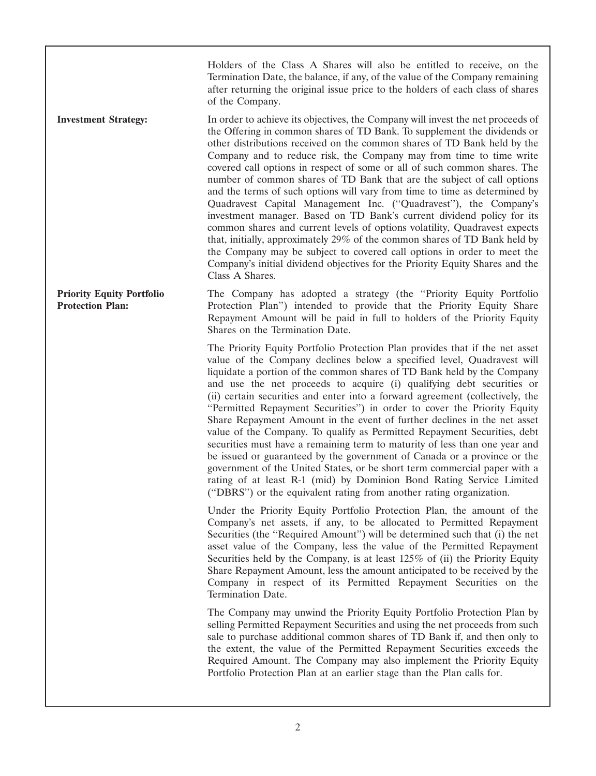Holders of the Class A Shares will also be entitled to receive, on the Termination Date, the balance, if any, of the value of the Company remaining after returning the original issue price to the holders of each class of shares of the Company.

**Investment Strategy:** In order to achieve its objectives, the Company will invest the net proceeds of the Offering in common shares of TD Bank. To supplement the dividends or other distributions received on the common shares of TD Bank held by the Company and to reduce risk, the Company may from time to time write covered call options in respect of some or all of such common shares. The number of common shares of TD Bank that are the subject of call options and the terms of such options will vary from time to time as determined by Quadravest Capital Management Inc. (''Quadravest''), the Company's investment manager. Based on TD Bank's current dividend policy for its common shares and current levels of options volatility, Quadravest expects that, initially, approximately 29% of the common shares of TD Bank held by the Company may be subject to covered call options in order to meet the Company's initial dividend objectives for the Priority Equity Shares and the Class A Shares.

**Priority Equity Portfolio** The Company has adopted a strategy (the "Priority Equity Portfolio **Protection Plan:** Protection Plan'') intended to provide that the Priority Equity Share Repayment Amount will be paid in full to holders of the Priority Equity Shares on the Termination Date.

> The Priority Equity Portfolio Protection Plan provides that if the net asset value of the Company declines below a specified level, Quadravest will liquidate a portion of the common shares of TD Bank held by the Company and use the net proceeds to acquire (i) qualifying debt securities or (ii) certain securities and enter into a forward agreement (collectively, the ''Permitted Repayment Securities'') in order to cover the Priority Equity Share Repayment Amount in the event of further declines in the net asset value of the Company. To qualify as Permitted Repayment Securities, debt securities must have a remaining term to maturity of less than one year and be issued or guaranteed by the government of Canada or a province or the government of the United States, or be short term commercial paper with a rating of at least R-1 (mid) by Dominion Bond Rating Service Limited (''DBRS'') or the equivalent rating from another rating organization.

> Under the Priority Equity Portfolio Protection Plan, the amount of the Company's net assets, if any, to be allocated to Permitted Repayment Securities (the "Required Amount") will be determined such that (i) the net asset value of the Company, less the value of the Permitted Repayment Securities held by the Company, is at least 125% of (ii) the Priority Equity Share Repayment Amount, less the amount anticipated to be received by the Company in respect of its Permitted Repayment Securities on the Termination Date.

> The Company may unwind the Priority Equity Portfolio Protection Plan by selling Permitted Repayment Securities and using the net proceeds from such sale to purchase additional common shares of TD Bank if, and then only to the extent, the value of the Permitted Repayment Securities exceeds the Required Amount. The Company may also implement the Priority Equity Portfolio Protection Plan at an earlier stage than the Plan calls for.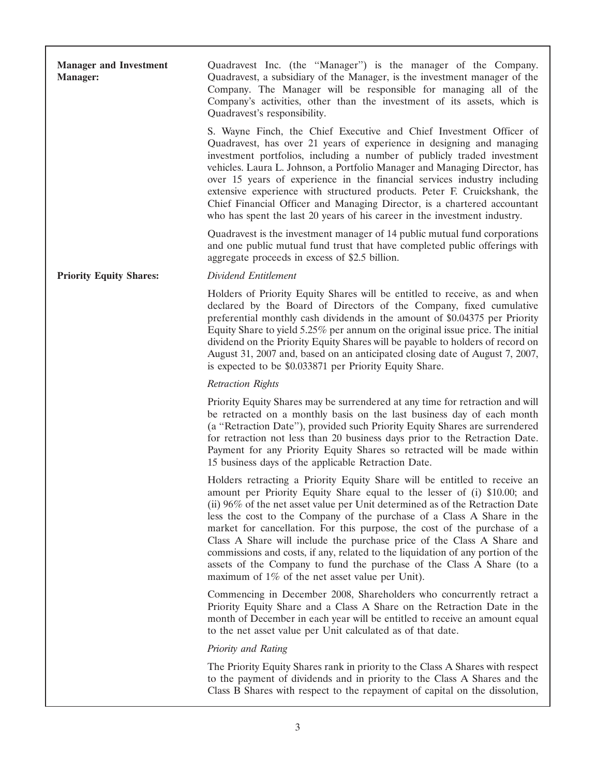| <b>Manager and Investment</b><br><b>Manager:</b> | Quadravest Inc. (the "Manager") is the manager of the Company.<br>Quadravest, a subsidiary of the Manager, is the investment manager of the<br>Company. The Manager will be responsible for managing all of the<br>Company's activities, other than the investment of its assets, which is<br>Quadravest's responsibility.                                                                                                                                                                                                                                                                                                                                                               |
|--------------------------------------------------|------------------------------------------------------------------------------------------------------------------------------------------------------------------------------------------------------------------------------------------------------------------------------------------------------------------------------------------------------------------------------------------------------------------------------------------------------------------------------------------------------------------------------------------------------------------------------------------------------------------------------------------------------------------------------------------|
|                                                  | S. Wayne Finch, the Chief Executive and Chief Investment Officer of<br>Quadravest, has over 21 years of experience in designing and managing<br>investment portfolios, including a number of publicly traded investment<br>vehicles. Laura L. Johnson, a Portfolio Manager and Managing Director, has<br>over 15 years of experience in the financial services industry including<br>extensive experience with structured products. Peter F. Cruickshank, the<br>Chief Financial Officer and Managing Director, is a chartered accountant<br>who has spent the last 20 years of his career in the investment industry.                                                                   |
|                                                  | Quadravest is the investment manager of 14 public mutual fund corporations<br>and one public mutual fund trust that have completed public offerings with<br>aggregate proceeds in excess of \$2.5 billion.                                                                                                                                                                                                                                                                                                                                                                                                                                                                               |
| <b>Priority Equity Shares:</b>                   | Dividend Entitlement                                                                                                                                                                                                                                                                                                                                                                                                                                                                                                                                                                                                                                                                     |
|                                                  | Holders of Priority Equity Shares will be entitled to receive, as and when<br>declared by the Board of Directors of the Company, fixed cumulative<br>preferential monthly cash dividends in the amount of \$0.04375 per Priority<br>Equity Share to yield 5.25% per annum on the original issue price. The initial<br>dividend on the Priority Equity Shares will be payable to holders of record on<br>August 31, 2007 and, based on an anticipated closing date of August 7, 2007,<br>is expected to be \$0.033871 per Priority Equity Share.                                                                                                                                          |
|                                                  | <b>Retraction Rights</b>                                                                                                                                                                                                                                                                                                                                                                                                                                                                                                                                                                                                                                                                 |
|                                                  | Priority Equity Shares may be surrendered at any time for retraction and will<br>be retracted on a monthly basis on the last business day of each month<br>(a "Retraction Date"), provided such Priority Equity Shares are surrendered<br>for retraction not less than 20 business days prior to the Retraction Date.<br>Payment for any Priority Equity Shares so retracted will be made within<br>15 business days of the applicable Retraction Date.                                                                                                                                                                                                                                  |
|                                                  | Holders retracting a Priority Equity Share will be entitled to receive an<br>amount per Priority Equity Share equal to the lesser of (i) \$10.00; and<br>(ii) 96% of the net asset value per Unit determined as of the Retraction Date<br>less the cost to the Company of the purchase of a Class A Share in the<br>market for cancellation. For this purpose, the cost of the purchase of a<br>Class A Share will include the purchase price of the Class A Share and<br>commissions and costs, if any, related to the liquidation of any portion of the<br>assets of the Company to fund the purchase of the Class A Share (to a<br>maximum of $1\%$ of the net asset value per Unit). |
|                                                  | Commencing in December 2008, Shareholders who concurrently retract a<br>Priority Equity Share and a Class A Share on the Retraction Date in the<br>month of December in each year will be entitled to receive an amount equal<br>to the net asset value per Unit calculated as of that date.                                                                                                                                                                                                                                                                                                                                                                                             |
|                                                  | <b>Priority and Rating</b>                                                                                                                                                                                                                                                                                                                                                                                                                                                                                                                                                                                                                                                               |
|                                                  | The Priority Equity Shares rank in priority to the Class A Shares with respect<br>to the payment of dividends and in priority to the Class A Shares and the<br>Class B Shares with respect to the repayment of capital on the dissolution,                                                                                                                                                                                                                                                                                                                                                                                                                                               |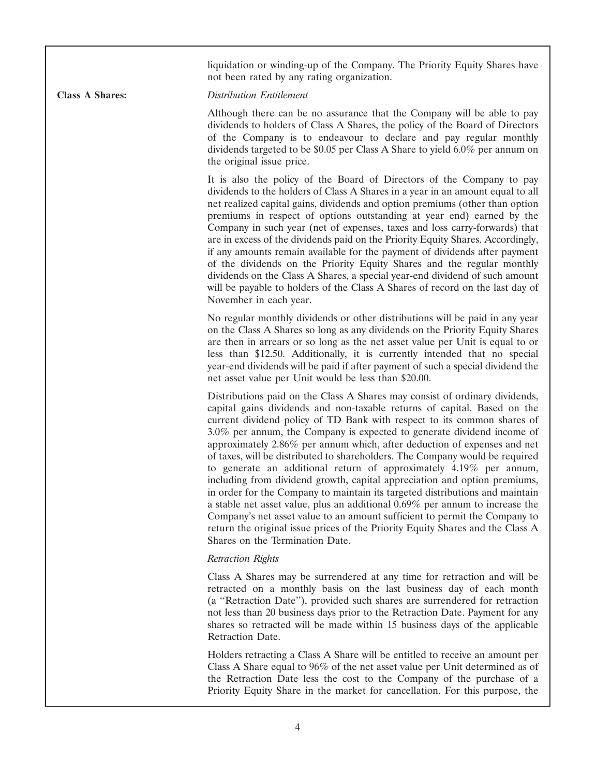liquidation or winding-up of the Company. The Priority Equity Shares have not been rated by any rating organization.

**Class A Shares:** *Distribution Entitlement*

Although there can be no assurance that the Company will be able to pay dividends to holders of Class A Shares, the policy of the Board of Directors of the Company is to endeavour to declare and pay regular monthly dividends targeted to be \$0.05 per Class A Share to yield 6.0% per annum on the original issue price.

It is also the policy of the Board of Directors of the Company to pay dividends to the holders of Class A Shares in a year in an amount equal to all net realized capital gains, dividends and option premiums (other than option premiums in respect of options outstanding at year end) earned by the Company in such year (net of expenses, taxes and loss carry-forwards) that are in excess of the dividends paid on the Priority Equity Shares. Accordingly, if any amounts remain available for the payment of dividends after payment of the dividends on the Priority Equity Shares and the regular monthly dividends on the Class A Shares, a special year-end dividend of such amount will be payable to holders of the Class A Shares of record on the last day of November in each year.

No regular monthly dividends or other distributions will be paid in any year on the Class A Shares so long as any dividends on the Priority Equity Shares are then in arrears or so long as the net asset value per Unit is equal to or less than \$12.50. Additionally, it is currently intended that no special year-end dividends will be paid if after payment of such a special dividend the net asset value per Unit would be less than \$20.00.

Distributions paid on the Class A Shares may consist of ordinary dividends, capital gains dividends and non-taxable returns of capital. Based on the current dividend policy of TD Bank with respect to its common shares of 3.0% per annum, the Company is expected to generate dividend income of approximately 2.86% per annum which, after deduction of expenses and net of taxes, will be distributed to shareholders. The Company would be required to generate an additional return of approximately 4.19% per annum, including from dividend growth, capital appreciation and option premiums, in order for the Company to maintain its targeted distributions and maintain a stable net asset value, plus an additional 0.69% per annum to increase the Company's net asset value to an amount sufficient to permit the Company to return the original issue prices of the Priority Equity Shares and the Class A Shares on the Termination Date.

# *Retraction Rights*

Class A Shares may be surrendered at any time for retraction and will be retracted on a monthly basis on the last business day of each month (a ''Retraction Date''), provided such shares are surrendered for retraction not less than 20 business days prior to the Retraction Date. Payment for any shares so retracted will be made within 15 business days of the applicable Retraction Date.

Holders retracting a Class A Share will be entitled to receive an amount per Class A Share equal to 96% of the net asset value per Unit determined as of the Retraction Date less the cost to the Company of the purchase of a Priority Equity Share in the market for cancellation. For this purpose, the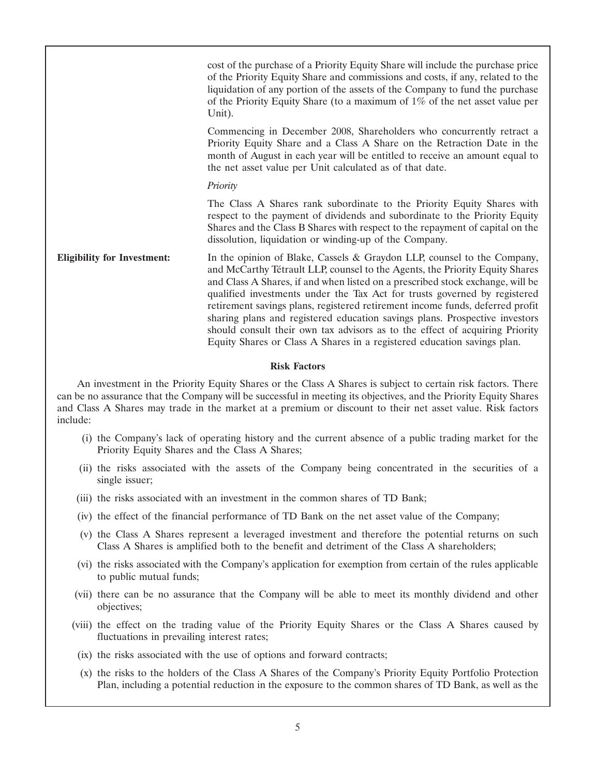|                                    | cost of the purchase of a Priority Equity Share will include the purchase price<br>of the Priority Equity Share and commissions and costs, if any, related to the<br>liquidation of any portion of the assets of the Company to fund the purchase<br>of the Priority Equity Share (to a maximum of $1\%$ of the net asset value per<br>Unit).                                                                                                                                                                                                                                                                                                     |
|------------------------------------|---------------------------------------------------------------------------------------------------------------------------------------------------------------------------------------------------------------------------------------------------------------------------------------------------------------------------------------------------------------------------------------------------------------------------------------------------------------------------------------------------------------------------------------------------------------------------------------------------------------------------------------------------|
|                                    | Commencing in December 2008, Shareholders who concurrently retract a<br>Priority Equity Share and a Class A Share on the Retraction Date in the<br>month of August in each year will be entitled to receive an amount equal to<br>the net asset value per Unit calculated as of that date.                                                                                                                                                                                                                                                                                                                                                        |
|                                    | Priority                                                                                                                                                                                                                                                                                                                                                                                                                                                                                                                                                                                                                                          |
|                                    | The Class A Shares rank subordinate to the Priority Equity Shares with<br>respect to the payment of dividends and subordinate to the Priority Equity<br>Shares and the Class B Shares with respect to the repayment of capital on the<br>dissolution, liquidation or winding-up of the Company.                                                                                                                                                                                                                                                                                                                                                   |
| <b>Eligibility for Investment:</b> | In the opinion of Blake, Cassels & Graydon LLP, counsel to the Company,<br>and McCarthy Tétrault LLP, counsel to the Agents, the Priority Equity Shares<br>and Class A Shares, if and when listed on a prescribed stock exchange, will be<br>qualified investments under the Tax Act for trusts governed by registered<br>retirement savings plans, registered retirement income funds, deferred profit<br>sharing plans and registered education savings plans. Prospective investors<br>should consult their own tax advisors as to the effect of acquiring Priority<br>Equity Shares or Class A Shares in a registered education savings plan. |

# **Risk Factors**

An investment in the Priority Equity Shares or the Class A Shares is subject to certain risk factors. There can be no assurance that the Company will be successful in meeting its objectives, and the Priority Equity Shares and Class A Shares may trade in the market at a premium or discount to their net asset value. Risk factors include:

- (i) the Company's lack of operating history and the current absence of a public trading market for the Priority Equity Shares and the Class A Shares;
- (ii) the risks associated with the assets of the Company being concentrated in the securities of a single issuer;
- (iii) the risks associated with an investment in the common shares of TD Bank;
- (iv) the effect of the financial performance of TD Bank on the net asset value of the Company;
- (v) the Class A Shares represent a leveraged investment and therefore the potential returns on such Class A Shares is amplified both to the benefit and detriment of the Class A shareholders;
- (vi) the risks associated with the Company's application for exemption from certain of the rules applicable to public mutual funds;
- (vii) there can be no assurance that the Company will be able to meet its monthly dividend and other objectives;
- (viii) the effect on the trading value of the Priority Equity Shares or the Class A Shares caused by fluctuations in prevailing interest rates;
- (ix) the risks associated with the use of options and forward contracts;
- (x) the risks to the holders of the Class A Shares of the Company's Priority Equity Portfolio Protection Plan, including a potential reduction in the exposure to the common shares of TD Bank, as well as the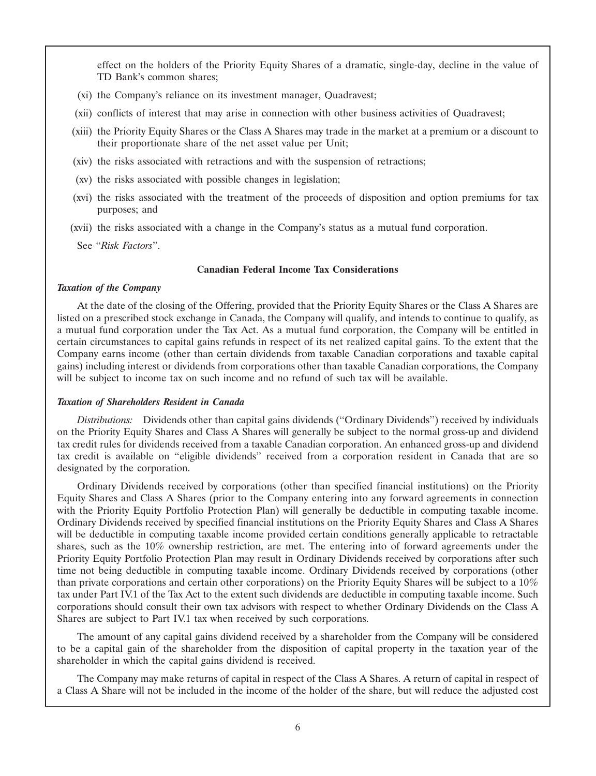effect on the holders of the Priority Equity Shares of a dramatic, single-day, decline in the value of TD Bank's common shares;

- (xi) the Company's reliance on its investment manager, Quadravest;
- (xii) conflicts of interest that may arise in connection with other business activities of Quadravest;
- (xiii) the Priority Equity Shares or the Class A Shares may trade in the market at a premium or a discount to their proportionate share of the net asset value per Unit;
- (xiv) the risks associated with retractions and with the suspension of retractions;
- (xv) the risks associated with possible changes in legislation;
- (xvi) the risks associated with the treatment of the proceeds of disposition and option premiums for tax purposes; and
- (xvii) the risks associated with a change in the Company's status as a mutual fund corporation.

See ''*Risk Factors*''.

# **Canadian Federal Income Tax Considerations**

#### *Taxation of the Company*

At the date of the closing of the Offering, provided that the Priority Equity Shares or the Class A Shares are listed on a prescribed stock exchange in Canada, the Company will qualify, and intends to continue to qualify, as a mutual fund corporation under the Tax Act. As a mutual fund corporation, the Company will be entitled in certain circumstances to capital gains refunds in respect of its net realized capital gains. To the extent that the Company earns income (other than certain dividends from taxable Canadian corporations and taxable capital gains) including interest or dividends from corporations other than taxable Canadian corporations, the Company will be subject to income tax on such income and no refund of such tax will be available.

# *Taxation of Shareholders Resident in Canada*

*Distributions:* Dividends other than capital gains dividends (''Ordinary Dividends'') received by individuals on the Priority Equity Shares and Class A Shares will generally be subject to the normal gross-up and dividend tax credit rules for dividends received from a taxable Canadian corporation. An enhanced gross-up and dividend tax credit is available on ''eligible dividends'' received from a corporation resident in Canada that are so designated by the corporation.

Ordinary Dividends received by corporations (other than specified financial institutions) on the Priority Equity Shares and Class A Shares (prior to the Company entering into any forward agreements in connection with the Priority Equity Portfolio Protection Plan) will generally be deductible in computing taxable income. Ordinary Dividends received by specified financial institutions on the Priority Equity Shares and Class A Shares will be deductible in computing taxable income provided certain conditions generally applicable to retractable shares, such as the 10% ownership restriction, are met. The entering into of forward agreements under the Priority Equity Portfolio Protection Plan may result in Ordinary Dividends received by corporations after such time not being deductible in computing taxable income. Ordinary Dividends received by corporations (other than private corporations and certain other corporations) on the Priority Equity Shares will be subject to a 10% tax under Part IV.1 of the Tax Act to the extent such dividends are deductible in computing taxable income. Such corporations should consult their own tax advisors with respect to whether Ordinary Dividends on the Class A Shares are subject to Part IV.1 tax when received by such corporations.

The amount of any capital gains dividend received by a shareholder from the Company will be considered to be a capital gain of the shareholder from the disposition of capital property in the taxation year of the shareholder in which the capital gains dividend is received.

The Company may make returns of capital in respect of the Class A Shares. A return of capital in respect of a Class A Share will not be included in the income of the holder of the share, but will reduce the adjusted cost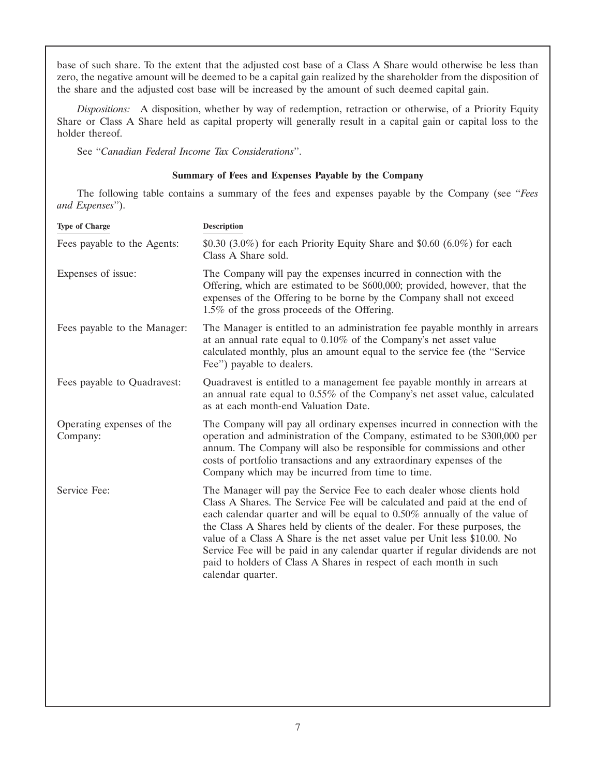base of such share. To the extent that the adjusted cost base of a Class A Share would otherwise be less than zero, the negative amount will be deemed to be a capital gain realized by the shareholder from the disposition of the share and the adjusted cost base will be increased by the amount of such deemed capital gain.

*Dispositions:* A disposition, whether by way of redemption, retraction or otherwise, of a Priority Equity Share or Class A Share held as capital property will generally result in a capital gain or capital loss to the holder thereof.

See ''*Canadian Federal Income Tax Considerations*''.

# **Summary of Fees and Expenses Payable by the Company**

The following table contains a summary of the fees and expenses payable by the Company (see ''*Fees and Expenses*'').

| <b>Type of Charge</b>                 | <b>Description</b>                                                                                                                                                                                                                                                                                                                                                                                                                                                                                                                                                        |
|---------------------------------------|---------------------------------------------------------------------------------------------------------------------------------------------------------------------------------------------------------------------------------------------------------------------------------------------------------------------------------------------------------------------------------------------------------------------------------------------------------------------------------------------------------------------------------------------------------------------------|
| Fees payable to the Agents:           | \$0.30 (3.0%) for each Priority Equity Share and \$0.60 (6.0%) for each<br>Class A Share sold.                                                                                                                                                                                                                                                                                                                                                                                                                                                                            |
| Expenses of issue:                    | The Company will pay the expenses incurred in connection with the<br>Offering, which are estimated to be \$600,000; provided, however, that the<br>expenses of the Offering to be borne by the Company shall not exceed<br>1.5% of the gross proceeds of the Offering.                                                                                                                                                                                                                                                                                                    |
| Fees payable to the Manager:          | The Manager is entitled to an administration fee payable monthly in arrears<br>at an annual rate equal to $0.10\%$ of the Company's net asset value<br>calculated monthly, plus an amount equal to the service fee (the "Service<br>Fee") payable to dealers.                                                                                                                                                                                                                                                                                                             |
| Fees payable to Quadravest:           | Quadravest is entitled to a management fee payable monthly in arrears at<br>an annual rate equal to 0.55% of the Company's net asset value, calculated<br>as at each month-end Valuation Date.                                                                                                                                                                                                                                                                                                                                                                            |
| Operating expenses of the<br>Company: | The Company will pay all ordinary expenses incurred in connection with the<br>operation and administration of the Company, estimated to be \$300,000 per<br>annum. The Company will also be responsible for commissions and other<br>costs of portfolio transactions and any extraordinary expenses of the<br>Company which may be incurred from time to time.                                                                                                                                                                                                            |
| Service Fee:                          | The Manager will pay the Service Fee to each dealer whose clients hold<br>Class A Shares. The Service Fee will be calculated and paid at the end of<br>each calendar quarter and will be equal to $0.50\%$ annually of the value of<br>the Class A Shares held by clients of the dealer. For these purposes, the<br>value of a Class A Share is the net asset value per Unit less \$10.00. No<br>Service Fee will be paid in any calendar quarter if regular dividends are not<br>paid to holders of Class A Shares in respect of each month in such<br>calendar quarter. |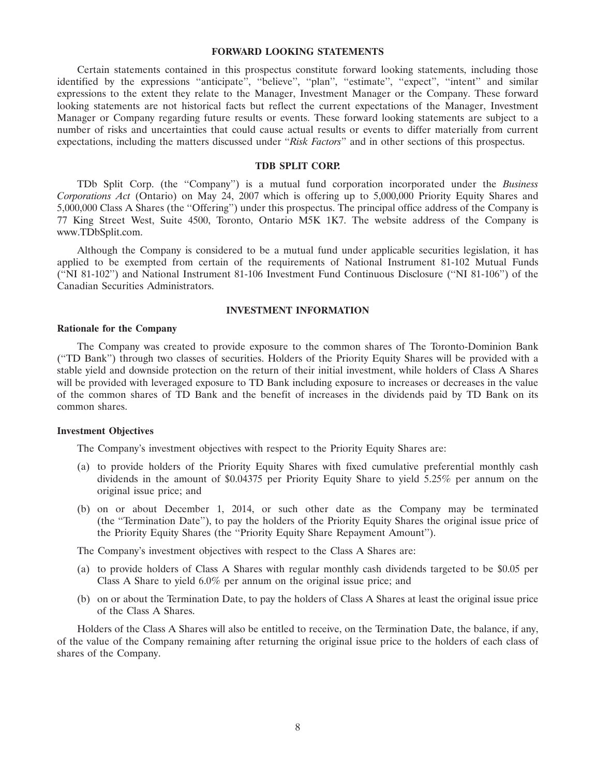#### **FORWARD LOOKING STATEMENTS**

Certain statements contained in this prospectus constitute forward looking statements, including those identified by the expressions "anticipate", "believe", "plan", "estimate", "expect", "intent" and similar expressions to the extent they relate to the Manager, Investment Manager or the Company. These forward looking statements are not historical facts but reflect the current expectations of the Manager, Investment Manager or Company regarding future results or events. These forward looking statements are subject to a number of risks and uncertainties that could cause actual results or events to differ materially from current expectations, including the matters discussed under ''*Risk Factors*'' and in other sections of this prospectus.

# **TDB SPLIT CORP.**

TDb Split Corp. (the ''Company'') is a mutual fund corporation incorporated under the *Business Corporations Act* (Ontario) on May 24, 2007 which is offering up to 5,000,000 Priority Equity Shares and 5,000,000 Class A Shares (the ''Offering'') under this prospectus. The principal office address of the Company is 77 King Street West, Suite 4500, Toronto, Ontario M5K 1K7. The website address of the Company is www.TDbSplit.com.

Although the Company is considered to be a mutual fund under applicable securities legislation, it has applied to be exempted from certain of the requirements of National Instrument 81-102 Mutual Funds (''NI 81-102'') and National Instrument 81-106 Investment Fund Continuous Disclosure (''NI 81-106'') of the Canadian Securities Administrators.

#### **INVESTMENT INFORMATION**

# **Rationale for the Company**

The Company was created to provide exposure to the common shares of The Toronto-Dominion Bank (''TD Bank'') through two classes of securities. Holders of the Priority Equity Shares will be provided with a stable yield and downside protection on the return of their initial investment, while holders of Class A Shares will be provided with leveraged exposure to TD Bank including exposure to increases or decreases in the value of the common shares of TD Bank and the benefit of increases in the dividends paid by TD Bank on its common shares.

#### **Investment Objectives**

The Company's investment objectives with respect to the Priority Equity Shares are:

- (a) to provide holders of the Priority Equity Shares with fixed cumulative preferential monthly cash dividends in the amount of \$0.04375 per Priority Equity Share to yield 5.25% per annum on the original issue price; and
- (b) on or about December 1, 2014, or such other date as the Company may be terminated (the ''Termination Date''), to pay the holders of the Priority Equity Shares the original issue price of the Priority Equity Shares (the ''Priority Equity Share Repayment Amount'').

The Company's investment objectives with respect to the Class A Shares are:

- (a) to provide holders of Class A Shares with regular monthly cash dividends targeted to be \$0.05 per Class A Share to yield 6.0% per annum on the original issue price; and
- (b) on or about the Termination Date, to pay the holders of Class A Shares at least the original issue price of the Class A Shares.

Holders of the Class A Shares will also be entitled to receive, on the Termination Date, the balance, if any, of the value of the Company remaining after returning the original issue price to the holders of each class of shares of the Company.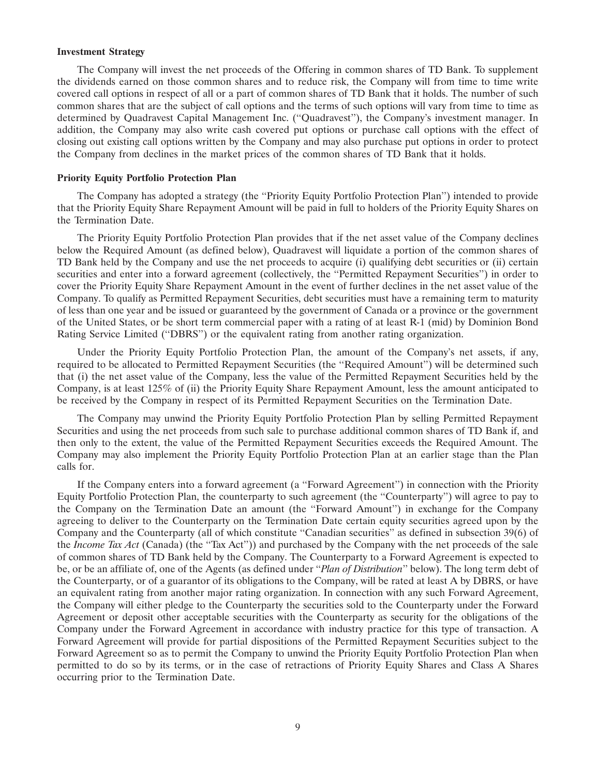#### **Investment Strategy**

The Company will invest the net proceeds of the Offering in common shares of TD Bank. To supplement the dividends earned on those common shares and to reduce risk, the Company will from time to time write covered call options in respect of all or a part of common shares of TD Bank that it holds. The number of such common shares that are the subject of call options and the terms of such options will vary from time to time as determined by Quadravest Capital Management Inc. (''Quadravest''), the Company's investment manager. In addition, the Company may also write cash covered put options or purchase call options with the effect of closing out existing call options written by the Company and may also purchase put options in order to protect the Company from declines in the market prices of the common shares of TD Bank that it holds.

#### **Priority Equity Portfolio Protection Plan**

The Company has adopted a strategy (the ''Priority Equity Portfolio Protection Plan'') intended to provide that the Priority Equity Share Repayment Amount will be paid in full to holders of the Priority Equity Shares on the Termination Date.

The Priority Equity Portfolio Protection Plan provides that if the net asset value of the Company declines below the Required Amount (as defined below), Quadravest will liquidate a portion of the common shares of TD Bank held by the Company and use the net proceeds to acquire (i) qualifying debt securities or (ii) certain securities and enter into a forward agreement (collectively, the ''Permitted Repayment Securities'') in order to cover the Priority Equity Share Repayment Amount in the event of further declines in the net asset value of the Company. To qualify as Permitted Repayment Securities, debt securities must have a remaining term to maturity of less than one year and be issued or guaranteed by the government of Canada or a province or the government of the United States, or be short term commercial paper with a rating of at least R-1 (mid) by Dominion Bond Rating Service Limited (''DBRS'') or the equivalent rating from another rating organization.

Under the Priority Equity Portfolio Protection Plan, the amount of the Company's net assets, if any, required to be allocated to Permitted Repayment Securities (the ''Required Amount'') will be determined such that (i) the net asset value of the Company, less the value of the Permitted Repayment Securities held by the Company, is at least 125% of (ii) the Priority Equity Share Repayment Amount, less the amount anticipated to be received by the Company in respect of its Permitted Repayment Securities on the Termination Date.

The Company may unwind the Priority Equity Portfolio Protection Plan by selling Permitted Repayment Securities and using the net proceeds from such sale to purchase additional common shares of TD Bank if, and then only to the extent, the value of the Permitted Repayment Securities exceeds the Required Amount. The Company may also implement the Priority Equity Portfolio Protection Plan at an earlier stage than the Plan calls for.

If the Company enters into a forward agreement (a ''Forward Agreement'') in connection with the Priority Equity Portfolio Protection Plan, the counterparty to such agreement (the ''Counterparty'') will agree to pay to the Company on the Termination Date an amount (the ''Forward Amount'') in exchange for the Company agreeing to deliver to the Counterparty on the Termination Date certain equity securities agreed upon by the Company and the Counterparty (all of which constitute ''Canadian securities'' as defined in subsection 39(6) of the *Income Tax Act* (Canada) (the ''Tax Act'')) and purchased by the Company with the net proceeds of the sale of common shares of TD Bank held by the Company. The Counterparty to a Forward Agreement is expected to be, or be an affiliate of, one of the Agents (as defined under ''*Plan of Distribution*'' below). The long term debt of the Counterparty, or of a guarantor of its obligations to the Company, will be rated at least A by DBRS, or have an equivalent rating from another major rating organization. In connection with any such Forward Agreement, the Company will either pledge to the Counterparty the securities sold to the Counterparty under the Forward Agreement or deposit other acceptable securities with the Counterparty as security for the obligations of the Company under the Forward Agreement in accordance with industry practice for this type of transaction. A Forward Agreement will provide for partial dispositions of the Permitted Repayment Securities subject to the Forward Agreement so as to permit the Company to unwind the Priority Equity Portfolio Protection Plan when permitted to do so by its terms, or in the case of retractions of Priority Equity Shares and Class A Shares occurring prior to the Termination Date.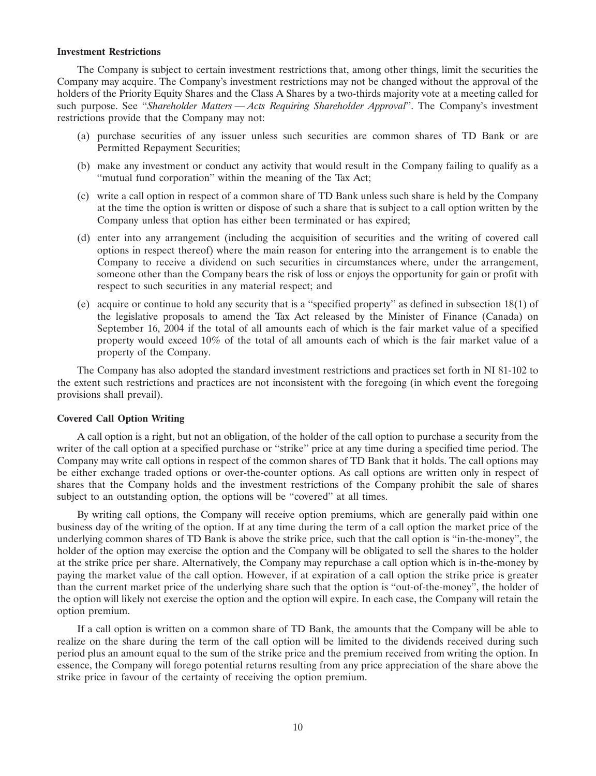#### **Investment Restrictions**

The Company is subject to certain investment restrictions that, among other things, limit the securities the Company may acquire. The Company's investment restrictions may not be changed without the approval of the holders of the Priority Equity Shares and the Class A Shares by a two-thirds majority vote at a meeting called for such purpose. See ''*Shareholder Matters — Acts Requiring Shareholder Approval*''. The Company's investment restrictions provide that the Company may not:

- (a) purchase securities of any issuer unless such securities are common shares of TD Bank or are Permitted Repayment Securities;
- (b) make any investment or conduct any activity that would result in the Company failing to qualify as a ''mutual fund corporation'' within the meaning of the Tax Act;
- (c) write a call option in respect of a common share of TD Bank unless such share is held by the Company at the time the option is written or dispose of such a share that is subject to a call option written by the Company unless that option has either been terminated or has expired;
- (d) enter into any arrangement (including the acquisition of securities and the writing of covered call options in respect thereof) where the main reason for entering into the arrangement is to enable the Company to receive a dividend on such securities in circumstances where, under the arrangement, someone other than the Company bears the risk of loss or enjoys the opportunity for gain or profit with respect to such securities in any material respect; and
- (e) acquire or continue to hold any security that is a ''specified property'' as defined in subsection 18(1) of the legislative proposals to amend the Tax Act released by the Minister of Finance (Canada) on September 16, 2004 if the total of all amounts each of which is the fair market value of a specified property would exceed 10% of the total of all amounts each of which is the fair market value of a property of the Company.

The Company has also adopted the standard investment restrictions and practices set forth in NI 81-102 to the extent such restrictions and practices are not inconsistent with the foregoing (in which event the foregoing provisions shall prevail).

#### **Covered Call Option Writing**

A call option is a right, but not an obligation, of the holder of the call option to purchase a security from the writer of the call option at a specified purchase or "strike" price at any time during a specified time period. The Company may write call options in respect of the common shares of TD Bank that it holds. The call options may be either exchange traded options or over-the-counter options. As call options are written only in respect of shares that the Company holds and the investment restrictions of the Company prohibit the sale of shares subject to an outstanding option, the options will be ''covered'' at all times.

By writing call options, the Company will receive option premiums, which are generally paid within one business day of the writing of the option. If at any time during the term of a call option the market price of the underlying common shares of TD Bank is above the strike price, such that the call option is ''in-the-money'', the holder of the option may exercise the option and the Company will be obligated to sell the shares to the holder at the strike price per share. Alternatively, the Company may repurchase a call option which is in-the-money by paying the market value of the call option. However, if at expiration of a call option the strike price is greater than the current market price of the underlying share such that the option is ''out-of-the-money'', the holder of the option will likely not exercise the option and the option will expire. In each case, the Company will retain the option premium.

If a call option is written on a common share of TD Bank, the amounts that the Company will be able to realize on the share during the term of the call option will be limited to the dividends received during such period plus an amount equal to the sum of the strike price and the premium received from writing the option. In essence, the Company will forego potential returns resulting from any price appreciation of the share above the strike price in favour of the certainty of receiving the option premium.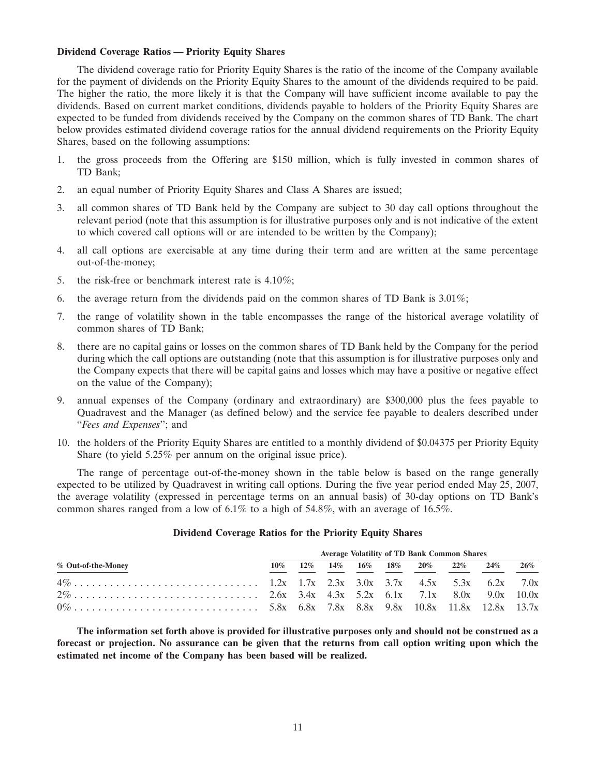# **Dividend Coverage Ratios — Priority Equity Shares**

The dividend coverage ratio for Priority Equity Shares is the ratio of the income of the Company available for the payment of dividends on the Priority Equity Shares to the amount of the dividends required to be paid. The higher the ratio, the more likely it is that the Company will have sufficient income available to pay the dividends. Based on current market conditions, dividends payable to holders of the Priority Equity Shares are expected to be funded from dividends received by the Company on the common shares of TD Bank. The chart below provides estimated dividend coverage ratios for the annual dividend requirements on the Priority Equity Shares, based on the following assumptions:

- 1. the gross proceeds from the Offering are \$150 million, which is fully invested in common shares of TD Bank;
- 2. an equal number of Priority Equity Shares and Class A Shares are issued;
- 3. all common shares of TD Bank held by the Company are subject to 30 day call options throughout the relevant period (note that this assumption is for illustrative purposes only and is not indicative of the extent to which covered call options will or are intended to be written by the Company);
- 4. all call options are exercisable at any time during their term and are written at the same percentage out-of-the-money;
- 5. the risk-free or benchmark interest rate is 4.10%;
- 6. the average return from the dividends paid on the common shares of TD Bank is  $3.01\%$ ;
- 7. the range of volatility shown in the table encompasses the range of the historical average volatility of common shares of TD Bank;
- 8. there are no capital gains or losses on the common shares of TD Bank held by the Company for the period during which the call options are outstanding (note that this assumption is for illustrative purposes only and the Company expects that there will be capital gains and losses which may have a positive or negative effect on the value of the Company);
- 9. annual expenses of the Company (ordinary and extraordinary) are \$300,000 plus the fees payable to Quadravest and the Manager (as defined below) and the service fee payable to dealers described under ''*Fees and Expenses*''; and
- 10. the holders of the Priority Equity Shares are entitled to a monthly dividend of \$0.04375 per Priority Equity Share (to yield 5.25% per annum on the original issue price).

The range of percentage out-of-the-money shown in the table below is based on the range generally expected to be utilized by Quadravest in writing call options. During the five year period ended May 25, 2007, the average volatility (expressed in percentage terms on an annual basis) of 30-day options on TD Bank's common shares ranged from a low of  $6.1\%$  to a high of  $54.8\%$ , with an average of  $16.5\%$ .

| % Out-of-the-Money | <b>Average Volatility of TD Bank Common Shares</b> |  |  |  |  |  |                                                  |  |        |  |
|--------------------|----------------------------------------------------|--|--|--|--|--|--------------------------------------------------|--|--------|--|
|                    | 10%                                                |  |  |  |  |  | $12\%$ $14\%$ $16\%$ $18\%$ $20\%$ $22\%$ $24\%$ |  | $26\%$ |  |
|                    |                                                    |  |  |  |  |  |                                                  |  |        |  |
|                    |                                                    |  |  |  |  |  |                                                  |  |        |  |
|                    |                                                    |  |  |  |  |  |                                                  |  |        |  |

#### **Dividend Coverage Ratios for the Priority Equity Shares**

**The information set forth above is provided for illustrative purposes only and should not be construed as a forecast or projection. No assurance can be given that the returns from call option writing upon which the estimated net income of the Company has been based will be realized.**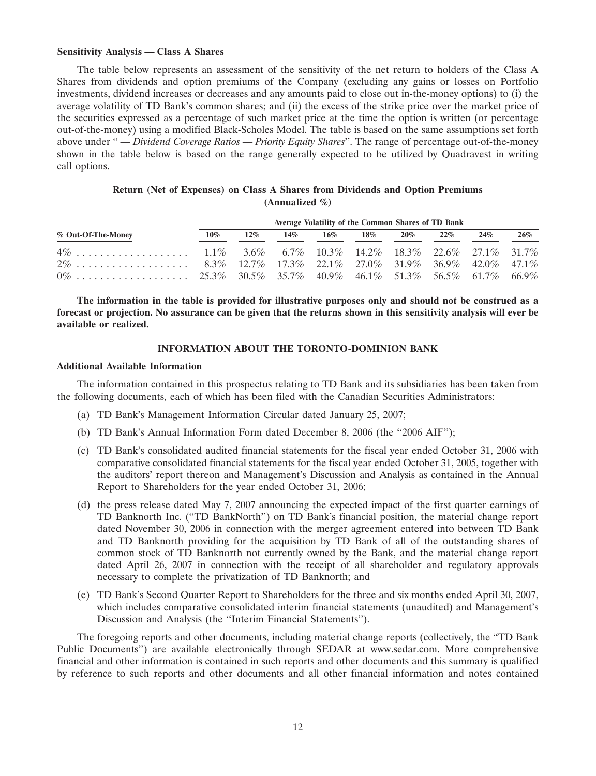#### **Sensitivity Analysis — Class A Shares**

The table below represents an assessment of the sensitivity of the net return to holders of the Class A Shares from dividends and option premiums of the Company (excluding any gains or losses on Portfolio investments, dividend increases or decreases and any amounts paid to close out in-the-money options) to (i) the average volatility of TD Bank's common shares; and (ii) the excess of the strike price over the market price of the securities expressed as a percentage of such market price at the time the option is written (or percentage out-of-the-money) using a modified Black-Scholes Model. The table is based on the same assumptions set forth above under '' *— Dividend Coverage Ratios — Priority Equity Shares*''. The range of percentage out-of-the-money shown in the table below is based on the range generally expected to be utilized by Quadravest in writing call options.

| Return (Net of Expenses) on Class A Shares from Dividends and Option Premiums |                    |  |  |
|-------------------------------------------------------------------------------|--------------------|--|--|
|                                                                               | (Annualized $\%$ ) |  |  |

|                    | Average Volatility of the Common Shares of TD Bank |        |        |                      |  |  |        |     |     |
|--------------------|----------------------------------------------------|--------|--------|----------------------|--|--|--------|-----|-----|
| % Out-Of-The-Money | $10\%$                                             | $12\%$ | $14\%$ | $16\%$ $18\%$ $20\%$ |  |  | $22\%$ | 24% | 26% |
|                    |                                                    |        |        |                      |  |  |        |     |     |
|                    |                                                    |        |        |                      |  |  |        |     |     |
|                    |                                                    |        |        |                      |  |  |        |     |     |

**The information in the table is provided for illustrative purposes only and should not be construed as a forecast or projection. No assurance can be given that the returns shown in this sensitivity analysis will ever be available or realized.**

# **INFORMATION ABOUT THE TORONTO-DOMINION BANK**

#### **Additional Available Information**

The information contained in this prospectus relating to TD Bank and its subsidiaries has been taken from the following documents, each of which has been filed with the Canadian Securities Administrators:

- (a) TD Bank's Management Information Circular dated January 25, 2007;
- (b) TD Bank's Annual Information Form dated December 8, 2006 (the ''2006 AIF'');
- (c) TD Bank's consolidated audited financial statements for the fiscal year ended October 31, 2006 with comparative consolidated financial statements for the fiscal year ended October 31, 2005, together with the auditors' report thereon and Management's Discussion and Analysis as contained in the Annual Report to Shareholders for the year ended October 31, 2006;
- (d) the press release dated May 7, 2007 announcing the expected impact of the first quarter earnings of TD Banknorth Inc. (''TD BankNorth'') on TD Bank's financial position, the material change report dated November 30, 2006 in connection with the merger agreement entered into between TD Bank and TD Banknorth providing for the acquisition by TD Bank of all of the outstanding shares of common stock of TD Banknorth not currently owned by the Bank, and the material change report dated April 26, 2007 in connection with the receipt of all shareholder and regulatory approvals necessary to complete the privatization of TD Banknorth; and
- (e) TD Bank's Second Quarter Report to Shareholders for the three and six months ended April 30, 2007, which includes comparative consolidated interim financial statements (unaudited) and Management's Discussion and Analysis (the ''Interim Financial Statements'').

The foregoing reports and other documents, including material change reports (collectively, the ''TD Bank Public Documents'') are available electronically through SEDAR at www.sedar.com. More comprehensive financial and other information is contained in such reports and other documents and this summary is qualified by reference to such reports and other documents and all other financial information and notes contained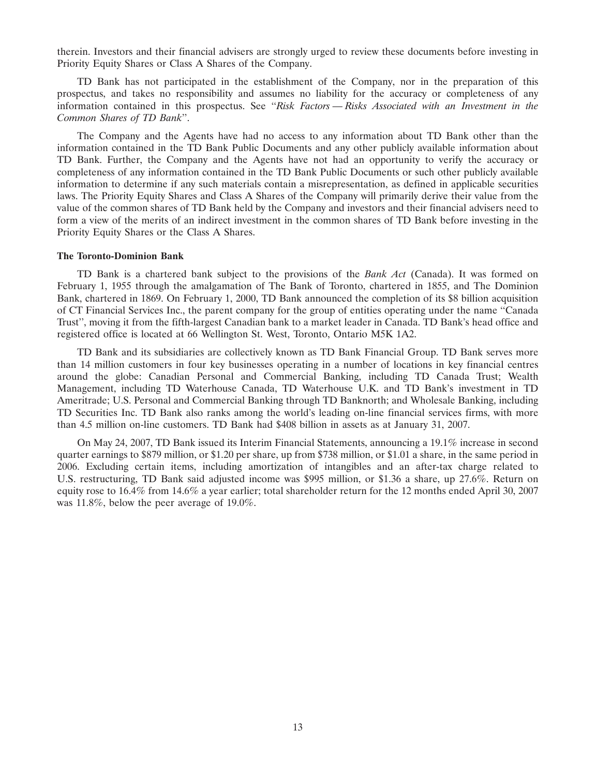therein. Investors and their financial advisers are strongly urged to review these documents before investing in Priority Equity Shares or Class A Shares of the Company.

TD Bank has not participated in the establishment of the Company, nor in the preparation of this prospectus, and takes no responsibility and assumes no liability for the accuracy or completeness of any information contained in this prospectus. See ''*Risk Factors — Risks Associated with an Investment in the Common Shares of TD Bank*''.

The Company and the Agents have had no access to any information about TD Bank other than the information contained in the TD Bank Public Documents and any other publicly available information about TD Bank. Further, the Company and the Agents have not had an opportunity to verify the accuracy or completeness of any information contained in the TD Bank Public Documents or such other publicly available information to determine if any such materials contain a misrepresentation, as defined in applicable securities laws. The Priority Equity Shares and Class A Shares of the Company will primarily derive their value from the value of the common shares of TD Bank held by the Company and investors and their financial advisers need to form a view of the merits of an indirect investment in the common shares of TD Bank before investing in the Priority Equity Shares or the Class A Shares.

#### **The Toronto-Dominion Bank**

TD Bank is a chartered bank subject to the provisions of the *Bank Act* (Canada). It was formed on February 1, 1955 through the amalgamation of The Bank of Toronto, chartered in 1855, and The Dominion Bank, chartered in 1869. On February 1, 2000, TD Bank announced the completion of its \$8 billion acquisition of CT Financial Services Inc., the parent company for the group of entities operating under the name ''Canada Trust'', moving it from the fifth-largest Canadian bank to a market leader in Canada. TD Bank's head office and registered office is located at 66 Wellington St. West, Toronto, Ontario M5K 1A2.

TD Bank and its subsidiaries are collectively known as TD Bank Financial Group. TD Bank serves more than 14 million customers in four key businesses operating in a number of locations in key financial centres around the globe: Canadian Personal and Commercial Banking, including TD Canada Trust; Wealth Management, including TD Waterhouse Canada, TD Waterhouse U.K. and TD Bank's investment in TD Ameritrade; U.S. Personal and Commercial Banking through TD Banknorth; and Wholesale Banking, including TD Securities Inc. TD Bank also ranks among the world's leading on-line financial services firms, with more than 4.5 million on-line customers. TD Bank had \$408 billion in assets as at January 31, 2007.

On May 24, 2007, TD Bank issued its Interim Financial Statements, announcing a 19.1% increase in second quarter earnings to \$879 million, or \$1.20 per share, up from \$738 million, or \$1.01 a share, in the same period in 2006. Excluding certain items, including amortization of intangibles and an after-tax charge related to U.S. restructuring, TD Bank said adjusted income was \$995 million, or \$1.36 a share, up 27.6%. Return on equity rose to 16.4% from 14.6% a year earlier; total shareholder return for the 12 months ended April 30, 2007 was 11.8%, below the peer average of 19.0%.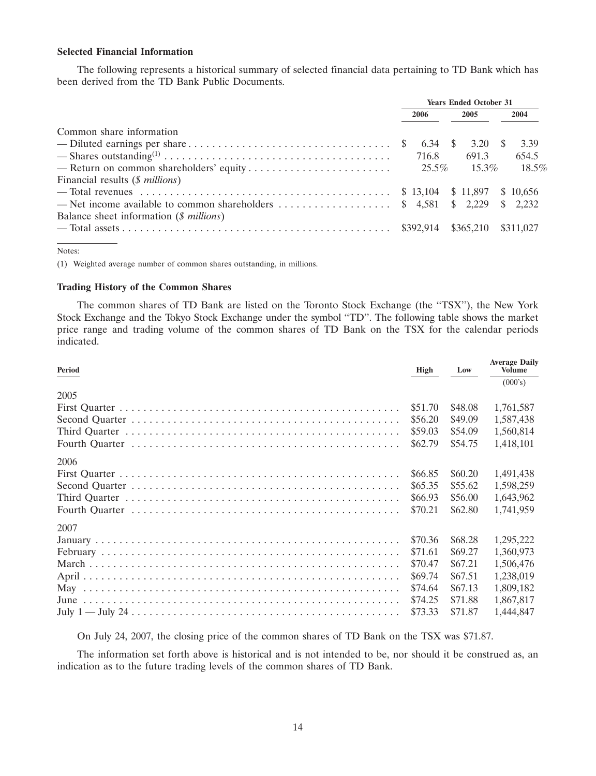# **Selected Financial Information**

The following represents a historical summary of selected financial data pertaining to TD Bank which has been derived from the TD Bank Public Documents.

|                                                  | <b>Years Ended October 31</b> |         |  |           |  |           |  |
|--------------------------------------------------|-------------------------------|---------|--|-----------|--|-----------|--|
|                                                  | 2006                          |         |  | 2005      |  | 2004      |  |
| Common share information                         |                               |         |  |           |  |           |  |
|                                                  |                               | 6.34 \$ |  | 3.20 \$   |  | 3.39      |  |
|                                                  |                               | 716.8   |  | 691.3     |  | 654.5     |  |
|                                                  |                               |         |  | $15.3\%$  |  | $18.5\%$  |  |
| Financial results $(\text{\$millions})$          |                               |         |  |           |  |           |  |
|                                                  |                               |         |  |           |  |           |  |
|                                                  |                               |         |  |           |  |           |  |
| Balance sheet information $(\text{\$}~millions)$ |                               |         |  |           |  |           |  |
|                                                  |                               |         |  | \$365,210 |  | \$311,027 |  |
|                                                  |                               |         |  |           |  |           |  |

Notes:

(1) Weighted average number of common shares outstanding, in millions.

# **Trading History of the Common Shares**

The common shares of TD Bank are listed on the Toronto Stock Exchange (the ''TSX''), the New York Stock Exchange and the Tokyo Stock Exchange under the symbol ''TD''. The following table shows the market price range and trading volume of the common shares of TD Bank on the TSX for the calendar periods indicated.

| Period | <b>High</b> | Low     | <b>Average Daily</b><br><b>Volume</b> |
|--------|-------------|---------|---------------------------------------|
|        |             |         | (000's)                               |
| 2005   |             |         |                                       |
|        | \$51.70     | \$48.08 | 1,761,587                             |
|        | \$56.20     | \$49.09 | 1,587,438                             |
|        | \$59.03     | \$54.09 | 1,560,814                             |
|        | \$62.79     | \$54.75 | 1,418,101                             |
| 2006   |             |         |                                       |
|        | \$66.85     | \$60.20 | 1,491,438                             |
|        | \$65.35     | \$55.62 | 1,598,259                             |
|        | \$66.93     | \$56.00 | 1,643,962                             |
|        | \$70.21     | \$62.80 | 1,741,959                             |
| 2007   |             |         |                                       |
|        | \$70.36     | \$68.28 | 1,295,222                             |
|        | \$71.61     | \$69.27 | 1,360,973                             |
|        | \$70.47     | \$67.21 | 1,506,476                             |
|        | \$69.74     | \$67.51 | 1,238,019                             |
|        | \$74.64     | \$67.13 | 1,809,182                             |
|        | \$74.25     | \$71.88 | 1,867,817                             |
|        | \$73.33     | \$71.87 | 1,444,847                             |

On July 24, 2007, the closing price of the common shares of TD Bank on the TSX was \$71.87.

The information set forth above is historical and is not intended to be, nor should it be construed as, an indication as to the future trading levels of the common shares of TD Bank.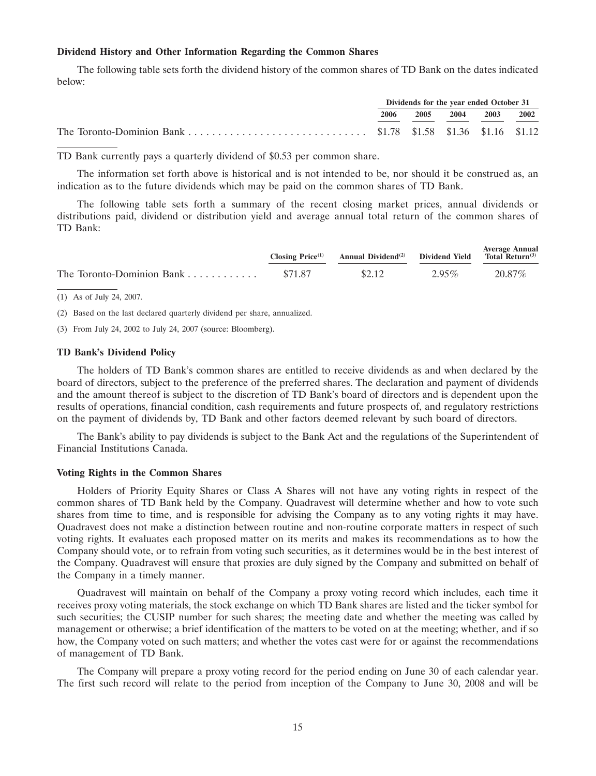#### **Dividend History and Other Information Regarding the Common Shares**

The following table sets forth the dividend history of the common shares of TD Bank on the dates indicated below:

| Dividends for the year ended October 31 |      |           |  |      |
|-----------------------------------------|------|-----------|--|------|
| 2006                                    | 2005 | 2004 2003 |  | 2002 |
|                                         |      |           |  |      |

TD Bank currently pays a quarterly dividend of \$0.53 per common share.

The information set forth above is historical and is not intended to be, nor should it be construed as, an indication as to the future dividends which may be paid on the common shares of TD Bank.

The following table sets forth a summary of the recent closing market prices, annual dividends or distributions paid, dividend or distribution yield and average annual total return of the common shares of TD Bank:

| Closing $Price(1)$ | Average Annual<br>Annual Dividend <sup>(2)</sup> Dividend Yield Total Return <sup>(3)</sup> |          |        |
|--------------------|---------------------------------------------------------------------------------------------|----------|--------|
| \$71.87            | \$2.12                                                                                      | $2.95\%$ | 20.87% |

(1) As of July 24, 2007.

(2) Based on the last declared quarterly dividend per share, annualized.

(3) From July 24, 2002 to July 24, 2007 (source: Bloomberg).

# **TD Bank's Dividend Policy**

The holders of TD Bank's common shares are entitled to receive dividends as and when declared by the board of directors, subject to the preference of the preferred shares. The declaration and payment of dividends and the amount thereof is subject to the discretion of TD Bank's board of directors and is dependent upon the results of operations, financial condition, cash requirements and future prospects of, and regulatory restrictions on the payment of dividends by, TD Bank and other factors deemed relevant by such board of directors.

The Bank's ability to pay dividends is subject to the Bank Act and the regulations of the Superintendent of Financial Institutions Canada.

#### **Voting Rights in the Common Shares**

Holders of Priority Equity Shares or Class A Shares will not have any voting rights in respect of the common shares of TD Bank held by the Company. Quadravest will determine whether and how to vote such shares from time to time, and is responsible for advising the Company as to any voting rights it may have. Quadravest does not make a distinction between routine and non-routine corporate matters in respect of such voting rights. It evaluates each proposed matter on its merits and makes its recommendations as to how the Company should vote, or to refrain from voting such securities, as it determines would be in the best interest of the Company. Quadravest will ensure that proxies are duly signed by the Company and submitted on behalf of the Company in a timely manner.

Quadravest will maintain on behalf of the Company a proxy voting record which includes, each time it receives proxy voting materials, the stock exchange on which TD Bank shares are listed and the ticker symbol for such securities; the CUSIP number for such shares; the meeting date and whether the meeting was called by management or otherwise; a brief identification of the matters to be voted on at the meeting; whether, and if so how, the Company voted on such matters; and whether the votes cast were for or against the recommendations of management of TD Bank.

The Company will prepare a proxy voting record for the period ending on June 30 of each calendar year. The first such record will relate to the period from inception of the Company to June 30, 2008 and will be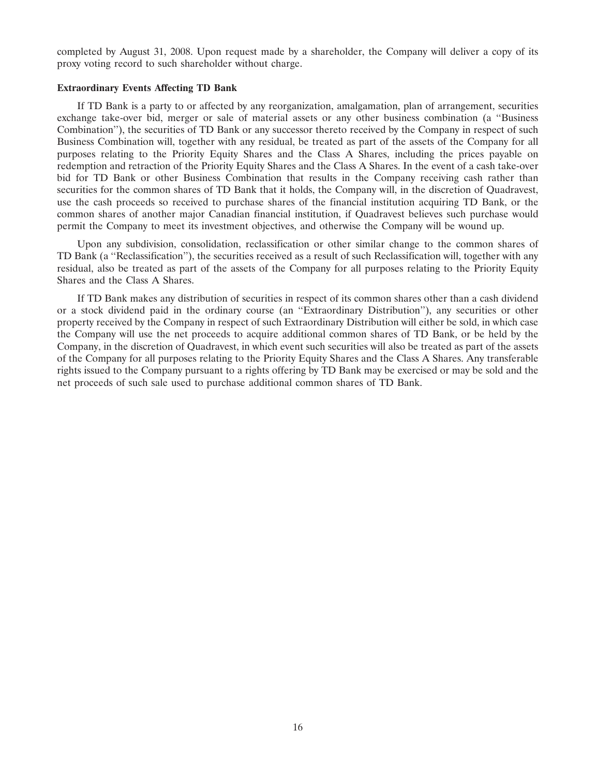completed by August 31, 2008. Upon request made by a shareholder, the Company will deliver a copy of its proxy voting record to such shareholder without charge.

#### **Extraordinary Events Affecting TD Bank**

If TD Bank is a party to or affected by any reorganization, amalgamation, plan of arrangement, securities exchange take-over bid, merger or sale of material assets or any other business combination (a ''Business Combination''), the securities of TD Bank or any successor thereto received by the Company in respect of such Business Combination will, together with any residual, be treated as part of the assets of the Company for all purposes relating to the Priority Equity Shares and the Class A Shares, including the prices payable on redemption and retraction of the Priority Equity Shares and the Class A Shares. In the event of a cash take-over bid for TD Bank or other Business Combination that results in the Company receiving cash rather than securities for the common shares of TD Bank that it holds, the Company will, in the discretion of Quadravest, use the cash proceeds so received to purchase shares of the financial institution acquiring TD Bank, or the common shares of another major Canadian financial institution, if Quadravest believes such purchase would permit the Company to meet its investment objectives, and otherwise the Company will be wound up.

Upon any subdivision, consolidation, reclassification or other similar change to the common shares of TD Bank (a ''Reclassification''), the securities received as a result of such Reclassification will, together with any residual, also be treated as part of the assets of the Company for all purposes relating to the Priority Equity Shares and the Class A Shares.

If TD Bank makes any distribution of securities in respect of its common shares other than a cash dividend or a stock dividend paid in the ordinary course (an ''Extraordinary Distribution''), any securities or other property received by the Company in respect of such Extraordinary Distribution will either be sold, in which case the Company will use the net proceeds to acquire additional common shares of TD Bank, or be held by the Company, in the discretion of Quadravest, in which event such securities will also be treated as part of the assets of the Company for all purposes relating to the Priority Equity Shares and the Class A Shares. Any transferable rights issued to the Company pursuant to a rights offering by TD Bank may be exercised or may be sold and the net proceeds of such sale used to purchase additional common shares of TD Bank.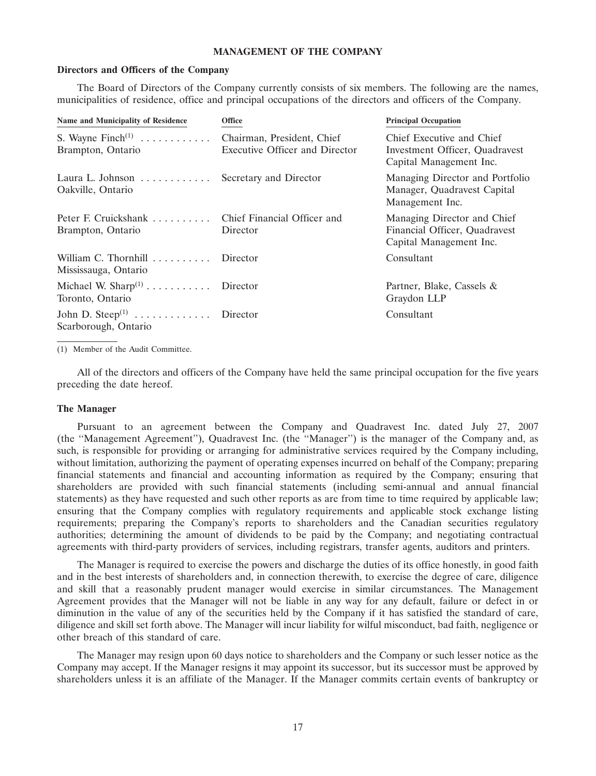#### **MANAGEMENT OF THE COMPANY**

#### **Directors and Officers of the Company**

The Board of Directors of the Company currently consists of six members. The following are the names, municipalities of residence, office and principal occupations of the directors and officers of the Company.

| <b>Name and Municipality of Residence</b>                     | Office                                                              | <b>Principal Occupation</b>                                                             |
|---------------------------------------------------------------|---------------------------------------------------------------------|-----------------------------------------------------------------------------------------|
| S. Wayne $\text{Finch}^{(1)}$<br>Brampton, Ontario            | Chairman, President, Chief<br><b>Executive Officer and Director</b> | Chief Executive and Chief<br>Investment Officer, Quadravest<br>Capital Management Inc.  |
| Laura L. Johnson $\ldots \ldots \ldots$<br>Oakville, Ontario  | Secretary and Director                                              | Managing Director and Portfolio<br>Manager, Quadravest Capital<br>Management Inc.       |
| Peter F. Cruickshank<br>Brampton, Ontario                     | Chief Financial Officer and<br>Director                             | Managing Director and Chief<br>Financial Officer, Quadravest<br>Capital Management Inc. |
| William C. Thornhill Director<br>Mississauga, Ontario         |                                                                     | Consultant                                                                              |
| Michael W. Sharp <sup>(1)</sup><br>Toronto, Ontario           | Director                                                            | Partner, Blake, Cassels &<br>Graydon LLP                                                |
| John D. Steep <sup>(1)</sup> Director<br>Scarborough, Ontario |                                                                     | Consultant                                                                              |

(1) Member of the Audit Committee.

All of the directors and officers of the Company have held the same principal occupation for the five years preceding the date hereof.

#### **The Manager**

Pursuant to an agreement between the Company and Quadravest Inc. dated July 27, 2007 (the ''Management Agreement''), Quadravest Inc. (the ''Manager'') is the manager of the Company and, as such, is responsible for providing or arranging for administrative services required by the Company including, without limitation, authorizing the payment of operating expenses incurred on behalf of the Company; preparing financial statements and financial and accounting information as required by the Company; ensuring that shareholders are provided with such financial statements (including semi-annual and annual financial statements) as they have requested and such other reports as are from time to time required by applicable law; ensuring that the Company complies with regulatory requirements and applicable stock exchange listing requirements; preparing the Company's reports to shareholders and the Canadian securities regulatory authorities; determining the amount of dividends to be paid by the Company; and negotiating contractual agreements with third-party providers of services, including registrars, transfer agents, auditors and printers.

The Manager is required to exercise the powers and discharge the duties of its office honestly, in good faith and in the best interests of shareholders and, in connection therewith, to exercise the degree of care, diligence and skill that a reasonably prudent manager would exercise in similar circumstances. The Management Agreement provides that the Manager will not be liable in any way for any default, failure or defect in or diminution in the value of any of the securities held by the Company if it has satisfied the standard of care, diligence and skill set forth above. The Manager will incur liability for wilful misconduct, bad faith, negligence or other breach of this standard of care.

The Manager may resign upon 60 days notice to shareholders and the Company or such lesser notice as the Company may accept. If the Manager resigns it may appoint its successor, but its successor must be approved by shareholders unless it is an affiliate of the Manager. If the Manager commits certain events of bankruptcy or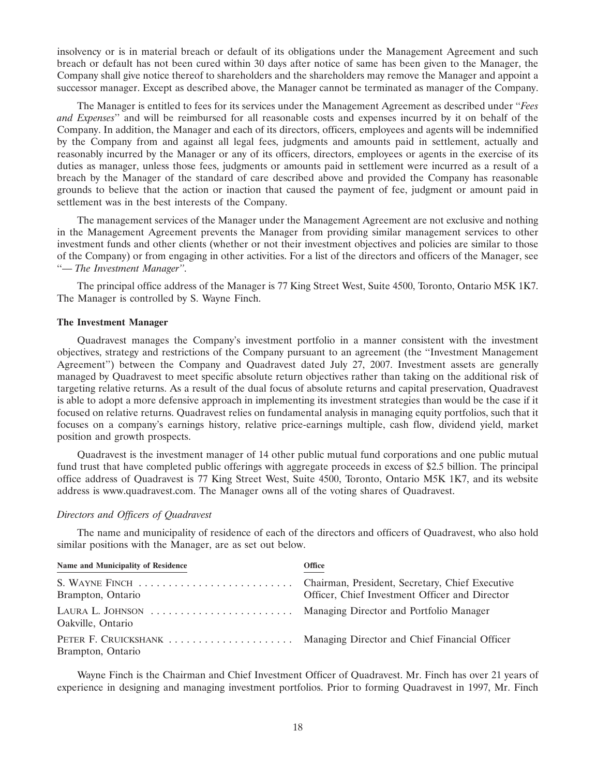insolvency or is in material breach or default of its obligations under the Management Agreement and such breach or default has not been cured within 30 days after notice of same has been given to the Manager, the Company shall give notice thereof to shareholders and the shareholders may remove the Manager and appoint a successor manager. Except as described above, the Manager cannot be terminated as manager of the Company.

The Manager is entitled to fees for its services under the Management Agreement as described under ''*Fees and Expenses*'' and will be reimbursed for all reasonable costs and expenses incurred by it on behalf of the Company. In addition, the Manager and each of its directors, officers, employees and agents will be indemnified by the Company from and against all legal fees, judgments and amounts paid in settlement, actually and reasonably incurred by the Manager or any of its officers, directors, employees or agents in the exercise of its duties as manager, unless those fees, judgments or amounts paid in settlement were incurred as a result of a breach by the Manager of the standard of care described above and provided the Company has reasonable grounds to believe that the action or inaction that caused the payment of fee, judgment or amount paid in settlement was in the best interests of the Company.

The management services of the Manager under the Management Agreement are not exclusive and nothing in the Management Agreement prevents the Manager from providing similar management services to other investment funds and other clients (whether or not their investment objectives and policies are similar to those of the Company) or from engaging in other activities. For a list of the directors and officers of the Manager, see ''— *The Investment Manager''*.

The principal office address of the Manager is 77 King Street West, Suite 4500, Toronto, Ontario M5K 1K7. The Manager is controlled by S. Wayne Finch.

#### **The Investment Manager**

Quadravest manages the Company's investment portfolio in a manner consistent with the investment objectives, strategy and restrictions of the Company pursuant to an agreement (the ''Investment Management Agreement'') between the Company and Quadravest dated July 27, 2007. Investment assets are generally managed by Quadravest to meet specific absolute return objectives rather than taking on the additional risk of targeting relative returns. As a result of the dual focus of absolute returns and capital preservation, Quadravest is able to adopt a more defensive approach in implementing its investment strategies than would be the case if it focused on relative returns. Quadravest relies on fundamental analysis in managing equity portfolios, such that it focuses on a company's earnings history, relative price-earnings multiple, cash flow, dividend yield, market position and growth prospects.

Quadravest is the investment manager of 14 other public mutual fund corporations and one public mutual fund trust that have completed public offerings with aggregate proceeds in excess of \$2.5 billion. The principal office address of Quadravest is 77 King Street West, Suite 4500, Toronto, Ontario M5K 1K7, and its website address is www.quadravest.com. The Manager owns all of the voting shares of Quadravest.

#### *Directors and Officers of Quadravest*

The name and municipality of residence of each of the directors and officers of Quadravest, who also hold similar positions with the Manager, are as set out below.

| Name and Municipality of Residence | <b>Office</b>                                  |
|------------------------------------|------------------------------------------------|
| Brampton, Ontario                  | Officer, Chief Investment Officer and Director |
| Oakville, Ontario                  |                                                |
| Brampton, Ontario                  |                                                |

Wayne Finch is the Chairman and Chief Investment Officer of Quadravest. Mr. Finch has over 21 years of experience in designing and managing investment portfolios. Prior to forming Quadravest in 1997, Mr. Finch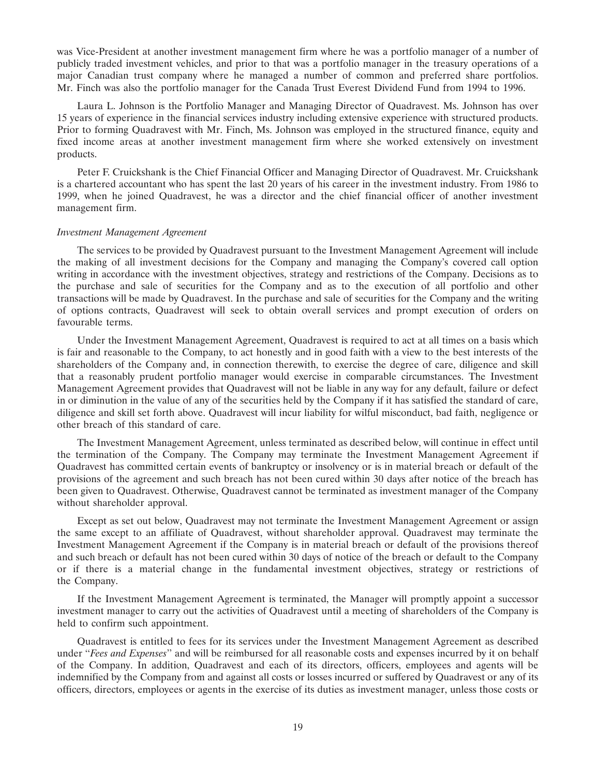was Vice-President at another investment management firm where he was a portfolio manager of a number of publicly traded investment vehicles, and prior to that was a portfolio manager in the treasury operations of a major Canadian trust company where he managed a number of common and preferred share portfolios. Mr. Finch was also the portfolio manager for the Canada Trust Everest Dividend Fund from 1994 to 1996.

Laura L. Johnson is the Portfolio Manager and Managing Director of Quadravest. Ms. Johnson has over 15 years of experience in the financial services industry including extensive experience with structured products. Prior to forming Quadravest with Mr. Finch, Ms. Johnson was employed in the structured finance, equity and fixed income areas at another investment management firm where she worked extensively on investment products.

Peter F. Cruickshank is the Chief Financial Officer and Managing Director of Quadravest. Mr. Cruickshank is a chartered accountant who has spent the last 20 years of his career in the investment industry. From 1986 to 1999, when he joined Quadravest, he was a director and the chief financial officer of another investment management firm.

#### *Investment Management Agreement*

The services to be provided by Quadravest pursuant to the Investment Management Agreement will include the making of all investment decisions for the Company and managing the Company's covered call option writing in accordance with the investment objectives, strategy and restrictions of the Company. Decisions as to the purchase and sale of securities for the Company and as to the execution of all portfolio and other transactions will be made by Quadravest. In the purchase and sale of securities for the Company and the writing of options contracts, Quadravest will seek to obtain overall services and prompt execution of orders on favourable terms.

Under the Investment Management Agreement, Quadravest is required to act at all times on a basis which is fair and reasonable to the Company, to act honestly and in good faith with a view to the best interests of the shareholders of the Company and, in connection therewith, to exercise the degree of care, diligence and skill that a reasonably prudent portfolio manager would exercise in comparable circumstances. The Investment Management Agreement provides that Quadravest will not be liable in any way for any default, failure or defect in or diminution in the value of any of the securities held by the Company if it has satisfied the standard of care, diligence and skill set forth above. Quadravest will incur liability for wilful misconduct, bad faith, negligence or other breach of this standard of care.

The Investment Management Agreement, unless terminated as described below, will continue in effect until the termination of the Company. The Company may terminate the Investment Management Agreement if Quadravest has committed certain events of bankruptcy or insolvency or is in material breach or default of the provisions of the agreement and such breach has not been cured within 30 days after notice of the breach has been given to Quadravest. Otherwise, Quadravest cannot be terminated as investment manager of the Company without shareholder approval.

Except as set out below, Quadravest may not terminate the Investment Management Agreement or assign the same except to an affiliate of Quadravest, without shareholder approval. Quadravest may terminate the Investment Management Agreement if the Company is in material breach or default of the provisions thereof and such breach or default has not been cured within 30 days of notice of the breach or default to the Company or if there is a material change in the fundamental investment objectives, strategy or restrictions of the Company.

If the Investment Management Agreement is terminated, the Manager will promptly appoint a successor investment manager to carry out the activities of Quadravest until a meeting of shareholders of the Company is held to confirm such appointment.

Quadravest is entitled to fees for its services under the Investment Management Agreement as described under ''*Fees and Expenses*'' and will be reimbursed for all reasonable costs and expenses incurred by it on behalf of the Company. In addition, Quadravest and each of its directors, officers, employees and agents will be indemnified by the Company from and against all costs or losses incurred or suffered by Quadravest or any of its officers, directors, employees or agents in the exercise of its duties as investment manager, unless those costs or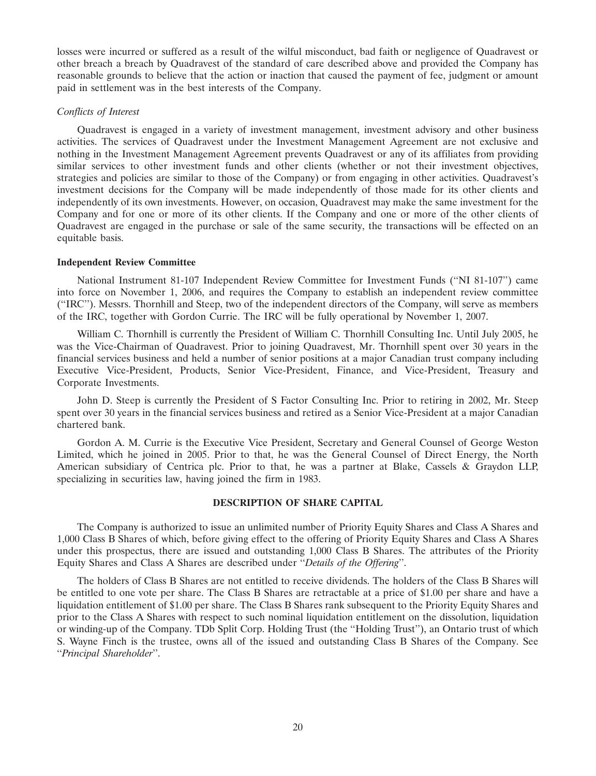losses were incurred or suffered as a result of the wilful misconduct, bad faith or negligence of Quadravest or other breach a breach by Quadravest of the standard of care described above and provided the Company has reasonable grounds to believe that the action or inaction that caused the payment of fee, judgment or amount paid in settlement was in the best interests of the Company.

# *Conflicts of Interest*

Quadravest is engaged in a variety of investment management, investment advisory and other business activities. The services of Quadravest under the Investment Management Agreement are not exclusive and nothing in the Investment Management Agreement prevents Quadravest or any of its affiliates from providing similar services to other investment funds and other clients (whether or not their investment objectives, strategies and policies are similar to those of the Company) or from engaging in other activities. Quadravest's investment decisions for the Company will be made independently of those made for its other clients and independently of its own investments. However, on occasion, Quadravest may make the same investment for the Company and for one or more of its other clients. If the Company and one or more of the other clients of Quadravest are engaged in the purchase or sale of the same security, the transactions will be effected on an equitable basis.

#### **Independent Review Committee**

National Instrument 81-107 Independent Review Committee for Investment Funds (''NI 81-107'') came into force on November 1, 2006, and requires the Company to establish an independent review committee (''IRC''). Messrs. Thornhill and Steep, two of the independent directors of the Company, will serve as members of the IRC, together with Gordon Currie. The IRC will be fully operational by November 1, 2007.

William C. Thornhill is currently the President of William C. Thornhill Consulting Inc. Until July 2005, he was the Vice-Chairman of Quadravest. Prior to joining Quadravest, Mr. Thornhill spent over 30 years in the financial services business and held a number of senior positions at a major Canadian trust company including Executive Vice-President, Products, Senior Vice-President, Finance, and Vice-President, Treasury and Corporate Investments.

John D. Steep is currently the President of S Factor Consulting Inc. Prior to retiring in 2002, Mr. Steep spent over 30 years in the financial services business and retired as a Senior Vice-President at a major Canadian chartered bank.

Gordon A. M. Currie is the Executive Vice President, Secretary and General Counsel of George Weston Limited, which he joined in 2005. Prior to that, he was the General Counsel of Direct Energy, the North American subsidiary of Centrica plc. Prior to that, he was a partner at Blake, Cassels & Graydon LLP, specializing in securities law, having joined the firm in 1983.

#### **DESCRIPTION OF SHARE CAPITAL**

The Company is authorized to issue an unlimited number of Priority Equity Shares and Class A Shares and 1,000 Class B Shares of which, before giving effect to the offering of Priority Equity Shares and Class A Shares under this prospectus, there are issued and outstanding 1,000 Class B Shares. The attributes of the Priority Equity Shares and Class A Shares are described under ''*Details of the Offering*''.

The holders of Class B Shares are not entitled to receive dividends. The holders of the Class B Shares will be entitled to one vote per share. The Class B Shares are retractable at a price of \$1.00 per share and have a liquidation entitlement of \$1.00 per share. The Class B Shares rank subsequent to the Priority Equity Shares and prior to the Class A Shares with respect to such nominal liquidation entitlement on the dissolution, liquidation or winding-up of the Company. TDb Split Corp. Holding Trust (the ''Holding Trust''), an Ontario trust of which S. Wayne Finch is the trustee, owns all of the issued and outstanding Class B Shares of the Company. See ''*Principal Shareholder*''.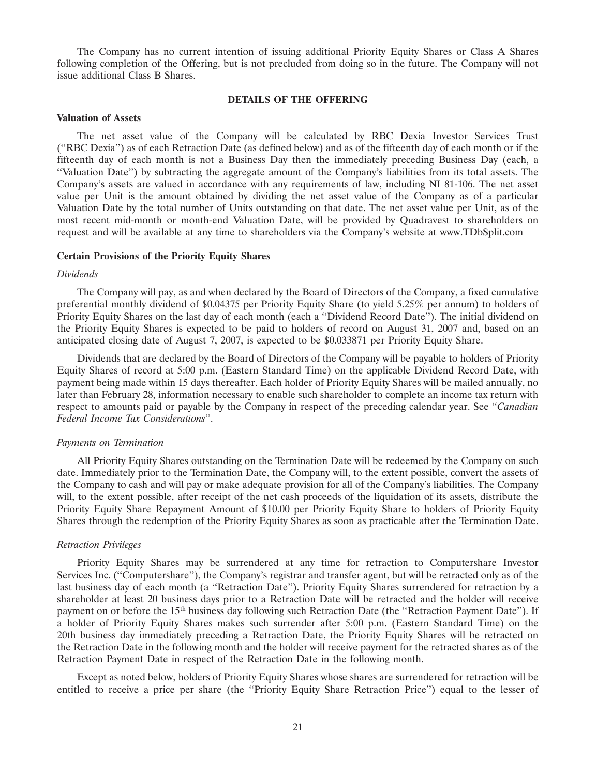The Company has no current intention of issuing additional Priority Equity Shares or Class A Shares following completion of the Offering, but is not precluded from doing so in the future. The Company will not issue additional Class B Shares.

# **DETAILS OF THE OFFERING**

#### **Valuation of Assets**

The net asset value of the Company will be calculated by RBC Dexia Investor Services Trust (''RBC Dexia'') as of each Retraction Date (as defined below) and as of the fifteenth day of each month or if the fifteenth day of each month is not a Business Day then the immediately preceding Business Day (each, a ''Valuation Date'') by subtracting the aggregate amount of the Company's liabilities from its total assets. The Company's assets are valued in accordance with any requirements of law, including NI 81-106. The net asset value per Unit is the amount obtained by dividing the net asset value of the Company as of a particular Valuation Date by the total number of Units outstanding on that date. The net asset value per Unit, as of the most recent mid-month or month-end Valuation Date, will be provided by Quadravest to shareholders on request and will be available at any time to shareholders via the Company's website at www.TDbSplit.com

#### **Certain Provisions of the Priority Equity Shares**

#### *Dividends*

The Company will pay, as and when declared by the Board of Directors of the Company, a fixed cumulative preferential monthly dividend of \$0.04375 per Priority Equity Share (to yield 5.25% per annum) to holders of Priority Equity Shares on the last day of each month (each a ''Dividend Record Date''). The initial dividend on the Priority Equity Shares is expected to be paid to holders of record on August 31, 2007 and, based on an anticipated closing date of August 7, 2007, is expected to be \$0.033871 per Priority Equity Share.

Dividends that are declared by the Board of Directors of the Company will be payable to holders of Priority Equity Shares of record at 5:00 p.m. (Eastern Standard Time) on the applicable Dividend Record Date, with payment being made within 15 days thereafter. Each holder of Priority Equity Shares will be mailed annually, no later than February 28, information necessary to enable such shareholder to complete an income tax return with respect to amounts paid or payable by the Company in respect of the preceding calendar year. See ''*Canadian Federal Income Tax Considerations*''.

#### *Payments on Termination*

All Priority Equity Shares outstanding on the Termination Date will be redeemed by the Company on such date. Immediately prior to the Termination Date, the Company will, to the extent possible, convert the assets of the Company to cash and will pay or make adequate provision for all of the Company's liabilities. The Company will, to the extent possible, after receipt of the net cash proceeds of the liquidation of its assets, distribute the Priority Equity Share Repayment Amount of \$10.00 per Priority Equity Share to holders of Priority Equity Shares through the redemption of the Priority Equity Shares as soon as practicable after the Termination Date.

# *Retraction Privileges*

Priority Equity Shares may be surrendered at any time for retraction to Computershare Investor Services Inc. (''Computershare''), the Company's registrar and transfer agent, but will be retracted only as of the last business day of each month (a ''Retraction Date''). Priority Equity Shares surrendered for retraction by a shareholder at least 20 business days prior to a Retraction Date will be retracted and the holder will receive payment on or before the 15<sup>th</sup> business day following such Retraction Date (the "Retraction Payment Date"). If a holder of Priority Equity Shares makes such surrender after 5:00 p.m. (Eastern Standard Time) on the 20th business day immediately preceding a Retraction Date, the Priority Equity Shares will be retracted on the Retraction Date in the following month and the holder will receive payment for the retracted shares as of the Retraction Payment Date in respect of the Retraction Date in the following month.

Except as noted below, holders of Priority Equity Shares whose shares are surrendered for retraction will be entitled to receive a price per share (the ''Priority Equity Share Retraction Price'') equal to the lesser of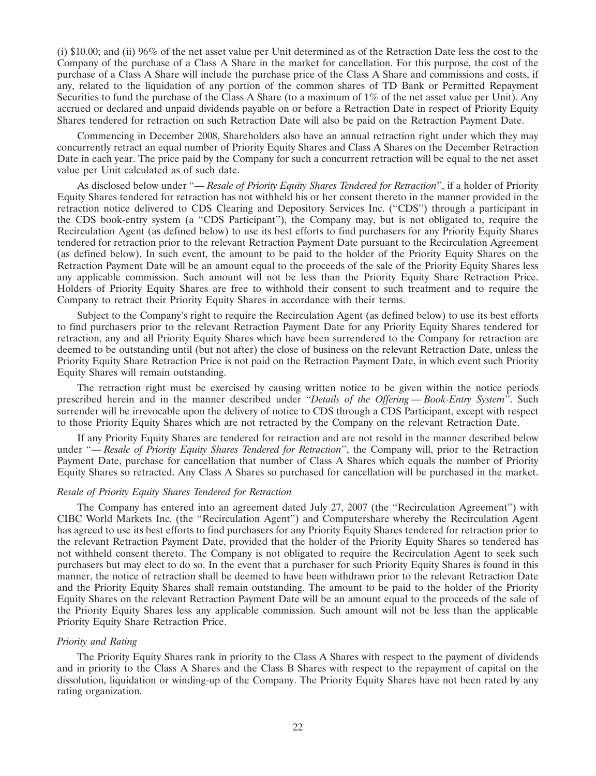(i) \$10.00; and (ii) 96% of the net asset value per Unit determined as of the Retraction Date less the cost to the Company of the purchase of a Class A Share in the market for cancellation. For this purpose, the cost of the purchase of a Class A Share will include the purchase price of the Class A Share and commissions and costs, if any, related to the liquidation of any portion of the common shares of TD Bank or Permitted Repayment Securities to fund the purchase of the Class A Share (to a maximum of 1% of the net asset value per Unit). Any accrued or declared and unpaid dividends payable on or before a Retraction Date in respect of Priority Equity Shares tendered for retraction on such Retraction Date will also be paid on the Retraction Payment Date.

Commencing in December 2008, Shareholders also have an annual retraction right under which they may concurrently retract an equal number of Priority Equity Shares and Class A Shares on the December Retraction Date in each year. The price paid by the Company for such a concurrent retraction will be equal to the net asset value per Unit calculated as of such date.

As disclosed below under ''— *Resale of Priority Equity Shares Tendered for Retraction*'', if a holder of Priority Equity Shares tendered for retraction has not withheld his or her consent thereto in the manner provided in the retraction notice delivered to CDS Clearing and Depository Services Inc. (''CDS'') through a participant in the CDS book-entry system (a ''CDS Participant''), the Company may, but is not obligated to, require the Recirculation Agent (as defined below) to use its best efforts to find purchasers for any Priority Equity Shares tendered for retraction prior to the relevant Retraction Payment Date pursuant to the Recirculation Agreement (as defined below). In such event, the amount to be paid to the holder of the Priority Equity Shares on the Retraction Payment Date will be an amount equal to the proceeds of the sale of the Priority Equity Shares less any applicable commission. Such amount will not be less than the Priority Equity Share Retraction Price. Holders of Priority Equity Shares are free to withhold their consent to such treatment and to require the Company to retract their Priority Equity Shares in accordance with their terms.

Subject to the Company's right to require the Recirculation Agent (as defined below) to use its best efforts to find purchasers prior to the relevant Retraction Payment Date for any Priority Equity Shares tendered for retraction, any and all Priority Equity Shares which have been surrendered to the Company for retraction are deemed to be outstanding until (but not after) the close of business on the relevant Retraction Date, unless the Priority Equity Share Retraction Price is not paid on the Retraction Payment Date, in which event such Priority Equity Shares will remain outstanding.

The retraction right must be exercised by causing written notice to be given within the notice periods prescribed herein and in the manner described under ''*Details of the Offering — Book-Entry System*''. Such surrender will be irrevocable upon the delivery of notice to CDS through a CDS Participant, except with respect to those Priority Equity Shares which are not retracted by the Company on the relevant Retraction Date.

If any Priority Equity Shares are tendered for retraction and are not resold in the manner described below under "- *Resale of Priority Equity Shares Tendered for Retraction*", the Company will, prior to the Retraction Payment Date, purchase for cancellation that number of Class A Shares which equals the number of Priority Equity Shares so retracted. Any Class A Shares so purchased for cancellation will be purchased in the market.

# *Resale of Priority Equity Shares Tendered for Retraction*

The Company has entered into an agreement dated July 27, 2007 (the ''Recirculation Agreement'') with CIBC World Markets Inc. (the ''Recirculation Agent'') and Computershare whereby the Recirculation Agent has agreed to use its best efforts to find purchasers for any Priority Equity Shares tendered for retraction prior to the relevant Retraction Payment Date, provided that the holder of the Priority Equity Shares so tendered has not withheld consent thereto. The Company is not obligated to require the Recirculation Agent to seek such purchasers but may elect to do so. In the event that a purchaser for such Priority Equity Shares is found in this manner, the notice of retraction shall be deemed to have been withdrawn prior to the relevant Retraction Date and the Priority Equity Shares shall remain outstanding. The amount to be paid to the holder of the Priority Equity Shares on the relevant Retraction Payment Date will be an amount equal to the proceeds of the sale of the Priority Equity Shares less any applicable commission. Such amount will not be less than the applicable Priority Equity Share Retraction Price.

#### *Priority and Rating*

The Priority Equity Shares rank in priority to the Class A Shares with respect to the payment of dividends and in priority to the Class A Shares and the Class B Shares with respect to the repayment of capital on the dissolution, liquidation or winding-up of the Company. The Priority Equity Shares have not been rated by any rating organization.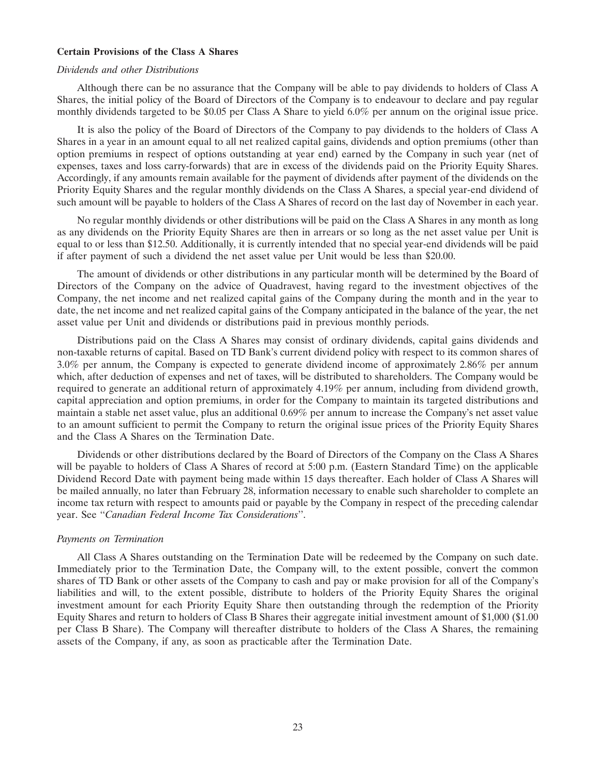#### **Certain Provisions of the Class A Shares**

#### *Dividends and other Distributions*

Although there can be no assurance that the Company will be able to pay dividends to holders of Class A Shares, the initial policy of the Board of Directors of the Company is to endeavour to declare and pay regular monthly dividends targeted to be \$0.05 per Class A Share to yield 6.0% per annum on the original issue price.

It is also the policy of the Board of Directors of the Company to pay dividends to the holders of Class A Shares in a year in an amount equal to all net realized capital gains, dividends and option premiums (other than option premiums in respect of options outstanding at year end) earned by the Company in such year (net of expenses, taxes and loss carry-forwards) that are in excess of the dividends paid on the Priority Equity Shares. Accordingly, if any amounts remain available for the payment of dividends after payment of the dividends on the Priority Equity Shares and the regular monthly dividends on the Class A Shares, a special year-end dividend of such amount will be payable to holders of the Class A Shares of record on the last day of November in each year.

No regular monthly dividends or other distributions will be paid on the Class A Shares in any month as long as any dividends on the Priority Equity Shares are then in arrears or so long as the net asset value per Unit is equal to or less than \$12.50. Additionally, it is currently intended that no special year-end dividends will be paid if after payment of such a dividend the net asset value per Unit would be less than \$20.00.

The amount of dividends or other distributions in any particular month will be determined by the Board of Directors of the Company on the advice of Quadravest, having regard to the investment objectives of the Company, the net income and net realized capital gains of the Company during the month and in the year to date, the net income and net realized capital gains of the Company anticipated in the balance of the year, the net asset value per Unit and dividends or distributions paid in previous monthly periods.

Distributions paid on the Class A Shares may consist of ordinary dividends, capital gains dividends and non-taxable returns of capital. Based on TD Bank's current dividend policy with respect to its common shares of 3.0% per annum, the Company is expected to generate dividend income of approximately 2.86% per annum which, after deduction of expenses and net of taxes, will be distributed to shareholders. The Company would be required to generate an additional return of approximately 4.19% per annum, including from dividend growth, capital appreciation and option premiums, in order for the Company to maintain its targeted distributions and maintain a stable net asset value, plus an additional 0.69% per annum to increase the Company's net asset value to an amount sufficient to permit the Company to return the original issue prices of the Priority Equity Shares and the Class A Shares on the Termination Date.

Dividends or other distributions declared by the Board of Directors of the Company on the Class A Shares will be payable to holders of Class A Shares of record at 5:00 p.m. (Eastern Standard Time) on the applicable Dividend Record Date with payment being made within 15 days thereafter. Each holder of Class A Shares will be mailed annually, no later than February 28, information necessary to enable such shareholder to complete an income tax return with respect to amounts paid or payable by the Company in respect of the preceding calendar year. See ''*Canadian Federal Income Tax Considerations*''.

#### *Payments on Termination*

All Class A Shares outstanding on the Termination Date will be redeemed by the Company on such date. Immediately prior to the Termination Date, the Company will, to the extent possible, convert the common shares of TD Bank or other assets of the Company to cash and pay or make provision for all of the Company's liabilities and will, to the extent possible, distribute to holders of the Priority Equity Shares the original investment amount for each Priority Equity Share then outstanding through the redemption of the Priority Equity Shares and return to holders of Class B Shares their aggregate initial investment amount of \$1,000 (\$1.00 per Class B Share). The Company will thereafter distribute to holders of the Class A Shares, the remaining assets of the Company, if any, as soon as practicable after the Termination Date.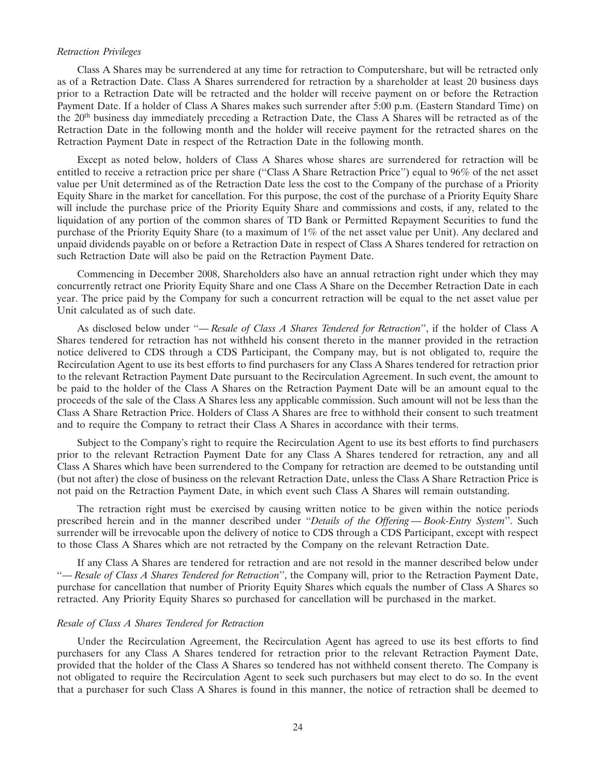#### *Retraction Privileges*

Class A Shares may be surrendered at any time for retraction to Computershare, but will be retracted only as of a Retraction Date. Class A Shares surrendered for retraction by a shareholder at least 20 business days prior to a Retraction Date will be retracted and the holder will receive payment on or before the Retraction Payment Date. If a holder of Class A Shares makes such surrender after 5:00 p.m. (Eastern Standard Time) on the 20th business day immediately preceding a Retraction Date, the Class A Shares will be retracted as of the Retraction Date in the following month and the holder will receive payment for the retracted shares on the Retraction Payment Date in respect of the Retraction Date in the following month.

Except as noted below, holders of Class A Shares whose shares are surrendered for retraction will be entitled to receive a retraction price per share ("Class A Share Retraction Price") equal to 96% of the net asset value per Unit determined as of the Retraction Date less the cost to the Company of the purchase of a Priority Equity Share in the market for cancellation. For this purpose, the cost of the purchase of a Priority Equity Share will include the purchase price of the Priority Equity Share and commissions and costs, if any, related to the liquidation of any portion of the common shares of TD Bank or Permitted Repayment Securities to fund the purchase of the Priority Equity Share (to a maximum of 1% of the net asset value per Unit). Any declared and unpaid dividends payable on or before a Retraction Date in respect of Class A Shares tendered for retraction on such Retraction Date will also be paid on the Retraction Payment Date.

Commencing in December 2008, Shareholders also have an annual retraction right under which they may concurrently retract one Priority Equity Share and one Class A Share on the December Retraction Date in each year. The price paid by the Company for such a concurrent retraction will be equal to the net asset value per Unit calculated as of such date.

As disclosed below under ''— *Resale of Class A Shares Tendered for Retraction*'', if the holder of Class A Shares tendered for retraction has not withheld his consent thereto in the manner provided in the retraction notice delivered to CDS through a CDS Participant, the Company may, but is not obligated to, require the Recirculation Agent to use its best efforts to find purchasers for any Class A Shares tendered for retraction prior to the relevant Retraction Payment Date pursuant to the Recirculation Agreement. In such event, the amount to be paid to the holder of the Class A Shares on the Retraction Payment Date will be an amount equal to the proceeds of the sale of the Class A Shares less any applicable commission. Such amount will not be less than the Class A Share Retraction Price. Holders of Class A Shares are free to withhold their consent to such treatment and to require the Company to retract their Class A Shares in accordance with their terms.

Subject to the Company's right to require the Recirculation Agent to use its best efforts to find purchasers prior to the relevant Retraction Payment Date for any Class A Shares tendered for retraction, any and all Class A Shares which have been surrendered to the Company for retraction are deemed to be outstanding until (but not after) the close of business on the relevant Retraction Date, unless the Class A Share Retraction Price is not paid on the Retraction Payment Date, in which event such Class A Shares will remain outstanding.

The retraction right must be exercised by causing written notice to be given within the notice periods prescribed herein and in the manner described under ''*Details of the Offering — Book-Entry System*''. Such surrender will be irrevocable upon the delivery of notice to CDS through a CDS Participant, except with respect to those Class A Shares which are not retracted by the Company on the relevant Retraction Date.

If any Class A Shares are tendered for retraction and are not resold in the manner described below under ''— *Resale of Class A Shares Tendered for Retraction*'', the Company will, prior to the Retraction Payment Date, purchase for cancellation that number of Priority Equity Shares which equals the number of Class A Shares so retracted. Any Priority Equity Shares so purchased for cancellation will be purchased in the market.

#### *Resale of Class A Shares Tendered for Retraction*

Under the Recirculation Agreement, the Recirculation Agent has agreed to use its best efforts to find purchasers for any Class A Shares tendered for retraction prior to the relevant Retraction Payment Date, provided that the holder of the Class A Shares so tendered has not withheld consent thereto. The Company is not obligated to require the Recirculation Agent to seek such purchasers but may elect to do so. In the event that a purchaser for such Class A Shares is found in this manner, the notice of retraction shall be deemed to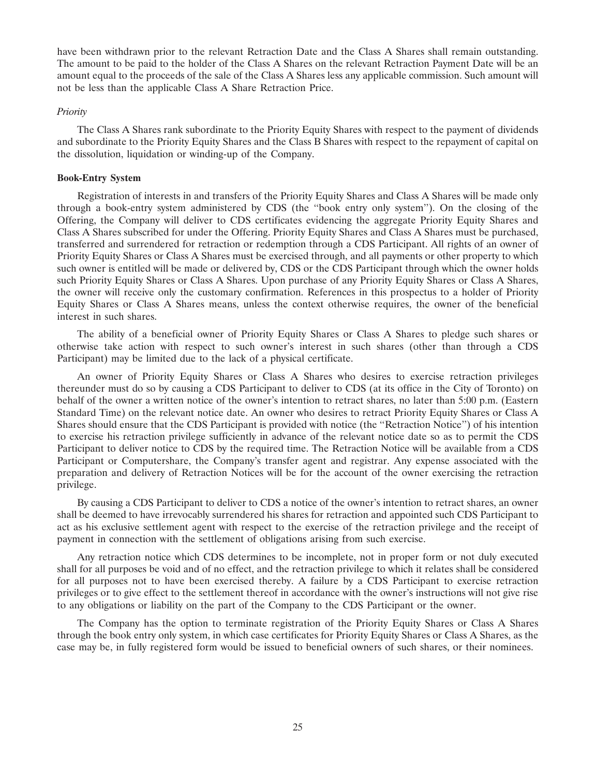have been withdrawn prior to the relevant Retraction Date and the Class A Shares shall remain outstanding. The amount to be paid to the holder of the Class A Shares on the relevant Retraction Payment Date will be an amount equal to the proceeds of the sale of the Class A Shares less any applicable commission. Such amount will not be less than the applicable Class A Share Retraction Price.

#### *Priority*

The Class A Shares rank subordinate to the Priority Equity Shares with respect to the payment of dividends and subordinate to the Priority Equity Shares and the Class B Shares with respect to the repayment of capital on the dissolution, liquidation or winding-up of the Company.

# **Book-Entry System**

Registration of interests in and transfers of the Priority Equity Shares and Class A Shares will be made only through a book-entry system administered by CDS (the ''book entry only system''). On the closing of the Offering, the Company will deliver to CDS certificates evidencing the aggregate Priority Equity Shares and Class A Shares subscribed for under the Offering. Priority Equity Shares and Class A Shares must be purchased, transferred and surrendered for retraction or redemption through a CDS Participant. All rights of an owner of Priority Equity Shares or Class A Shares must be exercised through, and all payments or other property to which such owner is entitled will be made or delivered by, CDS or the CDS Participant through which the owner holds such Priority Equity Shares or Class A Shares. Upon purchase of any Priority Equity Shares or Class A Shares, the owner will receive only the customary confirmation. References in this prospectus to a holder of Priority Equity Shares or Class A Shares means, unless the context otherwise requires, the owner of the beneficial interest in such shares.

The ability of a beneficial owner of Priority Equity Shares or Class A Shares to pledge such shares or otherwise take action with respect to such owner's interest in such shares (other than through a CDS Participant) may be limited due to the lack of a physical certificate.

An owner of Priority Equity Shares or Class A Shares who desires to exercise retraction privileges thereunder must do so by causing a CDS Participant to deliver to CDS (at its office in the City of Toronto) on behalf of the owner a written notice of the owner's intention to retract shares, no later than 5:00 p.m. (Eastern Standard Time) on the relevant notice date. An owner who desires to retract Priority Equity Shares or Class A Shares should ensure that the CDS Participant is provided with notice (the ''Retraction Notice'') of his intention to exercise his retraction privilege sufficiently in advance of the relevant notice date so as to permit the CDS Participant to deliver notice to CDS by the required time. The Retraction Notice will be available from a CDS Participant or Computershare, the Company's transfer agent and registrar. Any expense associated with the preparation and delivery of Retraction Notices will be for the account of the owner exercising the retraction privilege.

By causing a CDS Participant to deliver to CDS a notice of the owner's intention to retract shares, an owner shall be deemed to have irrevocably surrendered his shares for retraction and appointed such CDS Participant to act as his exclusive settlement agent with respect to the exercise of the retraction privilege and the receipt of payment in connection with the settlement of obligations arising from such exercise.

Any retraction notice which CDS determines to be incomplete, not in proper form or not duly executed shall for all purposes be void and of no effect, and the retraction privilege to which it relates shall be considered for all purposes not to have been exercised thereby. A failure by a CDS Participant to exercise retraction privileges or to give effect to the settlement thereof in accordance with the owner's instructions will not give rise to any obligations or liability on the part of the Company to the CDS Participant or the owner.

The Company has the option to terminate registration of the Priority Equity Shares or Class A Shares through the book entry only system, in which case certificates for Priority Equity Shares or Class A Shares, as the case may be, in fully registered form would be issued to beneficial owners of such shares, or their nominees.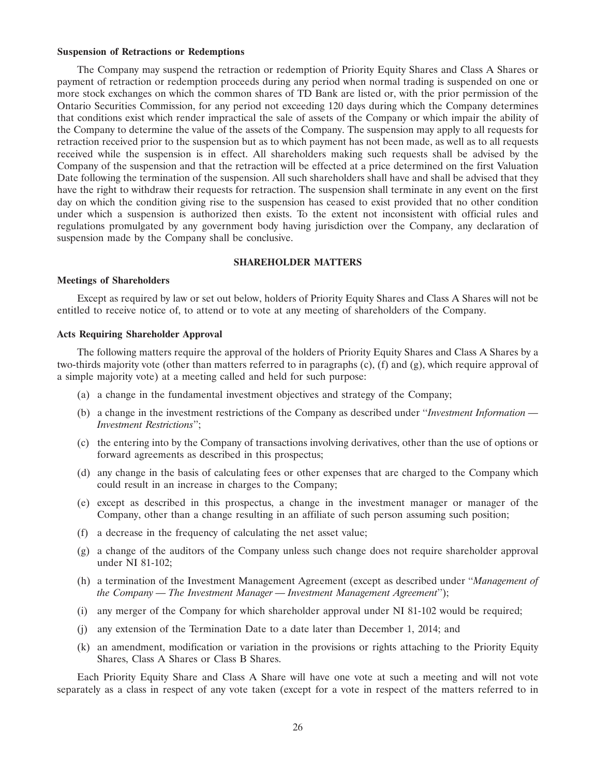#### **Suspension of Retractions or Redemptions**

The Company may suspend the retraction or redemption of Priority Equity Shares and Class A Shares or payment of retraction or redemption proceeds during any period when normal trading is suspended on one or more stock exchanges on which the common shares of TD Bank are listed or, with the prior permission of the Ontario Securities Commission, for any period not exceeding 120 days during which the Company determines that conditions exist which render impractical the sale of assets of the Company or which impair the ability of the Company to determine the value of the assets of the Company. The suspension may apply to all requests for retraction received prior to the suspension but as to which payment has not been made, as well as to all requests received while the suspension is in effect. All shareholders making such requests shall be advised by the Company of the suspension and that the retraction will be effected at a price determined on the first Valuation Date following the termination of the suspension. All such shareholders shall have and shall be advised that they have the right to withdraw their requests for retraction. The suspension shall terminate in any event on the first day on which the condition giving rise to the suspension has ceased to exist provided that no other condition under which a suspension is authorized then exists. To the extent not inconsistent with official rules and regulations promulgated by any government body having jurisdiction over the Company, any declaration of suspension made by the Company shall be conclusive.

#### **SHAREHOLDER MATTERS**

#### **Meetings of Shareholders**

Except as required by law or set out below, holders of Priority Equity Shares and Class A Shares will not be entitled to receive notice of, to attend or to vote at any meeting of shareholders of the Company.

#### **Acts Requiring Shareholder Approval**

The following matters require the approval of the holders of Priority Equity Shares and Class A Shares by a two-thirds majority vote (other than matters referred to in paragraphs (c), (f) and (g), which require approval of a simple majority vote) at a meeting called and held for such purpose:

- (a) a change in the fundamental investment objectives and strategy of the Company;
- (b) a change in the investment restrictions of the Company as described under ''*Investment Information — Investment Restrictions*'';
- (c) the entering into by the Company of transactions involving derivatives, other than the use of options or forward agreements as described in this prospectus;
- (d) any change in the basis of calculating fees or other expenses that are charged to the Company which could result in an increase in charges to the Company;
- (e) except as described in this prospectus, a change in the investment manager or manager of the Company, other than a change resulting in an affiliate of such person assuming such position;
- (f) a decrease in the frequency of calculating the net asset value;
- (g) a change of the auditors of the Company unless such change does not require shareholder approval under NI 81-102;
- (h) a termination of the Investment Management Agreement (except as described under ''*Management of the Company — The Investment Manager — Investment Management Agreement*'');
- (i) any merger of the Company for which shareholder approval under NI 81-102 would be required;
- (j) any extension of the Termination Date to a date later than December 1, 2014; and
- (k) an amendment, modification or variation in the provisions or rights attaching to the Priority Equity Shares, Class A Shares or Class B Shares.

Each Priority Equity Share and Class A Share will have one vote at such a meeting and will not vote separately as a class in respect of any vote taken (except for a vote in respect of the matters referred to in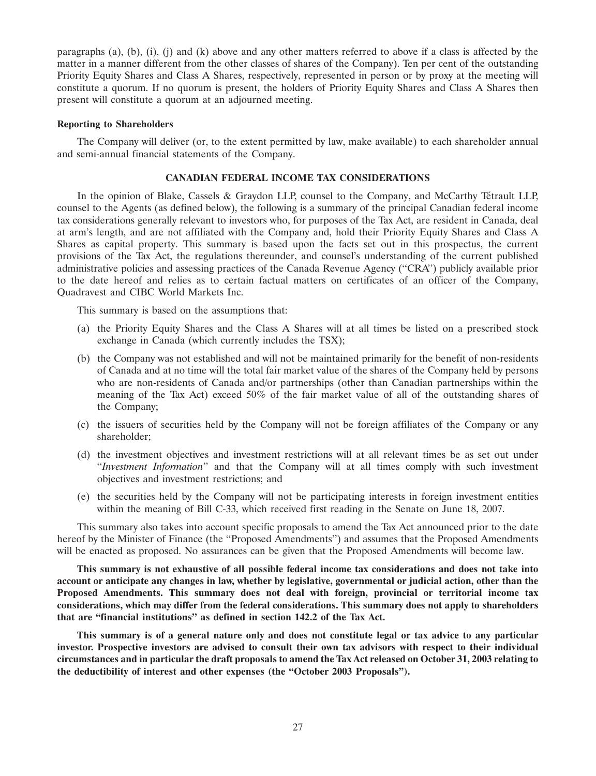paragraphs (a), (b), (i), (i) and (k) above and any other matters referred to above if a class is affected by the matter in a manner different from the other classes of shares of the Company). Ten per cent of the outstanding Priority Equity Shares and Class A Shares, respectively, represented in person or by proxy at the meeting will constitute a quorum. If no quorum is present, the holders of Priority Equity Shares and Class A Shares then present will constitute a quorum at an adjourned meeting.

#### **Reporting to Shareholders**

The Company will deliver (or, to the extent permitted by law, make available) to each shareholder annual and semi-annual financial statements of the Company.

#### **CANADIAN FEDERAL INCOME TAX CONSIDERATIONS**

In the opinion of Blake, Cassels & Graydon LLP, counsel to the Company, and McCarthy Tétrault LLP, counsel to the Agents (as defined below), the following is a summary of the principal Canadian federal income tax considerations generally relevant to investors who, for purposes of the Tax Act, are resident in Canada, deal at arm's length, and are not affiliated with the Company and, hold their Priority Equity Shares and Class A Shares as capital property. This summary is based upon the facts set out in this prospectus, the current provisions of the Tax Act, the regulations thereunder, and counsel's understanding of the current published administrative policies and assessing practices of the Canada Revenue Agency (''CRA'') publicly available prior to the date hereof and relies as to certain factual matters on certificates of an officer of the Company, Quadravest and CIBC World Markets Inc.

This summary is based on the assumptions that:

- (a) the Priority Equity Shares and the Class A Shares will at all times be listed on a prescribed stock exchange in Canada (which currently includes the TSX);
- (b) the Company was not established and will not be maintained primarily for the benefit of non-residents of Canada and at no time will the total fair market value of the shares of the Company held by persons who are non-residents of Canada and/or partnerships (other than Canadian partnerships within the meaning of the Tax Act) exceed 50% of the fair market value of all of the outstanding shares of the Company;
- (c) the issuers of securities held by the Company will not be foreign affiliates of the Company or any shareholder;
- (d) the investment objectives and investment restrictions will at all relevant times be as set out under ''*Investment Information*'' and that the Company will at all times comply with such investment objectives and investment restrictions; and
- (e) the securities held by the Company will not be participating interests in foreign investment entities within the meaning of Bill C-33, which received first reading in the Senate on June 18, 2007.

This summary also takes into account specific proposals to amend the Tax Act announced prior to the date hereof by the Minister of Finance (the ''Proposed Amendments'') and assumes that the Proposed Amendments will be enacted as proposed. No assurances can be given that the Proposed Amendments will become law.

**This summary is not exhaustive of all possible federal income tax considerations and does not take into account or anticipate any changes in law, whether by legislative, governmental or judicial action, other than the Proposed Amendments. This summary does not deal with foreign, provincial or territorial income tax considerations, which may differ from the federal considerations. This summary does not apply to shareholders that are ''financial institutions'' as defined in section 142.2 of the Tax Act.**

**This summary is of a general nature only and does not constitute legal or tax advice to any particular investor. Prospective investors are advised to consult their own tax advisors with respect to their individual circumstances and in particular the draft proposals to amend the Tax Act released on October 31, 2003 relating to the deductibility of interest and other expenses (the ''October 2003 Proposals'').**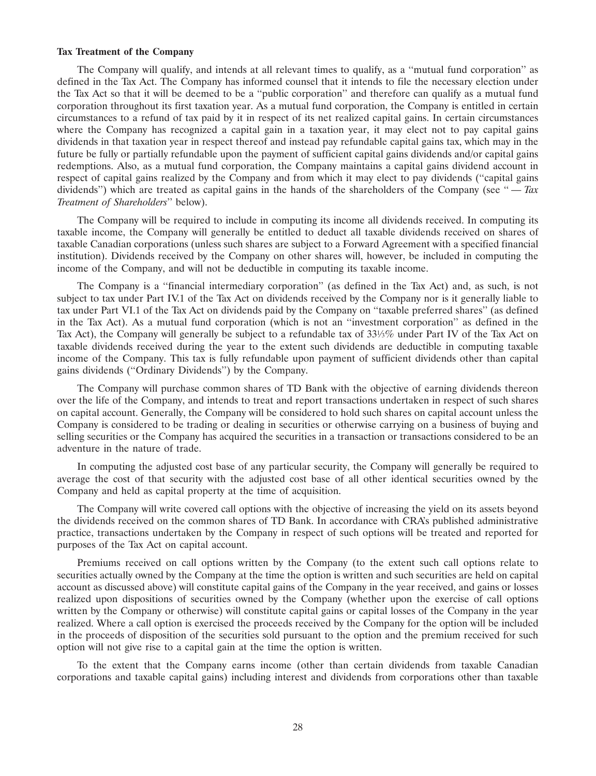#### **Tax Treatment of the Company**

The Company will qualify, and intends at all relevant times to qualify, as a ''mutual fund corporation'' as defined in the Tax Act. The Company has informed counsel that it intends to file the necessary election under the Tax Act so that it will be deemed to be a ''public corporation'' and therefore can qualify as a mutual fund corporation throughout its first taxation year. As a mutual fund corporation, the Company is entitled in certain circumstances to a refund of tax paid by it in respect of its net realized capital gains. In certain circumstances where the Company has recognized a capital gain in a taxation year, it may elect not to pay capital gains dividends in that taxation year in respect thereof and instead pay refundable capital gains tax, which may in the future be fully or partially refundable upon the payment of sufficient capital gains dividends and/or capital gains redemptions. Also, as a mutual fund corporation, the Company maintains a capital gains dividend account in respect of capital gains realized by the Company and from which it may elect to pay dividends (''capital gains dividends") which are treated as capital gains in the hands of the shareholders of the Company (see "-*Tax Treatment of Shareholders*'' below).

The Company will be required to include in computing its income all dividends received. In computing its taxable income, the Company will generally be entitled to deduct all taxable dividends received on shares of taxable Canadian corporations (unless such shares are subject to a Forward Agreement with a specified financial institution). Dividends received by the Company on other shares will, however, be included in computing the income of the Company, and will not be deductible in computing its taxable income.

The Company is a ''financial intermediary corporation'' (as defined in the Tax Act) and, as such, is not subject to tax under Part IV.1 of the Tax Act on dividends received by the Company nor is it generally liable to tax under Part VI.1 of the Tax Act on dividends paid by the Company on ''taxable preferred shares'' (as defined in the Tax Act). As a mutual fund corporation (which is not an ''investment corporation'' as defined in the Tax Act), the Company will generally be subject to a refundable tax of 33<sup>1</sup>/<sub>3</sub>% under Part IV of the Tax Act on taxable dividends received during the year to the extent such dividends are deductible in computing taxable income of the Company. This tax is fully refundable upon payment of sufficient dividends other than capital gains dividends (''Ordinary Dividends'') by the Company.

The Company will purchase common shares of TD Bank with the objective of earning dividends thereon over the life of the Company, and intends to treat and report transactions undertaken in respect of such shares on capital account. Generally, the Company will be considered to hold such shares on capital account unless the Company is considered to be trading or dealing in securities or otherwise carrying on a business of buying and selling securities or the Company has acquired the securities in a transaction or transactions considered to be an adventure in the nature of trade.

In computing the adjusted cost base of any particular security, the Company will generally be required to average the cost of that security with the adjusted cost base of all other identical securities owned by the Company and held as capital property at the time of acquisition.

The Company will write covered call options with the objective of increasing the yield on its assets beyond the dividends received on the common shares of TD Bank. In accordance with CRA's published administrative practice, transactions undertaken by the Company in respect of such options will be treated and reported for purposes of the Tax Act on capital account.

Premiums received on call options written by the Company (to the extent such call options relate to securities actually owned by the Company at the time the option is written and such securities are held on capital account as discussed above) will constitute capital gains of the Company in the year received, and gains or losses realized upon dispositions of securities owned by the Company (whether upon the exercise of call options written by the Company or otherwise) will constitute capital gains or capital losses of the Company in the year realized. Where a call option is exercised the proceeds received by the Company for the option will be included in the proceeds of disposition of the securities sold pursuant to the option and the premium received for such option will not give rise to a capital gain at the time the option is written.

To the extent that the Company earns income (other than certain dividends from taxable Canadian corporations and taxable capital gains) including interest and dividends from corporations other than taxable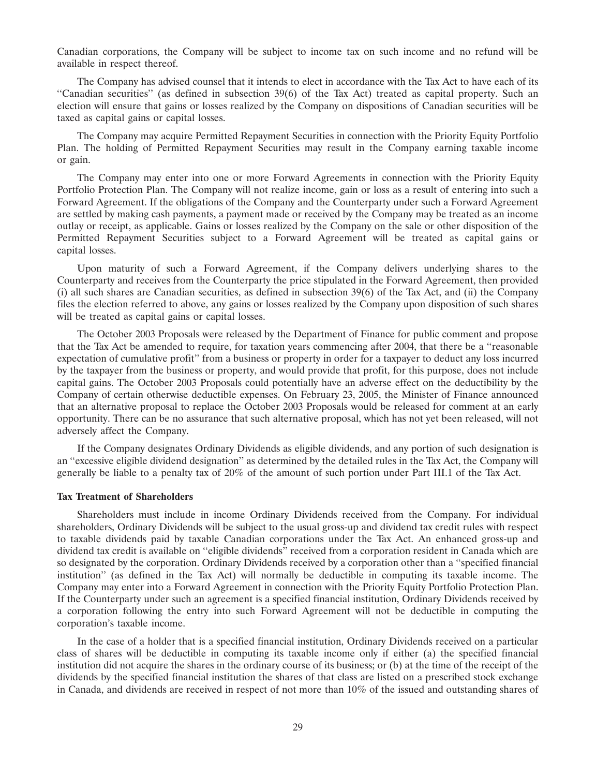Canadian corporations, the Company will be subject to income tax on such income and no refund will be available in respect thereof.

The Company has advised counsel that it intends to elect in accordance with the Tax Act to have each of its ''Canadian securities'' (as defined in subsection 39(6) of the Tax Act) treated as capital property. Such an election will ensure that gains or losses realized by the Company on dispositions of Canadian securities will be taxed as capital gains or capital losses.

The Company may acquire Permitted Repayment Securities in connection with the Priority Equity Portfolio Plan. The holding of Permitted Repayment Securities may result in the Company earning taxable income or gain.

The Company may enter into one or more Forward Agreements in connection with the Priority Equity Portfolio Protection Plan. The Company will not realize income, gain or loss as a result of entering into such a Forward Agreement. If the obligations of the Company and the Counterparty under such a Forward Agreement are settled by making cash payments, a payment made or received by the Company may be treated as an income outlay or receipt, as applicable. Gains or losses realized by the Company on the sale or other disposition of the Permitted Repayment Securities subject to a Forward Agreement will be treated as capital gains or capital losses.

Upon maturity of such a Forward Agreement, if the Company delivers underlying shares to the Counterparty and receives from the Counterparty the price stipulated in the Forward Agreement, then provided (i) all such shares are Canadian securities, as defined in subsection 39(6) of the Tax Act, and (ii) the Company files the election referred to above, any gains or losses realized by the Company upon disposition of such shares will be treated as capital gains or capital losses.

The October 2003 Proposals were released by the Department of Finance for public comment and propose that the Tax Act be amended to require, for taxation years commencing after 2004, that there be a ''reasonable expectation of cumulative profit'' from a business or property in order for a taxpayer to deduct any loss incurred by the taxpayer from the business or property, and would provide that profit, for this purpose, does not include capital gains. The October 2003 Proposals could potentially have an adverse effect on the deductibility by the Company of certain otherwise deductible expenses. On February 23, 2005, the Minister of Finance announced that an alternative proposal to replace the October 2003 Proposals would be released for comment at an early opportunity. There can be no assurance that such alternative proposal, which has not yet been released, will not adversely affect the Company.

If the Company designates Ordinary Dividends as eligible dividends, and any portion of such designation is an ''excessive eligible dividend designation'' as determined by the detailed rules in the Tax Act, the Company will generally be liable to a penalty tax of 20% of the amount of such portion under Part III.1 of the Tax Act.

#### **Tax Treatment of Shareholders**

Shareholders must include in income Ordinary Dividends received from the Company. For individual shareholders, Ordinary Dividends will be subject to the usual gross-up and dividend tax credit rules with respect to taxable dividends paid by taxable Canadian corporations under the Tax Act. An enhanced gross-up and dividend tax credit is available on ''eligible dividends'' received from a corporation resident in Canada which are so designated by the corporation. Ordinary Dividends received by a corporation other than a ''specified financial institution'' (as defined in the Tax Act) will normally be deductible in computing its taxable income. The Company may enter into a Forward Agreement in connection with the Priority Equity Portfolio Protection Plan. If the Counterparty under such an agreement is a specified financial institution, Ordinary Dividends received by a corporation following the entry into such Forward Agreement will not be deductible in computing the corporation's taxable income.

In the case of a holder that is a specified financial institution, Ordinary Dividends received on a particular class of shares will be deductible in computing its taxable income only if either (a) the specified financial institution did not acquire the shares in the ordinary course of its business; or (b) at the time of the receipt of the dividends by the specified financial institution the shares of that class are listed on a prescribed stock exchange in Canada, and dividends are received in respect of not more than 10% of the issued and outstanding shares of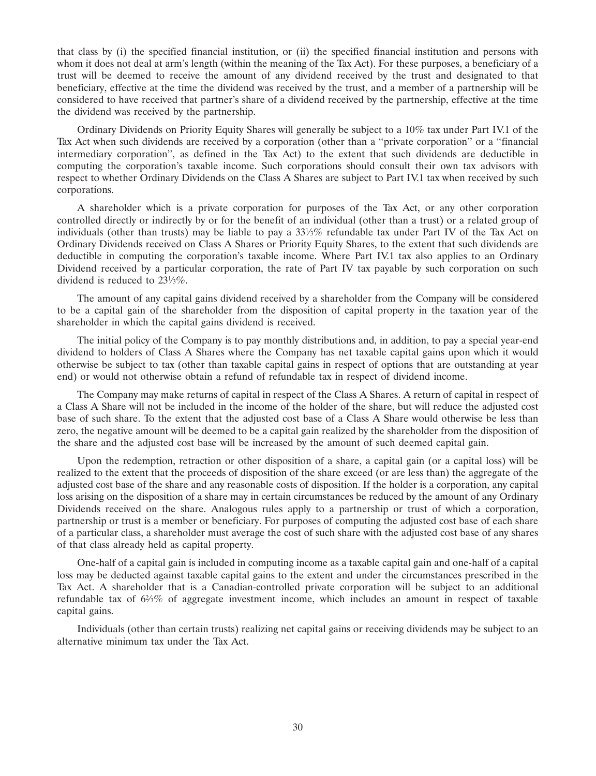that class by (i) the specified financial institution, or (ii) the specified financial institution and persons with whom it does not deal at arm's length (within the meaning of the Tax Act). For these purposes, a beneficiary of a trust will be deemed to receive the amount of any dividend received by the trust and designated to that beneficiary, effective at the time the dividend was received by the trust, and a member of a partnership will be considered to have received that partner's share of a dividend received by the partnership, effective at the time the dividend was received by the partnership.

Ordinary Dividends on Priority Equity Shares will generally be subject to a 10% tax under Part IV.1 of the Tax Act when such dividends are received by a corporation (other than a ''private corporation'' or a ''financial intermediary corporation'', as defined in the Tax Act) to the extent that such dividends are deductible in computing the corporation's taxable income. Such corporations should consult their own tax advisors with respect to whether Ordinary Dividends on the Class A Shares are subject to Part IV.1 tax when received by such corporations.

A shareholder which is a private corporation for purposes of the Tax Act, or any other corporation controlled directly or indirectly by or for the benefit of an individual (other than a trust) or a related group of individuals (other than trusts) may be liable to pay a  $33\frac{1}{3}\%$  refundable tax under Part IV of the Tax Act on Ordinary Dividends received on Class A Shares or Priority Equity Shares, to the extent that such dividends are deductible in computing the corporation's taxable income. Where Part IV.1 tax also applies to an Ordinary Dividend received by a particular corporation, the rate of Part IV tax payable by such corporation on such dividend is reduced to 231⁄3%.

The amount of any capital gains dividend received by a shareholder from the Company will be considered to be a capital gain of the shareholder from the disposition of capital property in the taxation year of the shareholder in which the capital gains dividend is received.

The initial policy of the Company is to pay monthly distributions and, in addition, to pay a special year-end dividend to holders of Class A Shares where the Company has net taxable capital gains upon which it would otherwise be subject to tax (other than taxable capital gains in respect of options that are outstanding at year end) or would not otherwise obtain a refund of refundable tax in respect of dividend income.

The Company may make returns of capital in respect of the Class A Shares. A return of capital in respect of a Class A Share will not be included in the income of the holder of the share, but will reduce the adjusted cost base of such share. To the extent that the adjusted cost base of a Class A Share would otherwise be less than zero, the negative amount will be deemed to be a capital gain realized by the shareholder from the disposition of the share and the adjusted cost base will be increased by the amount of such deemed capital gain.

Upon the redemption, retraction or other disposition of a share, a capital gain (or a capital loss) will be realized to the extent that the proceeds of disposition of the share exceed (or are less than) the aggregate of the adjusted cost base of the share and any reasonable costs of disposition. If the holder is a corporation, any capital loss arising on the disposition of a share may in certain circumstances be reduced by the amount of any Ordinary Dividends received on the share. Analogous rules apply to a partnership or trust of which a corporation, partnership or trust is a member or beneficiary. For purposes of computing the adjusted cost base of each share of a particular class, a shareholder must average the cost of such share with the adjusted cost base of any shares of that class already held as capital property.

One-half of a capital gain is included in computing income as a taxable capital gain and one-half of a capital loss may be deducted against taxable capital gains to the extent and under the circumstances prescribed in the Tax Act. A shareholder that is a Canadian-controlled private corporation will be subject to an additional refundable tax of 62⁄3% of aggregate investment income, which includes an amount in respect of taxable capital gains.

Individuals (other than certain trusts) realizing net capital gains or receiving dividends may be subject to an alternative minimum tax under the Tax Act.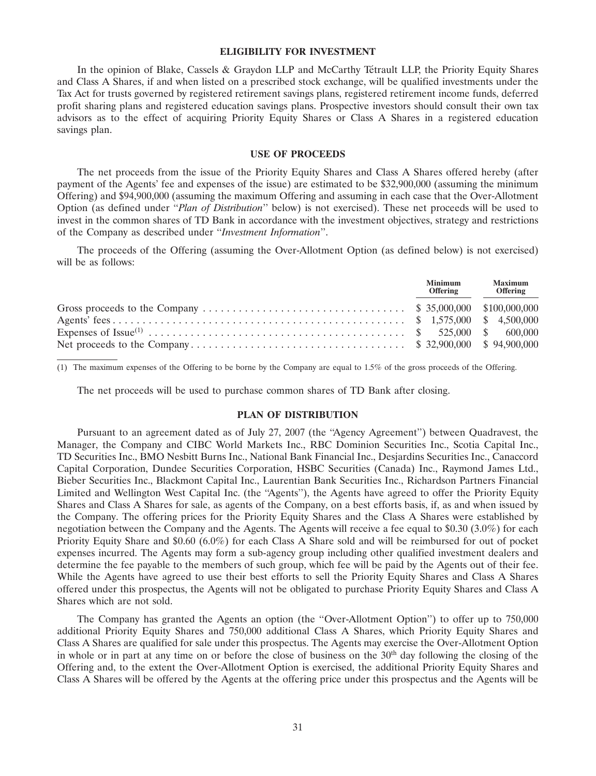#### **ELIGIBILITY FOR INVESTMENT**

In the opinion of Blake, Cassels & Graydon LLP and McCarthy Tétrault LLP, the Priority Equity Shares and Class A Shares, if and when listed on a prescribed stock exchange, will be qualified investments under the Tax Act for trusts governed by registered retirement savings plans, registered retirement income funds, deferred profit sharing plans and registered education savings plans. Prospective investors should consult their own tax advisors as to the effect of acquiring Priority Equity Shares or Class A Shares in a registered education savings plan.

# **USE OF PROCEEDS**

The net proceeds from the issue of the Priority Equity Shares and Class A Shares offered hereby (after payment of the Agents' fee and expenses of the issue) are estimated to be \$32,900,000 (assuming the minimum Offering) and \$94,900,000 (assuming the maximum Offering and assuming in each case that the Over-Allotment Option (as defined under ''*Plan of Distribution*'' below) is not exercised). These net proceeds will be used to invest in the common shares of TD Bank in accordance with the investment objectives, strategy and restrictions of the Company as described under ''*Investment Information*''.

The proceeds of the Offering (assuming the Over-Allotment Option (as defined below) is not exercised) will be as follows:

| <b>Minimum</b><br><b>Offering</b> | <b>Maximum</b><br><b>Offering</b> |
|-----------------------------------|-----------------------------------|
|                                   |                                   |
|                                   |                                   |
|                                   |                                   |
|                                   |                                   |

(1) The maximum expenses of the Offering to be borne by the Company are equal to 1.5% of the gross proceeds of the Offering.

The net proceeds will be used to purchase common shares of TD Bank after closing.

# **PLAN OF DISTRIBUTION**

Pursuant to an agreement dated as of July 27, 2007 (the ''Agency Agreement'') between Quadravest, the Manager, the Company and CIBC World Markets Inc., RBC Dominion Securities Inc., Scotia Capital Inc., TD Securities Inc., BMO Nesbitt Burns Inc., National Bank Financial Inc., Desjardins Securities Inc., Canaccord Capital Corporation, Dundee Securities Corporation, HSBC Securities (Canada) Inc., Raymond James Ltd., Bieber Securities Inc., Blackmont Capital Inc., Laurentian Bank Securities Inc., Richardson Partners Financial Limited and Wellington West Capital Inc. (the ''Agents''), the Agents have agreed to offer the Priority Equity Shares and Class A Shares for sale, as agents of the Company, on a best efforts basis, if, as and when issued by the Company. The offering prices for the Priority Equity Shares and the Class A Shares were established by negotiation between the Company and the Agents. The Agents will receive a fee equal to \$0.30 (3.0%) for each Priority Equity Share and \$0.60 (6.0%) for each Class A Share sold and will be reimbursed for out of pocket expenses incurred. The Agents may form a sub-agency group including other qualified investment dealers and determine the fee payable to the members of such group, which fee will be paid by the Agents out of their fee. While the Agents have agreed to use their best efforts to sell the Priority Equity Shares and Class A Shares offered under this prospectus, the Agents will not be obligated to purchase Priority Equity Shares and Class A Shares which are not sold.

The Company has granted the Agents an option (the "Over-Allotment Option") to offer up to 750,000 additional Priority Equity Shares and 750,000 additional Class A Shares, which Priority Equity Shares and Class A Shares are qualified for sale under this prospectus. The Agents may exercise the Over-Allotment Option in whole or in part at any time on or before the close of business on the  $30<sup>th</sup>$  day following the closing of the Offering and, to the extent the Over-Allotment Option is exercised, the additional Priority Equity Shares and Class A Shares will be offered by the Agents at the offering price under this prospectus and the Agents will be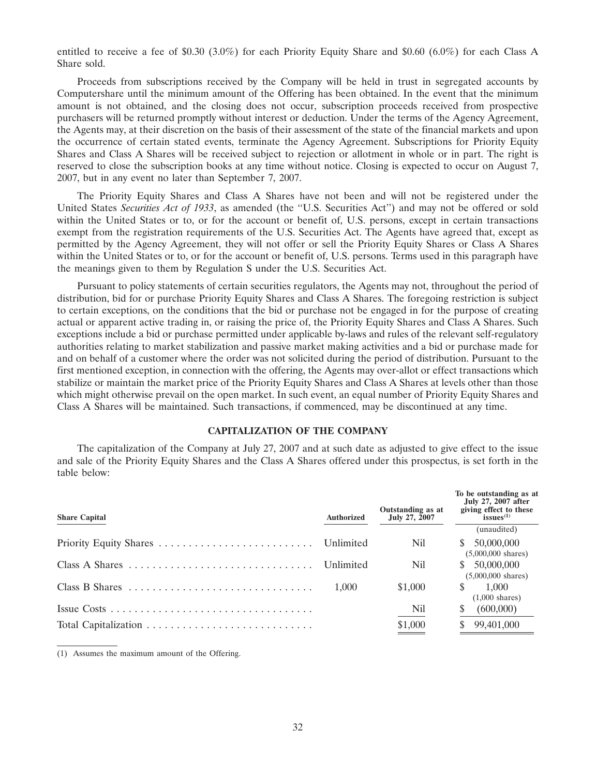entitled to receive a fee of \$0.30 (3.0%) for each Priority Equity Share and \$0.60 (6.0%) for each Class A Share sold.

Proceeds from subscriptions received by the Company will be held in trust in segregated accounts by Computershare until the minimum amount of the Offering has been obtained. In the event that the minimum amount is not obtained, and the closing does not occur, subscription proceeds received from prospective purchasers will be returned promptly without interest or deduction. Under the terms of the Agency Agreement, the Agents may, at their discretion on the basis of their assessment of the state of the financial markets and upon the occurrence of certain stated events, terminate the Agency Agreement. Subscriptions for Priority Equity Shares and Class A Shares will be received subject to rejection or allotment in whole or in part. The right is reserved to close the subscription books at any time without notice. Closing is expected to occur on August 7, 2007, but in any event no later than September 7, 2007.

The Priority Equity Shares and Class A Shares have not been and will not be registered under the United States *Securities Act of 1933*, as amended (the ''U.S. Securities Act'') and may not be offered or sold within the United States or to, or for the account or benefit of, U.S. persons, except in certain transactions exempt from the registration requirements of the U.S. Securities Act. The Agents have agreed that, except as permitted by the Agency Agreement, they will not offer or sell the Priority Equity Shares or Class A Shares within the United States or to, or for the account or benefit of, U.S. persons. Terms used in this paragraph have the meanings given to them by Regulation S under the U.S. Securities Act.

Pursuant to policy statements of certain securities regulators, the Agents may not, throughout the period of distribution, bid for or purchase Priority Equity Shares and Class A Shares. The foregoing restriction is subject to certain exceptions, on the conditions that the bid or purchase not be engaged in for the purpose of creating actual or apparent active trading in, or raising the price of, the Priority Equity Shares and Class A Shares. Such exceptions include a bid or purchase permitted under applicable by-laws and rules of the relevant self-regulatory authorities relating to market stabilization and passive market making activities and a bid or purchase made for and on behalf of a customer where the order was not solicited during the period of distribution. Pursuant to the first mentioned exception, in connection with the offering, the Agents may over-allot or effect transactions which stabilize or maintain the market price of the Priority Equity Shares and Class A Shares at levels other than those which might otherwise prevail on the open market. In such event, an equal number of Priority Equity Shares and Class A Shares will be maintained. Such transactions, if commenced, may be discontinued at any time.

# **CAPITALIZATION OF THE COMPANY**

The capitalization of the Company at July 27, 2007 and at such date as adjusted to give effect to the issue and sale of the Priority Equity Shares and the Class A Shares offered under this prospectus, is set forth in the table below:

| <b>Share Capital</b> | <b>Authorized</b> | Outstanding as at<br>July 27, 2007 | To be outstanding as at<br>July 27, 2007 after<br>giving effect to these<br>issues <sup><math>(1)</math></sup> |
|----------------------|-------------------|------------------------------------|----------------------------------------------------------------------------------------------------------------|
|                      |                   |                                    | (unaudited)                                                                                                    |
|                      |                   | Nil.                               | 50,000,000<br>$(5,000,000 \text{ shares})$                                                                     |
|                      | Unlimited         | Nil                                | \$50,000,000<br>$(5,000,000 \text{ shares})$                                                                   |
| Class B Shares       | 1.000             | \$1,000                            | 1.000<br>$(1,000 \text{ shares})$                                                                              |
|                      |                   | Nil                                | (600,000)                                                                                                      |
|                      |                   | \$1,000                            | 99,401,000                                                                                                     |

(1) Assumes the maximum amount of the Offering.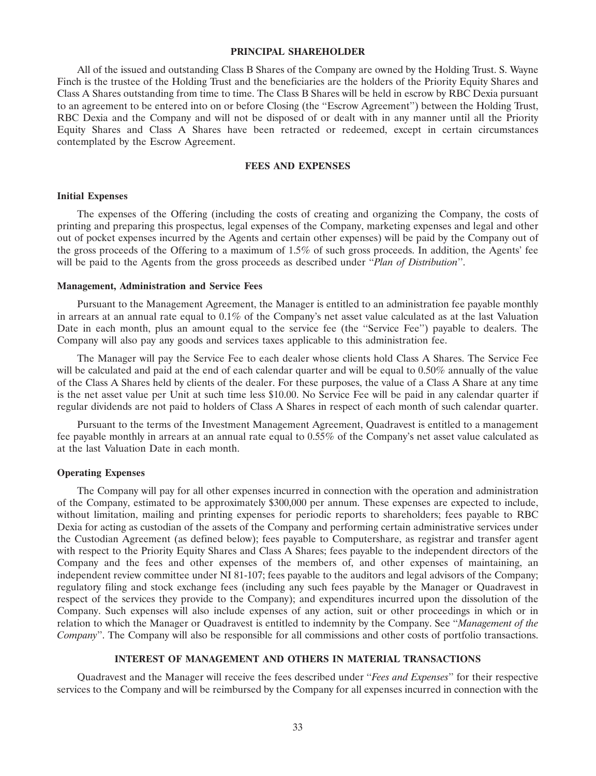#### **PRINCIPAL SHAREHOLDER**

All of the issued and outstanding Class B Shares of the Company are owned by the Holding Trust. S. Wayne Finch is the trustee of the Holding Trust and the beneficiaries are the holders of the Priority Equity Shares and Class A Shares outstanding from time to time. The Class B Shares will be held in escrow by RBC Dexia pursuant to an agreement to be entered into on or before Closing (the ''Escrow Agreement'') between the Holding Trust, RBC Dexia and the Company and will not be disposed of or dealt with in any manner until all the Priority Equity Shares and Class A Shares have been retracted or redeemed, except in certain circumstances contemplated by the Escrow Agreement.

#### **FEES AND EXPENSES**

#### **Initial Expenses**

The expenses of the Offering (including the costs of creating and organizing the Company, the costs of printing and preparing this prospectus, legal expenses of the Company, marketing expenses and legal and other out of pocket expenses incurred by the Agents and certain other expenses) will be paid by the Company out of the gross proceeds of the Offering to a maximum of 1.5% of such gross proceeds. In addition, the Agents' fee will be paid to the Agents from the gross proceeds as described under ''*Plan of Distribution*''.

#### **Management, Administration and Service Fees**

Pursuant to the Management Agreement, the Manager is entitled to an administration fee payable monthly in arrears at an annual rate equal to 0.1% of the Company's net asset value calculated as at the last Valuation Date in each month, plus an amount equal to the service fee (the "Service Fee") payable to dealers. The Company will also pay any goods and services taxes applicable to this administration fee.

The Manager will pay the Service Fee to each dealer whose clients hold Class A Shares. The Service Fee will be calculated and paid at the end of each calendar quarter and will be equal to 0.50% annually of the value of the Class A Shares held by clients of the dealer. For these purposes, the value of a Class A Share at any time is the net asset value per Unit at such time less \$10.00. No Service Fee will be paid in any calendar quarter if regular dividends are not paid to holders of Class A Shares in respect of each month of such calendar quarter.

Pursuant to the terms of the Investment Management Agreement, Quadravest is entitled to a management fee payable monthly in arrears at an annual rate equal to 0.55% of the Company's net asset value calculated as at the last Valuation Date in each month.

#### **Operating Expenses**

The Company will pay for all other expenses incurred in connection with the operation and administration of the Company, estimated to be approximately \$300,000 per annum. These expenses are expected to include, without limitation, mailing and printing expenses for periodic reports to shareholders; fees payable to RBC Dexia for acting as custodian of the assets of the Company and performing certain administrative services under the Custodian Agreement (as defined below); fees payable to Computershare, as registrar and transfer agent with respect to the Priority Equity Shares and Class A Shares; fees payable to the independent directors of the Company and the fees and other expenses of the members of, and other expenses of maintaining, an independent review committee under NI 81-107; fees payable to the auditors and legal advisors of the Company; regulatory filing and stock exchange fees (including any such fees payable by the Manager or Quadravest in respect of the services they provide to the Company); and expenditures incurred upon the dissolution of the Company. Such expenses will also include expenses of any action, suit or other proceedings in which or in relation to which the Manager or Quadravest is entitled to indemnity by the Company. See ''*Management of the Company*''. The Company will also be responsible for all commissions and other costs of portfolio transactions.

# **INTEREST OF MANAGEMENT AND OTHERS IN MATERIAL TRANSACTIONS**

Quadravest and the Manager will receive the fees described under ''*Fees and Expenses*'' for their respective services to the Company and will be reimbursed by the Company for all expenses incurred in connection with the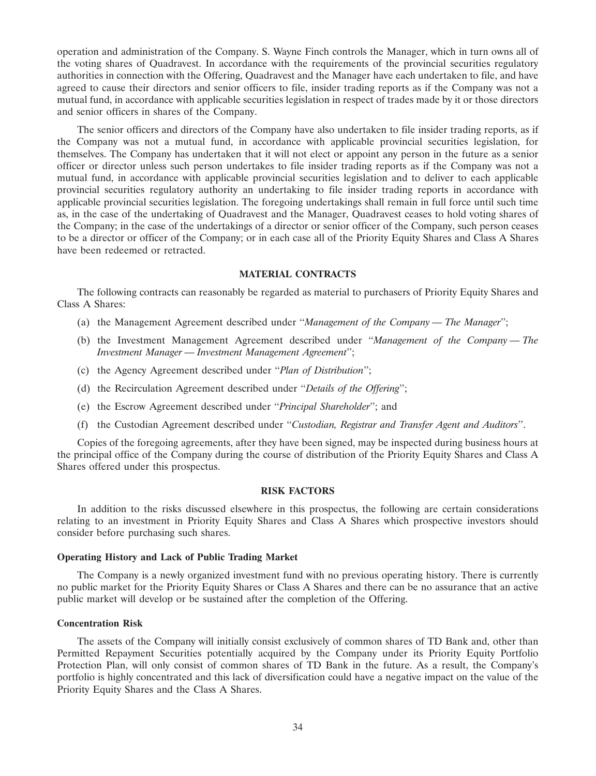operation and administration of the Company. S. Wayne Finch controls the Manager, which in turn owns all of the voting shares of Quadravest. In accordance with the requirements of the provincial securities regulatory authorities in connection with the Offering, Quadravest and the Manager have each undertaken to file, and have agreed to cause their directors and senior officers to file, insider trading reports as if the Company was not a mutual fund, in accordance with applicable securities legislation in respect of trades made by it or those directors and senior officers in shares of the Company.

The senior officers and directors of the Company have also undertaken to file insider trading reports, as if the Company was not a mutual fund, in accordance with applicable provincial securities legislation, for themselves. The Company has undertaken that it will not elect or appoint any person in the future as a senior officer or director unless such person undertakes to file insider trading reports as if the Company was not a mutual fund, in accordance with applicable provincial securities legislation and to deliver to each applicable provincial securities regulatory authority an undertaking to file insider trading reports in accordance with applicable provincial securities legislation. The foregoing undertakings shall remain in full force until such time as, in the case of the undertaking of Quadravest and the Manager, Quadravest ceases to hold voting shares of the Company; in the case of the undertakings of a director or senior officer of the Company, such person ceases to be a director or officer of the Company; or in each case all of the Priority Equity Shares and Class A Shares have been redeemed or retracted.

# **MATERIAL CONTRACTS**

The following contracts can reasonably be regarded as material to purchasers of Priority Equity Shares and Class A Shares:

- (a) the Management Agreement described under ''*Management of the Company The Manager*'';
- (b) the Investment Management Agreement described under ''*Management of the Company The Investment Manager — Investment Management Agreement*'';
- (c) the Agency Agreement described under ''*Plan of Distribution*'';
- (d) the Recirculation Agreement described under ''*Details of the Offering*'';
- (e) the Escrow Agreement described under ''*Principal Shareholder*''; and
- (f) the Custodian Agreement described under ''*Custodian, Registrar and Transfer Agent and Auditors*''.

Copies of the foregoing agreements, after they have been signed, may be inspected during business hours at the principal office of the Company during the course of distribution of the Priority Equity Shares and Class A Shares offered under this prospectus.

#### **RISK FACTORS**

In addition to the risks discussed elsewhere in this prospectus, the following are certain considerations relating to an investment in Priority Equity Shares and Class A Shares which prospective investors should consider before purchasing such shares.

#### **Operating History and Lack of Public Trading Market**

The Company is a newly organized investment fund with no previous operating history. There is currently no public market for the Priority Equity Shares or Class A Shares and there can be no assurance that an active public market will develop or be sustained after the completion of the Offering.

#### **Concentration Risk**

The assets of the Company will initially consist exclusively of common shares of TD Bank and, other than Permitted Repayment Securities potentially acquired by the Company under its Priority Equity Portfolio Protection Plan, will only consist of common shares of TD Bank in the future. As a result, the Company's portfolio is highly concentrated and this lack of diversification could have a negative impact on the value of the Priority Equity Shares and the Class A Shares.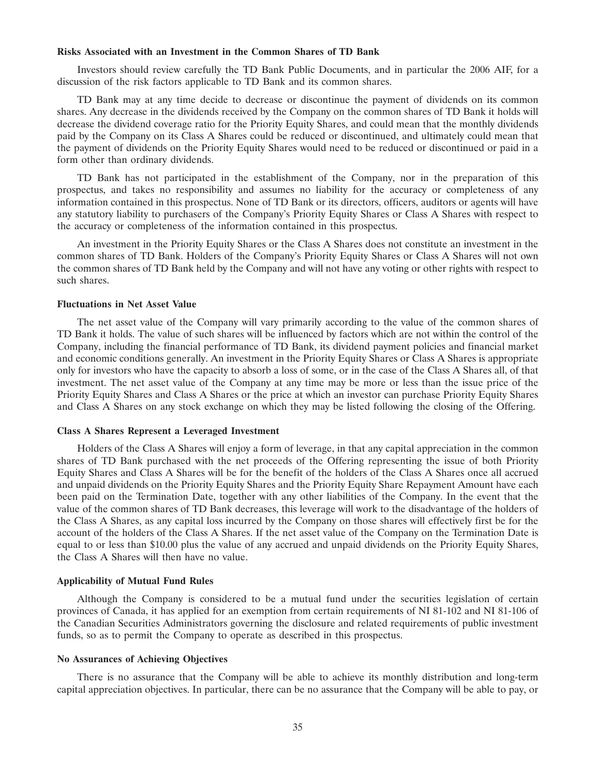#### **Risks Associated with an Investment in the Common Shares of TD Bank**

Investors should review carefully the TD Bank Public Documents, and in particular the 2006 AIF, for a discussion of the risk factors applicable to TD Bank and its common shares.

TD Bank may at any time decide to decrease or discontinue the payment of dividends on its common shares. Any decrease in the dividends received by the Company on the common shares of TD Bank it holds will decrease the dividend coverage ratio for the Priority Equity Shares, and could mean that the monthly dividends paid by the Company on its Class A Shares could be reduced or discontinued, and ultimately could mean that the payment of dividends on the Priority Equity Shares would need to be reduced or discontinued or paid in a form other than ordinary dividends.

TD Bank has not participated in the establishment of the Company, nor in the preparation of this prospectus, and takes no responsibility and assumes no liability for the accuracy or completeness of any information contained in this prospectus. None of TD Bank or its directors, officers, auditors or agents will have any statutory liability to purchasers of the Company's Priority Equity Shares or Class A Shares with respect to the accuracy or completeness of the information contained in this prospectus.

An investment in the Priority Equity Shares or the Class A Shares does not constitute an investment in the common shares of TD Bank. Holders of the Company's Priority Equity Shares or Class A Shares will not own the common shares of TD Bank held by the Company and will not have any voting or other rights with respect to such shares.

#### **Fluctuations in Net Asset Value**

The net asset value of the Company will vary primarily according to the value of the common shares of TD Bank it holds. The value of such shares will be influenced by factors which are not within the control of the Company, including the financial performance of TD Bank, its dividend payment policies and financial market and economic conditions generally. An investment in the Priority Equity Shares or Class A Shares is appropriate only for investors who have the capacity to absorb a loss of some, or in the case of the Class A Shares all, of that investment. The net asset value of the Company at any time may be more or less than the issue price of the Priority Equity Shares and Class A Shares or the price at which an investor can purchase Priority Equity Shares and Class A Shares on any stock exchange on which they may be listed following the closing of the Offering.

#### **Class A Shares Represent a Leveraged Investment**

Holders of the Class A Shares will enjoy a form of leverage, in that any capital appreciation in the common shares of TD Bank purchased with the net proceeds of the Offering representing the issue of both Priority Equity Shares and Class A Shares will be for the benefit of the holders of the Class A Shares once all accrued and unpaid dividends on the Priority Equity Shares and the Priority Equity Share Repayment Amount have each been paid on the Termination Date, together with any other liabilities of the Company. In the event that the value of the common shares of TD Bank decreases, this leverage will work to the disadvantage of the holders of the Class A Shares, as any capital loss incurred by the Company on those shares will effectively first be for the account of the holders of the Class A Shares. If the net asset value of the Company on the Termination Date is equal to or less than \$10.00 plus the value of any accrued and unpaid dividends on the Priority Equity Shares, the Class A Shares will then have no value.

#### **Applicability of Mutual Fund Rules**

Although the Company is considered to be a mutual fund under the securities legislation of certain provinces of Canada, it has applied for an exemption from certain requirements of NI 81-102 and NI 81-106 of the Canadian Securities Administrators governing the disclosure and related requirements of public investment funds, so as to permit the Company to operate as described in this prospectus.

#### **No Assurances of Achieving Objectives**

There is no assurance that the Company will be able to achieve its monthly distribution and long-term capital appreciation objectives. In particular, there can be no assurance that the Company will be able to pay, or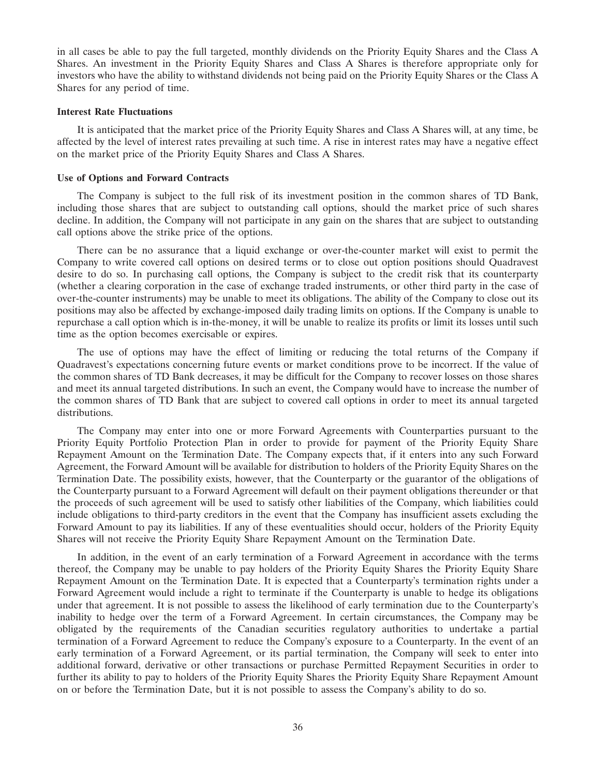in all cases be able to pay the full targeted, monthly dividends on the Priority Equity Shares and the Class A Shares. An investment in the Priority Equity Shares and Class A Shares is therefore appropriate only for investors who have the ability to withstand dividends not being paid on the Priority Equity Shares or the Class A Shares for any period of time.

# **Interest Rate Fluctuations**

It is anticipated that the market price of the Priority Equity Shares and Class A Shares will, at any time, be affected by the level of interest rates prevailing at such time. A rise in interest rates may have a negative effect on the market price of the Priority Equity Shares and Class A Shares.

#### **Use of Options and Forward Contracts**

The Company is subject to the full risk of its investment position in the common shares of TD Bank, including those shares that are subject to outstanding call options, should the market price of such shares decline. In addition, the Company will not participate in any gain on the shares that are subject to outstanding call options above the strike price of the options.

There can be no assurance that a liquid exchange or over-the-counter market will exist to permit the Company to write covered call options on desired terms or to close out option positions should Quadravest desire to do so. In purchasing call options, the Company is subject to the credit risk that its counterparty (whether a clearing corporation in the case of exchange traded instruments, or other third party in the case of over-the-counter instruments) may be unable to meet its obligations. The ability of the Company to close out its positions may also be affected by exchange-imposed daily trading limits on options. If the Company is unable to repurchase a call option which is in-the-money, it will be unable to realize its profits or limit its losses until such time as the option becomes exercisable or expires.

The use of options may have the effect of limiting or reducing the total returns of the Company if Quadravest's expectations concerning future events or market conditions prove to be incorrect. If the value of the common shares of TD Bank decreases, it may be difficult for the Company to recover losses on those shares and meet its annual targeted distributions. In such an event, the Company would have to increase the number of the common shares of TD Bank that are subject to covered call options in order to meet its annual targeted distributions.

The Company may enter into one or more Forward Agreements with Counterparties pursuant to the Priority Equity Portfolio Protection Plan in order to provide for payment of the Priority Equity Share Repayment Amount on the Termination Date. The Company expects that, if it enters into any such Forward Agreement, the Forward Amount will be available for distribution to holders of the Priority Equity Shares on the Termination Date. The possibility exists, however, that the Counterparty or the guarantor of the obligations of the Counterparty pursuant to a Forward Agreement will default on their payment obligations thereunder or that the proceeds of such agreement will be used to satisfy other liabilities of the Company, which liabilities could include obligations to third-party creditors in the event that the Company has insufficient assets excluding the Forward Amount to pay its liabilities. If any of these eventualities should occur, holders of the Priority Equity Shares will not receive the Priority Equity Share Repayment Amount on the Termination Date.

In addition, in the event of an early termination of a Forward Agreement in accordance with the terms thereof, the Company may be unable to pay holders of the Priority Equity Shares the Priority Equity Share Repayment Amount on the Termination Date. It is expected that a Counterparty's termination rights under a Forward Agreement would include a right to terminate if the Counterparty is unable to hedge its obligations under that agreement. It is not possible to assess the likelihood of early termination due to the Counterparty's inability to hedge over the term of a Forward Agreement. In certain circumstances, the Company may be obligated by the requirements of the Canadian securities regulatory authorities to undertake a partial termination of a Forward Agreement to reduce the Company's exposure to a Counterparty. In the event of an early termination of a Forward Agreement, or its partial termination, the Company will seek to enter into additional forward, derivative or other transactions or purchase Permitted Repayment Securities in order to further its ability to pay to holders of the Priority Equity Shares the Priority Equity Share Repayment Amount on or before the Termination Date, but it is not possible to assess the Company's ability to do so.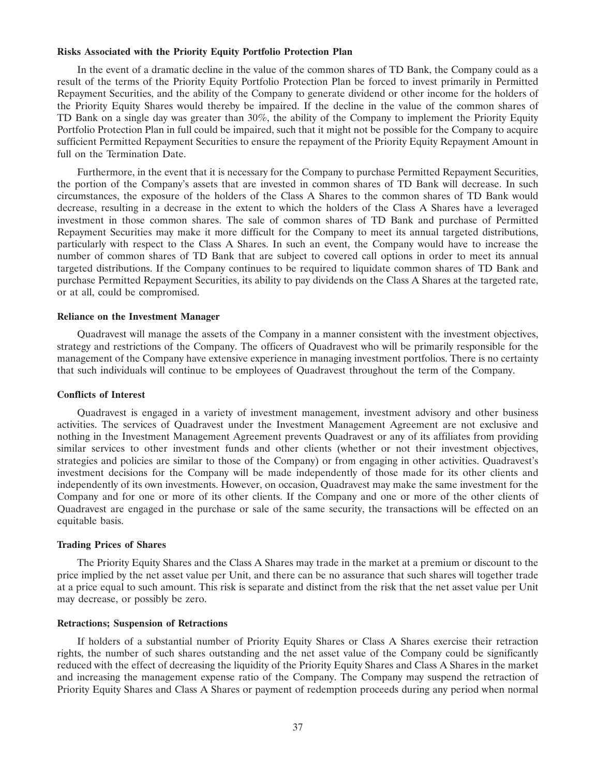#### **Risks Associated with the Priority Equity Portfolio Protection Plan**

In the event of a dramatic decline in the value of the common shares of TD Bank, the Company could as a result of the terms of the Priority Equity Portfolio Protection Plan be forced to invest primarily in Permitted Repayment Securities, and the ability of the Company to generate dividend or other income for the holders of the Priority Equity Shares would thereby be impaired. If the decline in the value of the common shares of TD Bank on a single day was greater than 30%, the ability of the Company to implement the Priority Equity Portfolio Protection Plan in full could be impaired, such that it might not be possible for the Company to acquire sufficient Permitted Repayment Securities to ensure the repayment of the Priority Equity Repayment Amount in full on the Termination Date.

Furthermore, in the event that it is necessary for the Company to purchase Permitted Repayment Securities, the portion of the Company's assets that are invested in common shares of TD Bank will decrease. In such circumstances, the exposure of the holders of the Class A Shares to the common shares of TD Bank would decrease, resulting in a decrease in the extent to which the holders of the Class A Shares have a leveraged investment in those common shares. The sale of common shares of TD Bank and purchase of Permitted Repayment Securities may make it more difficult for the Company to meet its annual targeted distributions, particularly with respect to the Class A Shares. In such an event, the Company would have to increase the number of common shares of TD Bank that are subject to covered call options in order to meet its annual targeted distributions. If the Company continues to be required to liquidate common shares of TD Bank and purchase Permitted Repayment Securities, its ability to pay dividends on the Class A Shares at the targeted rate, or at all, could be compromised.

#### **Reliance on the Investment Manager**

Quadravest will manage the assets of the Company in a manner consistent with the investment objectives, strategy and restrictions of the Company. The officers of Quadravest who will be primarily responsible for the management of the Company have extensive experience in managing investment portfolios. There is no certainty that such individuals will continue to be employees of Quadravest throughout the term of the Company.

#### **Conflicts of Interest**

Quadravest is engaged in a variety of investment management, investment advisory and other business activities. The services of Quadravest under the Investment Management Agreement are not exclusive and nothing in the Investment Management Agreement prevents Quadravest or any of its affiliates from providing similar services to other investment funds and other clients (whether or not their investment objectives, strategies and policies are similar to those of the Company) or from engaging in other activities. Quadravest's investment decisions for the Company will be made independently of those made for its other clients and independently of its own investments. However, on occasion, Quadravest may make the same investment for the Company and for one or more of its other clients. If the Company and one or more of the other clients of Quadravest are engaged in the purchase or sale of the same security, the transactions will be effected on an equitable basis.

#### **Trading Prices of Shares**

The Priority Equity Shares and the Class A Shares may trade in the market at a premium or discount to the price implied by the net asset value per Unit, and there can be no assurance that such shares will together trade at a price equal to such amount. This risk is separate and distinct from the risk that the net asset value per Unit may decrease, or possibly be zero.

#### **Retractions; Suspension of Retractions**

If holders of a substantial number of Priority Equity Shares or Class A Shares exercise their retraction rights, the number of such shares outstanding and the net asset value of the Company could be significantly reduced with the effect of decreasing the liquidity of the Priority Equity Shares and Class A Shares in the market and increasing the management expense ratio of the Company. The Company may suspend the retraction of Priority Equity Shares and Class A Shares or payment of redemption proceeds during any period when normal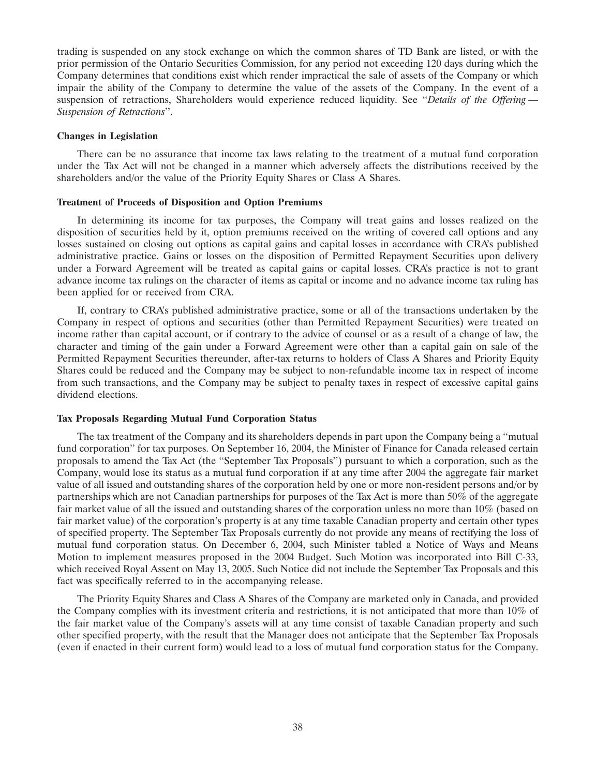trading is suspended on any stock exchange on which the common shares of TD Bank are listed, or with the prior permission of the Ontario Securities Commission, for any period not exceeding 120 days during which the Company determines that conditions exist which render impractical the sale of assets of the Company or which impair the ability of the Company to determine the value of the assets of the Company. In the event of a suspension of retractions, Shareholders would experience reduced liquidity. See ''*Details of the Offering — Suspension of Retractions*''.

#### **Changes in Legislation**

There can be no assurance that income tax laws relating to the treatment of a mutual fund corporation under the Tax Act will not be changed in a manner which adversely affects the distributions received by the shareholders and/or the value of the Priority Equity Shares or Class A Shares.

#### **Treatment of Proceeds of Disposition and Option Premiums**

In determining its income for tax purposes, the Company will treat gains and losses realized on the disposition of securities held by it, option premiums received on the writing of covered call options and any losses sustained on closing out options as capital gains and capital losses in accordance with CRA's published administrative practice. Gains or losses on the disposition of Permitted Repayment Securities upon delivery under a Forward Agreement will be treated as capital gains or capital losses. CRA's practice is not to grant advance income tax rulings on the character of items as capital or income and no advance income tax ruling has been applied for or received from CRA.

If, contrary to CRA's published administrative practice, some or all of the transactions undertaken by the Company in respect of options and securities (other than Permitted Repayment Securities) were treated on income rather than capital account, or if contrary to the advice of counsel or as a result of a change of law, the character and timing of the gain under a Forward Agreement were other than a capital gain on sale of the Permitted Repayment Securities thereunder, after-tax returns to holders of Class A Shares and Priority Equity Shares could be reduced and the Company may be subject to non-refundable income tax in respect of income from such transactions, and the Company may be subject to penalty taxes in respect of excessive capital gains dividend elections.

#### **Tax Proposals Regarding Mutual Fund Corporation Status**

The tax treatment of the Company and its shareholders depends in part upon the Company being a ''mutual fund corporation'' for tax purposes. On September 16, 2004, the Minister of Finance for Canada released certain proposals to amend the Tax Act (the ''September Tax Proposals'') pursuant to which a corporation, such as the Company, would lose its status as a mutual fund corporation if at any time after 2004 the aggregate fair market value of all issued and outstanding shares of the corporation held by one or more non-resident persons and/or by partnerships which are not Canadian partnerships for purposes of the Tax Act is more than 50% of the aggregate fair market value of all the issued and outstanding shares of the corporation unless no more than  $10\%$  (based on fair market value) of the corporation's property is at any time taxable Canadian property and certain other types of specified property. The September Tax Proposals currently do not provide any means of rectifying the loss of mutual fund corporation status. On December 6, 2004, such Minister tabled a Notice of Ways and Means Motion to implement measures proposed in the 2004 Budget. Such Motion was incorporated into Bill C-33, which received Royal Assent on May 13, 2005. Such Notice did not include the September Tax Proposals and this fact was specifically referred to in the accompanying release.

The Priority Equity Shares and Class A Shares of the Company are marketed only in Canada, and provided the Company complies with its investment criteria and restrictions, it is not anticipated that more than 10% of the fair market value of the Company's assets will at any time consist of taxable Canadian property and such other specified property, with the result that the Manager does not anticipate that the September Tax Proposals (even if enacted in their current form) would lead to a loss of mutual fund corporation status for the Company.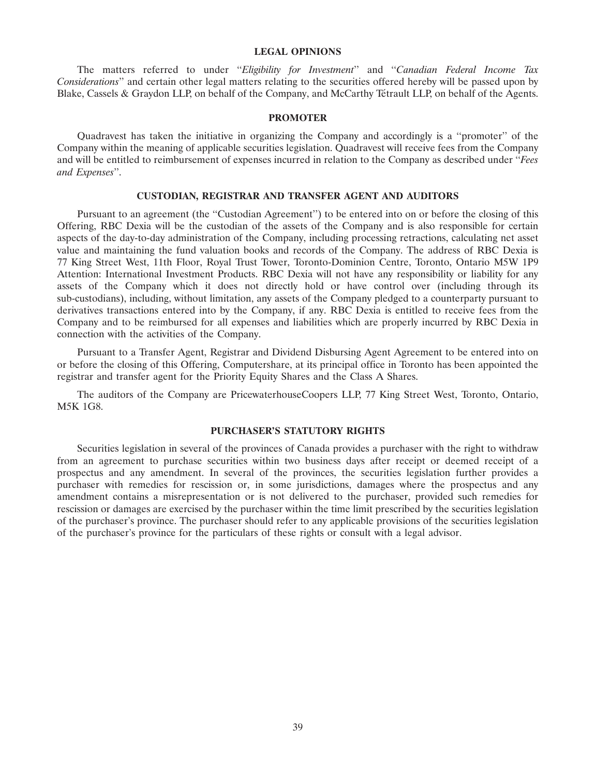#### **LEGAL OPINIONS**

The matters referred to under ''*Eligibility for Investment*'' and ''*Canadian Federal Income Tax Considerations*'' and certain other legal matters relating to the securities offered hereby will be passed upon by Blake, Cassels & Graydon LLP, on behalf of the Company, and McCarthy Tétrault LLP, on behalf of the Agents.

#### **PROMOTER**

Quadravest has taken the initiative in organizing the Company and accordingly is a ''promoter'' of the Company within the meaning of applicable securities legislation. Quadravest will receive fees from the Company and will be entitled to reimbursement of expenses incurred in relation to the Company as described under ''*Fees and Expenses*''.

# **CUSTODIAN, REGISTRAR AND TRANSFER AGENT AND AUDITORS**

Pursuant to an agreement (the ''Custodian Agreement'') to be entered into on or before the closing of this Offering, RBC Dexia will be the custodian of the assets of the Company and is also responsible for certain aspects of the day-to-day administration of the Company, including processing retractions, calculating net asset value and maintaining the fund valuation books and records of the Company. The address of RBC Dexia is 77 King Street West, 11th Floor, Royal Trust Tower, Toronto-Dominion Centre, Toronto, Ontario M5W 1P9 Attention: International Investment Products. RBC Dexia will not have any responsibility or liability for any assets of the Company which it does not directly hold or have control over (including through its sub-custodians), including, without limitation, any assets of the Company pledged to a counterparty pursuant to derivatives transactions entered into by the Company, if any. RBC Dexia is entitled to receive fees from the Company and to be reimbursed for all expenses and liabilities which are properly incurred by RBC Dexia in connection with the activities of the Company.

Pursuant to a Transfer Agent, Registrar and Dividend Disbursing Agent Agreement to be entered into on or before the closing of this Offering, Computershare, at its principal office in Toronto has been appointed the registrar and transfer agent for the Priority Equity Shares and the Class A Shares.

The auditors of the Company are PricewaterhouseCoopers LLP, 77 King Street West, Toronto, Ontario, M5K 1G8.

# **PURCHASER'S STATUTORY RIGHTS**

Securities legislation in several of the provinces of Canada provides a purchaser with the right to withdraw from an agreement to purchase securities within two business days after receipt or deemed receipt of a prospectus and any amendment. In several of the provinces, the securities legislation further provides a purchaser with remedies for rescission or, in some jurisdictions, damages where the prospectus and any amendment contains a misrepresentation or is not delivered to the purchaser, provided such remedies for rescission or damages are exercised by the purchaser within the time limit prescribed by the securities legislation of the purchaser's province. The purchaser should refer to any applicable provisions of the securities legislation of the purchaser's province for the particulars of these rights or consult with a legal advisor.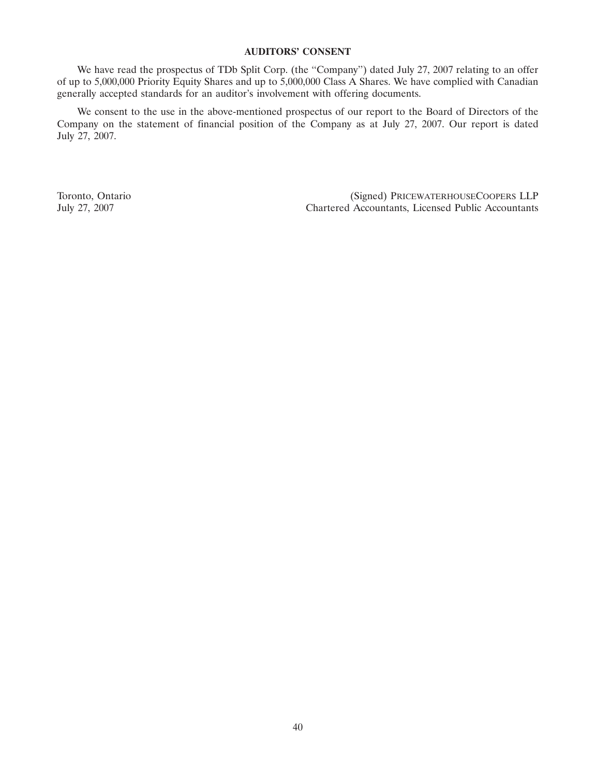# **AUDITORS' CONSENT**

We have read the prospectus of TDb Split Corp. (the "Company") dated July 27, 2007 relating to an offer of up to 5,000,000 Priority Equity Shares and up to 5,000,000 Class A Shares. We have complied with Canadian generally accepted standards for an auditor's involvement with offering documents.

We consent to the use in the above-mentioned prospectus of our report to the Board of Directors of the Company on the statement of financial position of the Company as at July 27, 2007. Our report is dated July 27, 2007.

Toronto, Ontario (Signed) PRICEWATERHOUSECOOPERS LLP July 27, 2007 Chartered Accountants, Licensed Public Accountants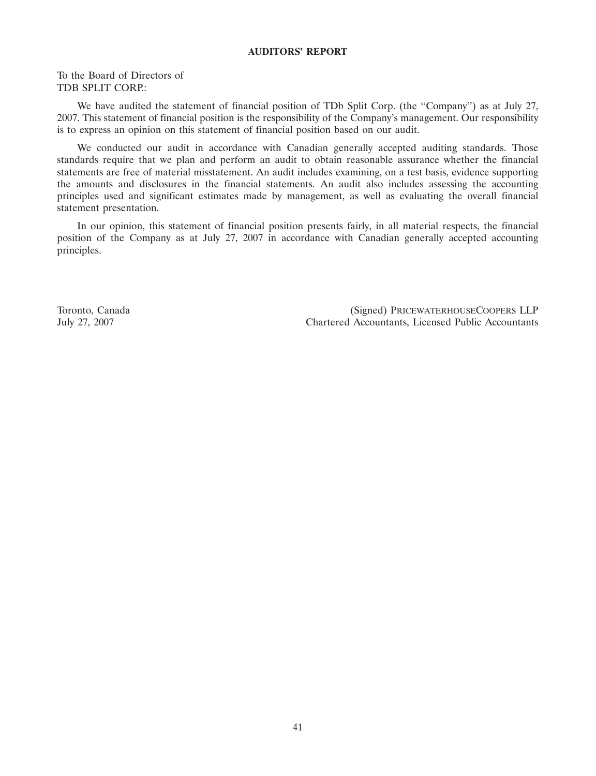# **AUDITORS' REPORT**

To the Board of Directors of TDB SPLIT CORP.:

We have audited the statement of financial position of TDb Split Corp. (the ''Company'') as at July 27, 2007. This statement of financial position is the responsibility of the Company's management. Our responsibility is to express an opinion on this statement of financial position based on our audit.

We conducted our audit in accordance with Canadian generally accepted auditing standards. Those standards require that we plan and perform an audit to obtain reasonable assurance whether the financial statements are free of material misstatement. An audit includes examining, on a test basis, evidence supporting the amounts and disclosures in the financial statements. An audit also includes assessing the accounting principles used and significant estimates made by management, as well as evaluating the overall financial statement presentation.

In our opinion, this statement of financial position presents fairly, in all material respects, the financial position of the Company as at July 27, 2007 in accordance with Canadian generally accepted accounting principles.

Toronto, Canada (Signed) PRICEWATERHOUSECOOPERS LLP July 27, 2007 Chartered Accountants, Licensed Public Accountants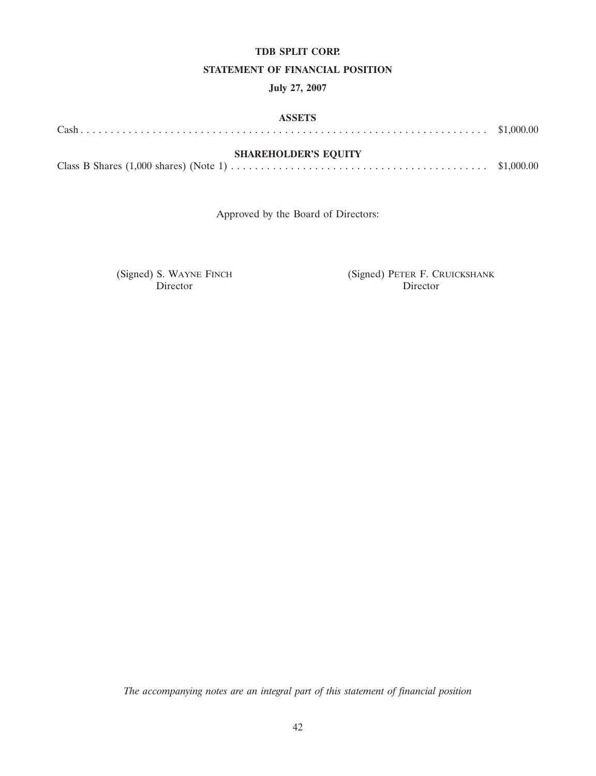# **TDB SPLIT CORP.**

# **STATEMENT OF FINANCIAL POSITION**

# **July 27, 2007**

| <b>ASSETS</b>               |  |
|-----------------------------|--|
|                             |  |
| <b>SHAREHOLDER'S EQUITY</b> |  |
|                             |  |

Approved by the Board of Directors:

Director

(Signed) S. WAYNE FINCH (Signed) PETER F. CRUICKSHANK Director Director

*The accompanying notes are an integral part of this statement of financial position*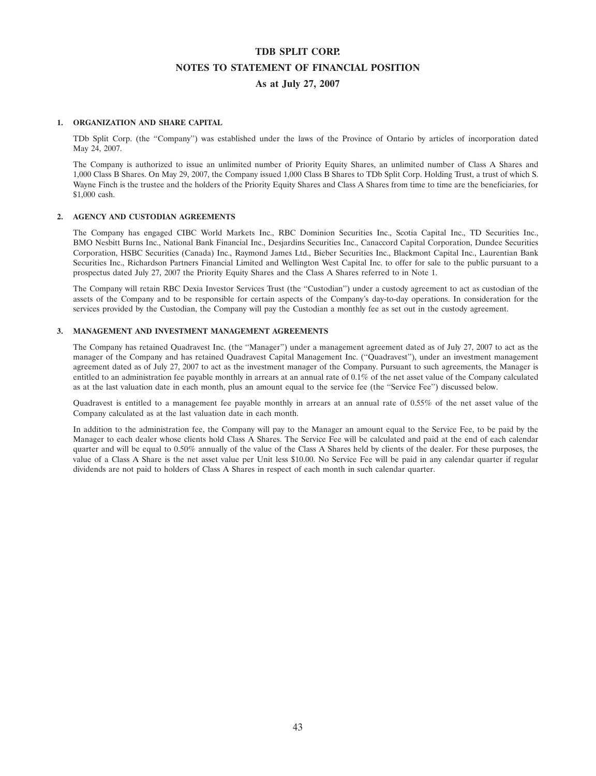# **TDB SPLIT CORP. NOTES TO STATEMENT OF FINANCIAL POSITION As at July 27, 2007**

### **1. ORGANIZATION AND SHARE CAPITAL**

TDb Split Corp. (the ''Company'') was established under the laws of the Province of Ontario by articles of incorporation dated May 24, 2007.

The Company is authorized to issue an unlimited number of Priority Equity Shares, an unlimited number of Class A Shares and 1,000 Class B Shares. On May 29, 2007, the Company issued 1,000 Class B Shares to TDb Split Corp. Holding Trust, a trust of which S. Wayne Finch is the trustee and the holders of the Priority Equity Shares and Class A Shares from time to time are the beneficiaries, for \$1,000 cash.

#### **2. AGENCY AND CUSTODIAN AGREEMENTS**

The Company has engaged CIBC World Markets Inc., RBC Dominion Securities Inc., Scotia Capital Inc., TD Securities Inc., BMO Nesbitt Burns Inc., National Bank Financial Inc., Desjardins Securities Inc., Canaccord Capital Corporation, Dundee Securities Corporation, HSBC Securities (Canada) Inc., Raymond James Ltd., Bieber Securities Inc., Blackmont Capital Inc., Laurentian Bank Securities Inc., Richardson Partners Financial Limited and Wellington West Capital Inc. to offer for sale to the public pursuant to a prospectus dated July 27, 2007 the Priority Equity Shares and the Class A Shares referred to in Note 1.

The Company will retain RBC Dexia Investor Services Trust (the ''Custodian'') under a custody agreement to act as custodian of the assets of the Company and to be responsible for certain aspects of the Company's day-to-day operations. In consideration for the services provided by the Custodian, the Company will pay the Custodian a monthly fee as set out in the custody agreement.

#### **3. MANAGEMENT AND INVESTMENT MANAGEMENT AGREEMENTS**

The Company has retained Quadravest Inc. (the ''Manager'') under a management agreement dated as of July 27, 2007 to act as the manager of the Company and has retained Quadravest Capital Management Inc. (''Quadravest''), under an investment management agreement dated as of July 27, 2007 to act as the investment manager of the Company. Pursuant to such agreements, the Manager is entitled to an administration fee payable monthly in arrears at an annual rate of 0.1% of the net asset value of the Company calculated as at the last valuation date in each month, plus an amount equal to the service fee (the "Service Fee") discussed below.

Quadravest is entitled to a management fee payable monthly in arrears at an annual rate of 0.55% of the net asset value of the Company calculated as at the last valuation date in each month.

In addition to the administration fee, the Company will pay to the Manager an amount equal to the Service Fee, to be paid by the Manager to each dealer whose clients hold Class A Shares. The Service Fee will be calculated and paid at the end of each calendar quarter and will be equal to 0.50% annually of the value of the Class A Shares held by clients of the dealer. For these purposes, the value of a Class A Share is the net asset value per Unit less \$10.00. No Service Fee will be paid in any calendar quarter if regular dividends are not paid to holders of Class A Shares in respect of each month in such calendar quarter.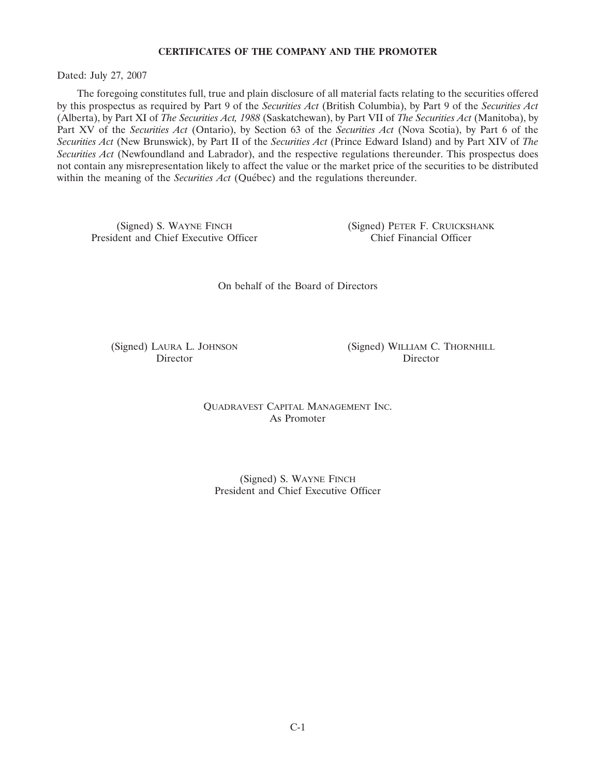# **CERTIFICATES OF THE COMPANY AND THE PROMOTER**

Dated: July 27, 2007

The foregoing constitutes full, true and plain disclosure of all material facts relating to the securities offered by this prospectus as required by Part 9 of the *Securities Act* (British Columbia), by Part 9 of the *Securities Act* (Alberta), by Part XI of *The Securities Act, 1988* (Saskatchewan), by Part VII of *The Securities Act* (Manitoba), by Part XV of the *Securities Act* (Ontario), by Section 63 of the *Securities Act* (Nova Scotia), by Part 6 of the *Securities Act* (New Brunswick), by Part II of the *Securities Act* (Prince Edward Island) and by Part XIV of *The Securities Act* (Newfoundland and Labrador), and the respective regulations thereunder. This prospectus does not contain any misrepresentation likely to affect the value or the market price of the securities to be distributed within the meaning of the *Securities Act* (Ouébec) and the regulations thereunder.

(Signed) S. WAYNE FINCH (Signed) PETER F. CRUICKSHANK<br>
lent and Chief Executive Officer (Signed) PETER F. CRUICKSHANK President and Chief Executive Officer

On behalf of the Board of Directors

(Signed) LAURA L. JOHNSON (Signed) WILLIAM C. THORNHILL Director Director

> QUADRAVEST CAPITAL MANAGEMENT INC. As Promoter

(Signed) S. WAYNE FINCH President and Chief Executive Officer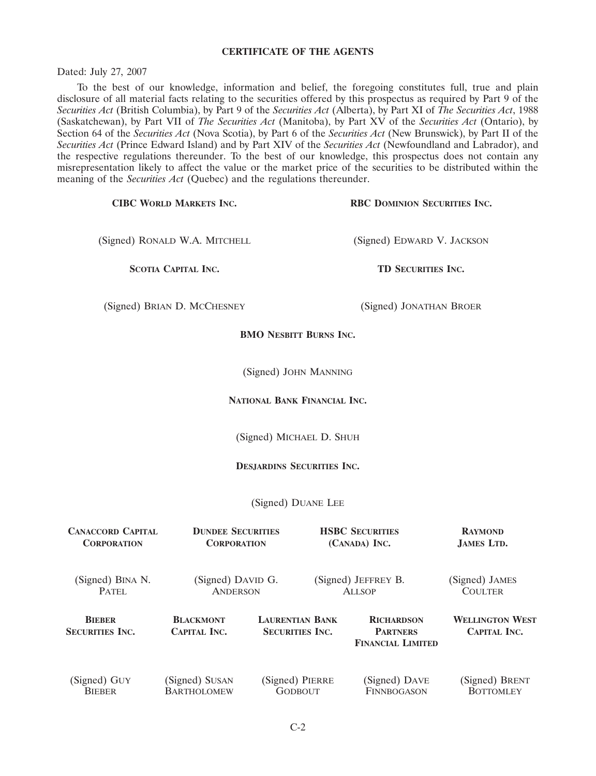# **CERTIFICATE OF THE AGENTS**

Dated: July 27, 2007

To the best of our knowledge, information and belief, the foregoing constitutes full, true and plain disclosure of all material facts relating to the securities offered by this prospectus as required by Part 9 of the *Securities Act* (British Columbia), by Part 9 of the *Securities Act* (Alberta), by Part XI of *The Securities Act*, 1988 (Saskatchewan), by Part VII of *The Securities Act* (Manitoba), by Part XV of the *Securities Act* (Ontario), by Section 64 of the *Securities Act* (Nova Scotia), by Part 6 of the *Securities Act* (New Brunswick), by Part II of the *Securities Act* (Prince Edward Island) and by Part XIV of the *Securities Act* (Newfoundland and Labrador), and the respective regulations thereunder. To the best of our knowledge, this prospectus does not contain any misrepresentation likely to affect the value or the market price of the securities to be distributed within the meaning of the *Securities Act* (Quebec) and the regulations thereunder.

| RBC DOMINION SECURITIES INC.<br><b>CIBC WORLD MARKETS INC.</b> |                                         |                                                |                                      |                                                                  |                                        |
|----------------------------------------------------------------|-----------------------------------------|------------------------------------------------|--------------------------------------|------------------------------------------------------------------|----------------------------------------|
| (Signed) RONALD W.A. MITCHELL                                  |                                         |                                                | (Signed) EDWARD V. JACKSON           |                                                                  |                                        |
| <b>SCOTIA CAPITAL INC.</b>                                     |                                         |                                                | TD SECURITIES INC.                   |                                                                  |                                        |
|                                                                | (Signed) BRIAN D. MCCHESNEY             |                                                |                                      | (Signed) JONATHAN BROER                                          |                                        |
|                                                                |                                         | <b>BMO NESBITT BURNS INC.</b>                  |                                      |                                                                  |                                        |
|                                                                |                                         | (Signed) JOHN MANNING                          |                                      |                                                                  |                                        |
|                                                                |                                         | NATIONAL BANK FINANCIAL INC.                   |                                      |                                                                  |                                        |
|                                                                |                                         | (Signed) MICHAEL D. SHUH                       |                                      |                                                                  |                                        |
|                                                                |                                         | <b>DESJARDINS SECURITIES INC.</b>              |                                      |                                                                  |                                        |
|                                                                |                                         | (Signed) DUANE LEE                             |                                      |                                                                  |                                        |
| <b>CANACCORD CAPITAL</b><br><b>CORPORATION</b>                 |                                         | <b>DUNDEE SECURITIES</b><br><b>CORPORATION</b> |                                      | <b>HSBC SECURITIES</b><br>(CANADA) INC.                          | <b>RAYMOND</b><br>JAMES LTD.           |
| (Signed) BINA N.<br>PATEL                                      | (Signed) DAVID G.<br><b>ANDERSON</b>    |                                                | (Signed) JEFFREY B.<br><b>ALLSOP</b> |                                                                  | (Signed) JAMES<br><b>COULTER</b>       |
| <b>BIEBER</b><br><b>SECURITIES INC.</b>                        | <b>BLACKMONT</b><br><b>CAPITAL INC.</b> | <b>SECURITIES INC.</b>                         | <b>LAURENTIAN BANK</b>               | <b>RICHARDSON</b><br><b>PARTNERS</b><br><b>FINANCIAL LIMITED</b> | <b>WELLINGTON WEST</b><br>CAPITAL INC. |
| (Signed) GUY<br><b>BIEBER</b>                                  | (Signed) SUSAN<br><b>BARTHOLOMEW</b>    |                                                | (Signed) PIERRE<br><b>GODBOUT</b>    | (Signed) DAVE<br>FINNBOGASON                                     | (Signed) BRENT<br><b>BOTTOMLEY</b>     |